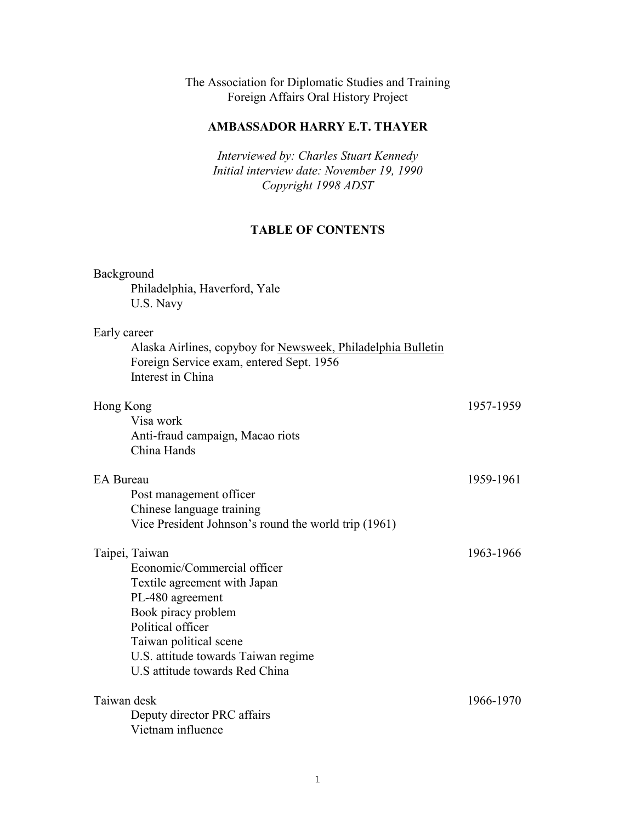The Association for Diplomatic Studies and Training Foreign Affairs Oral History Project

# **AMBASSADOR HARRY E.T. THAYER**

*Interviewed by: Charles Stuart Kennedy Initial interview date: November 19, 1990 Copyright 1998 ADST*

# **TABLE OF CONTENTS**

| Background<br>Philadelphia, Haverford, Yale<br>U.S. Navy                                                                                                                                                                                         |           |
|--------------------------------------------------------------------------------------------------------------------------------------------------------------------------------------------------------------------------------------------------|-----------|
| Early career<br>Alaska Airlines, copyboy for Newsweek, Philadelphia Bulletin<br>Foreign Service exam, entered Sept. 1956<br>Interest in China                                                                                                    |           |
| Hong Kong<br>Visa work<br>Anti-fraud campaign, Macao riots<br>China Hands                                                                                                                                                                        | 1957-1959 |
| EA Bureau<br>Post management officer<br>Chinese language training<br>Vice President Johnson's round the world trip (1961)                                                                                                                        | 1959-1961 |
| Taipei, Taiwan<br>Economic/Commercial officer<br>Textile agreement with Japan<br>PL-480 agreement<br>Book piracy problem<br>Political officer<br>Taiwan political scene<br>U.S. attitude towards Taiwan regime<br>U.S attitude towards Red China | 1963-1966 |
| Taiwan desk<br>Deputy director PRC affairs<br>Vietnam influence                                                                                                                                                                                  | 1966-1970 |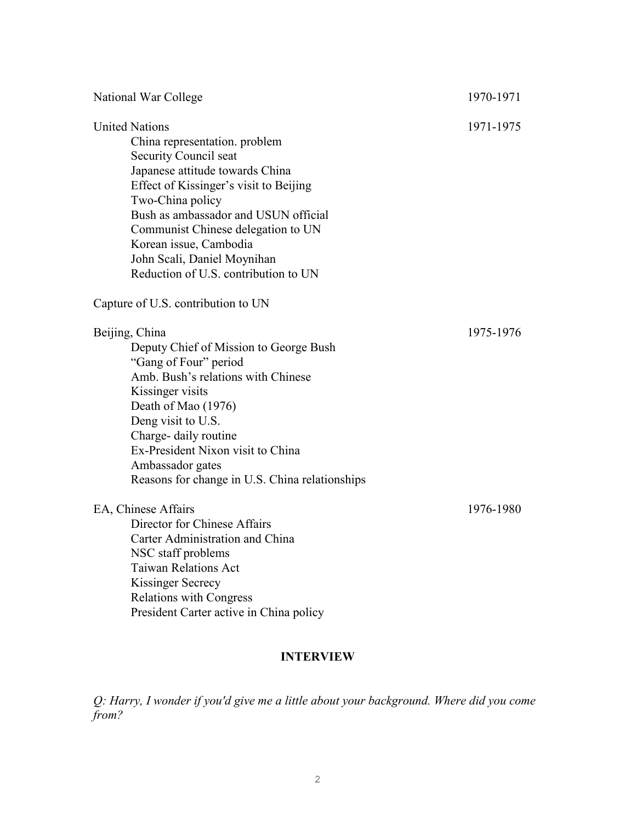| National War College                                                                                                                                                                                                                                                                                                                                            | 1970-1971 |
|-----------------------------------------------------------------------------------------------------------------------------------------------------------------------------------------------------------------------------------------------------------------------------------------------------------------------------------------------------------------|-----------|
| <b>United Nations</b><br>China representation. problem<br>Security Council seat<br>Japanese attitude towards China<br>Effect of Kissinger's visit to Beijing<br>Two-China policy<br>Bush as ambassador and USUN official<br>Communist Chinese delegation to UN<br>Korean issue, Cambodia<br>John Scali, Daniel Moynihan<br>Reduction of U.S. contribution to UN | 1971-1975 |
| Capture of U.S. contribution to UN                                                                                                                                                                                                                                                                                                                              |           |
| Beijing, China<br>Deputy Chief of Mission to George Bush<br>"Gang of Four" period<br>Amb. Bush's relations with Chinese<br>Kissinger visits<br>Death of Mao (1976)<br>Deng visit to U.S.<br>Charge- daily routine<br>Ex-President Nixon visit to China<br>Ambassador gates<br>Reasons for change in U.S. China relationships                                    | 1975-1976 |
| EA, Chinese Affairs<br>Director for Chinese Affairs<br>Carter Administration and China<br>NSC staff problems<br><b>Taiwan Relations Act</b><br>Kissinger Secrecy<br><b>Relations with Congress</b><br>President Carter active in China policy                                                                                                                   | 1976-1980 |

# **INTERVIEW**

*Q: Harry, I wonder if you'd give me a little about your background. Where did you come from?*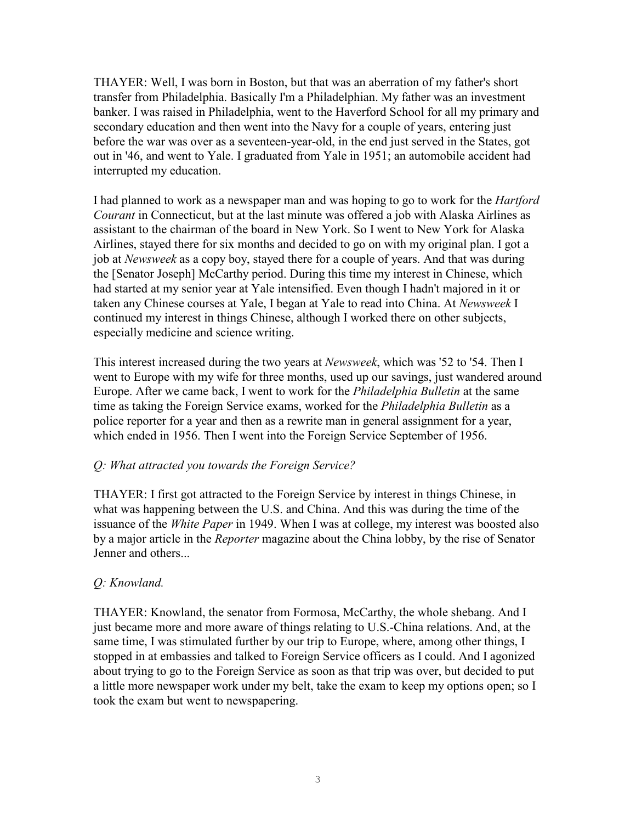THAYER: Well, I was born in Boston, but that was an aberration of my father's short transfer from Philadelphia. Basically I'm a Philadelphian. My father was an investment banker. I was raised in Philadelphia, went to the Haverford School for all my primary and secondary education and then went into the Navy for a couple of years, entering just before the war was over as a seventeen-year-old, in the end just served in the States, got out in '46, and went to Yale. I graduated from Yale in 1951; an automobile accident had interrupted my education.

I had planned to work as a newspaper man and was hoping to go to work for the *Hartford Courant* in Connecticut, but at the last minute was offered a job with Alaska Airlines as assistant to the chairman of the board in New York. So I went to New York for Alaska Airlines, stayed there for six months and decided to go on with my original plan. I got a job at *Newsweek* as a copy boy, stayed there for a couple of years. And that was during the [Senator Joseph] McCarthy period. During this time my interest in Chinese, which had started at my senior year at Yale intensified. Even though I hadn't majored in it or taken any Chinese courses at Yale, I began at Yale to read into China. At *Newsweek* I continued my interest in things Chinese, although I worked there on other subjects, especially medicine and science writing.

This interest increased during the two years at *Newsweek*, which was '52 to '54. Then I went to Europe with my wife for three months, used up our savings, just wandered around Europe. After we came back, I went to work for the *Philadelphia Bulletin* at the same time as taking the Foreign Service exams, worked for the *Philadelphia Bulletin* as a police reporter for a year and then as a rewrite man in general assignment for a year, which ended in 1956. Then I went into the Foreign Service September of 1956.

# *Q: What attracted you towards the Foreign Service?*

THAYER: I first got attracted to the Foreign Service by interest in things Chinese, in what was happening between the U.S. and China. And this was during the time of the issuance of the *White Paper* in 1949. When I was at college, my interest was boosted also by a major article in the *Reporter* magazine about the China lobby, by the rise of Senator Jenner and others...

### *Q: Knowland.*

THAYER: Knowland, the senator from Formosa, McCarthy, the whole shebang. And I just became more and more aware of things relating to U.S.-China relations. And, at the same time, I was stimulated further by our trip to Europe, where, among other things, I stopped in at embassies and talked to Foreign Service officers as I could. And I agonized about trying to go to the Foreign Service as soon as that trip was over, but decided to put a little more newspaper work under my belt, take the exam to keep my options open; so I took the exam but went to newspapering.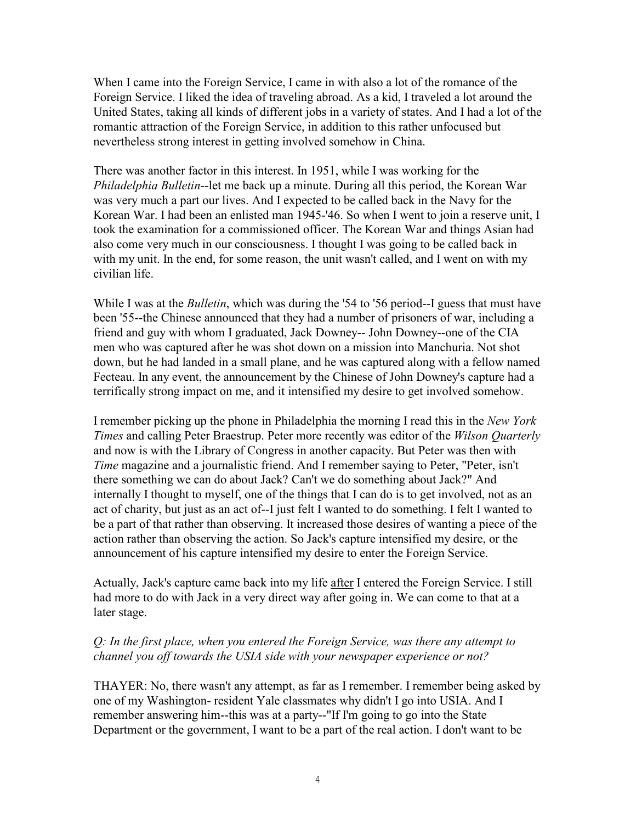When I came into the Foreign Service, I came in with also a lot of the romance of the Foreign Service. I liked the idea of traveling abroad. As a kid, I traveled a lot around the United States, taking all kinds of different jobs in a variety of states. And I had a lot of the romantic attraction of the Foreign Service, in addition to this rather unfocused but nevertheless strong interest in getting involved somehow in China.

There was another factor in this interest. In 1951, while I was working for the *Philadelphia Bulletin*--let me back up a minute. During all this period, the Korean War was very much a part our lives. And I expected to be called back in the Navy for the Korean War. I had been an enlisted man 1945-'46. So when I went to join a reserve unit, I took the examination for a commissioned officer. The Korean War and things Asian had also come very much in our consciousness. I thought I was going to be called back in with my unit. In the end, for some reason, the unit wasn't called, and I went on with my civilian life.

While I was at the *Bulletin*, which was during the '54 to '56 period--I guess that must have been '55--the Chinese announced that they had a number of prisoners of war, including a friend and guy with whom I graduated, Jack Downey-- John Downey--one of the CIA men who was captured after he was shot down on a mission into Manchuria. Not shot down, but he had landed in a small plane, and he was captured along with a fellow named Fecteau. In any event, the announcement by the Chinese of John Downey's capture had a terrifically strong impact on me, and it intensified my desire to get involved somehow.

I remember picking up the phone in Philadelphia the morning I read this in the *New York Times* and calling Peter Braestrup. Peter more recently was editor of the *Wilson Quarterly* and now is with the Library of Congress in another capacity. But Peter was then with *Time* magazine and a journalistic friend. And I remember saying to Peter, "Peter, isn't there something we can do about Jack? Can't we do something about Jack?" And internally I thought to myself, one of the things that I can do is to get involved, not as an act of charity, but just as an act of--I just felt I wanted to do something. I felt I wanted to be a part of that rather than observing. It increased those desires of wanting a piece of the action rather than observing the action. So Jack's capture intensified my desire, or the announcement of his capture intensified my desire to enter the Foreign Service.

Actually, Jack's capture came back into my life after I entered the Foreign Service. I still had more to do with Jack in a very direct way after going in. We can come to that at a later stage.

### *Q: In the first place, when you entered the Foreign Service, was there any attempt to channel you off towards the USIA side with your newspaper experience or not?*

THAYER: No, there wasn't any attempt, as far as I remember. I remember being asked by one of my Washington- resident Yale classmates why didn't I go into USIA. And I remember answering him--this was at a party--"If I'm going to go into the State Department or the government, I want to be a part of the real action. I don't want to be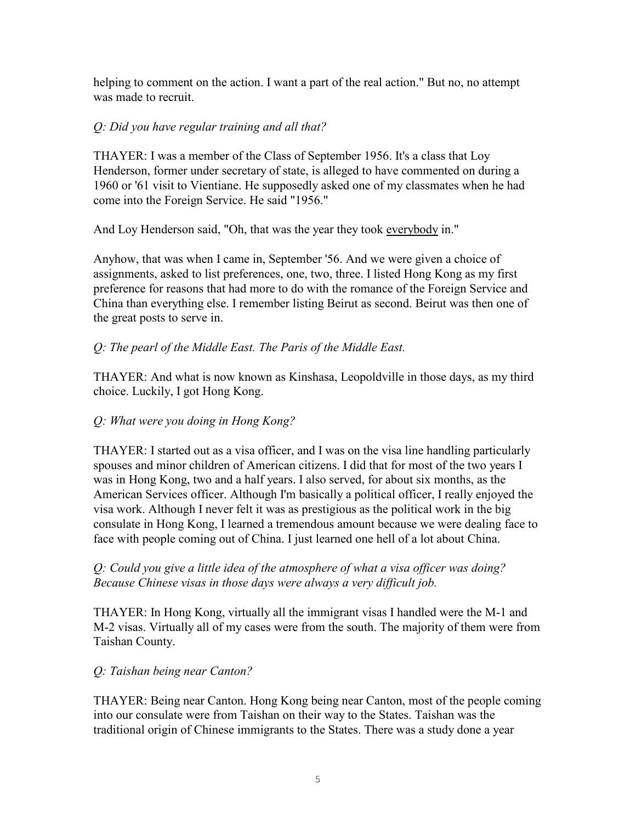helping to comment on the action. I want a part of the real action." But no, no attempt was made to recruit.

## *Q: Did you have regular training and all that?*

THAYER: I was a member of the Class of September 1956. It's a class that Loy Henderson, former under secretary of state, is alleged to have commented on during a 1960 or '61 visit to Vientiane. He supposedly asked one of my classmates when he had come into the Foreign Service. He said "1956."

And Loy Henderson said, "Oh, that was the year they took everybody in."

Anyhow, that was when I came in, September '56. And we were given a choice of assignments, asked to list preferences, one, two, three. I listed Hong Kong as my first preference for reasons that had more to do with the romance of the Foreign Service and China than everything else. I remember listing Beirut as second. Beirut was then one of the great posts to serve in.

# *Q: The pearl of the Middle East. The Paris of the Middle East.*

THAYER: And what is now known as Kinshasa, Leopoldville in those days, as my third choice. Luckily, I got Hong Kong.

# *Q: What were you doing in Hong Kong?*

THAYER: I started out as a visa officer, and I was on the visa line handling particularly spouses and minor children of American citizens. I did that for most of the two years I was in Hong Kong, two and a half years. I also served, for about six months, as the American Services officer. Although I'm basically a political officer, I really enjoyed the visa work. Although I never felt it was as prestigious as the political work in the big consulate in Hong Kong, I learned a tremendous amount because we were dealing face to face with people coming out of China. I just learned one hell of a lot about China.

# *Q: Could you give a little idea of the atmosphere of what a visa officer was doing? Because Chinese visas in those days were always a very difficult job.*

THAYER: In Hong Kong, virtually all the immigrant visas I handled were the M-1 and M-2 visas. Virtually all of my cases were from the south. The majority of them were from Taishan County.

### *Q: Taishan being near Canton?*

THAYER: Being near Canton. Hong Kong being near Canton, most of the people coming into our consulate were from Taishan on their way to the States. Taishan was the traditional origin of Chinese immigrants to the States. There was a study done a year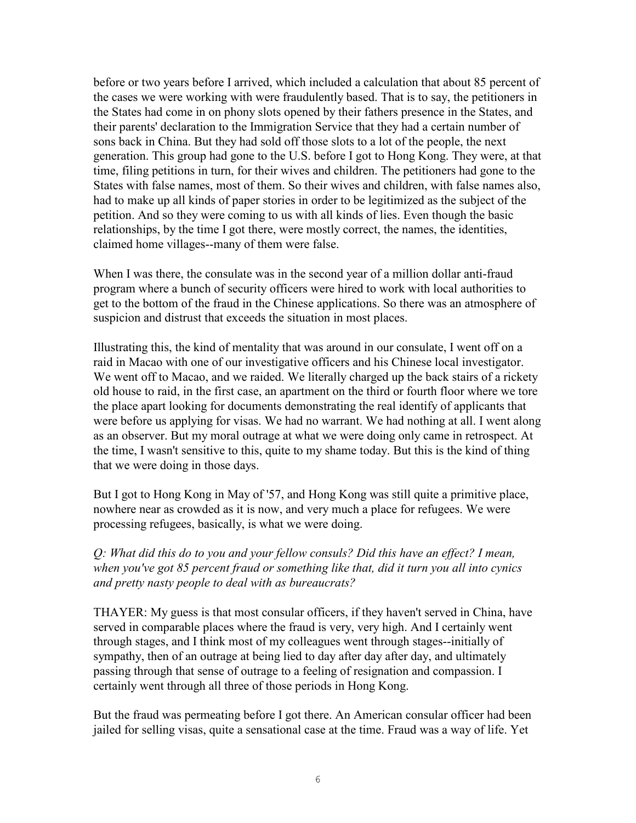before or two years before I arrived, which included a calculation that about 85 percent of the cases we were working with were fraudulently based. That is to say, the petitioners in the States had come in on phony slots opened by their fathers presence in the States, and their parents' declaration to the Immigration Service that they had a certain number of sons back in China. But they had sold off those slots to a lot of the people, the next generation. This group had gone to the U.S. before I got to Hong Kong. They were, at that time, filing petitions in turn, for their wives and children. The petitioners had gone to the States with false names, most of them. So their wives and children, with false names also, had to make up all kinds of paper stories in order to be legitimized as the subject of the petition. And so they were coming to us with all kinds of lies. Even though the basic relationships, by the time I got there, were mostly correct, the names, the identities, claimed home villages--many of them were false.

When I was there, the consulate was in the second year of a million dollar anti-fraud program where a bunch of security officers were hired to work with local authorities to get to the bottom of the fraud in the Chinese applications. So there was an atmosphere of suspicion and distrust that exceeds the situation in most places.

Illustrating this, the kind of mentality that was around in our consulate, I went off on a raid in Macao with one of our investigative officers and his Chinese local investigator. We went off to Macao, and we raided. We literally charged up the back stairs of a rickety old house to raid, in the first case, an apartment on the third or fourth floor where we tore the place apart looking for documents demonstrating the real identify of applicants that were before us applying for visas. We had no warrant. We had nothing at all. I went along as an observer. But my moral outrage at what we were doing only came in retrospect. At the time, I wasn't sensitive to this, quite to my shame today. But this is the kind of thing that we were doing in those days.

But I got to Hong Kong in May of '57, and Hong Kong was still quite a primitive place, nowhere near as crowded as it is now, and very much a place for refugees. We were processing refugees, basically, is what we were doing.

*Q: What did this do to you and your fellow consuls? Did this have an effect? I mean, when you've got 85 percent fraud or something like that, did it turn you all into cynics and pretty nasty people to deal with as bureaucrats?* 

THAYER: My guess is that most consular officers, if they haven't served in China, have served in comparable places where the fraud is very, very high. And I certainly went through stages, and I think most of my colleagues went through stages--initially of sympathy, then of an outrage at being lied to day after day after day, and ultimately passing through that sense of outrage to a feeling of resignation and compassion. I certainly went through all three of those periods in Hong Kong.

But the fraud was permeating before I got there. An American consular officer had been jailed for selling visas, quite a sensational case at the time. Fraud was a way of life. Yet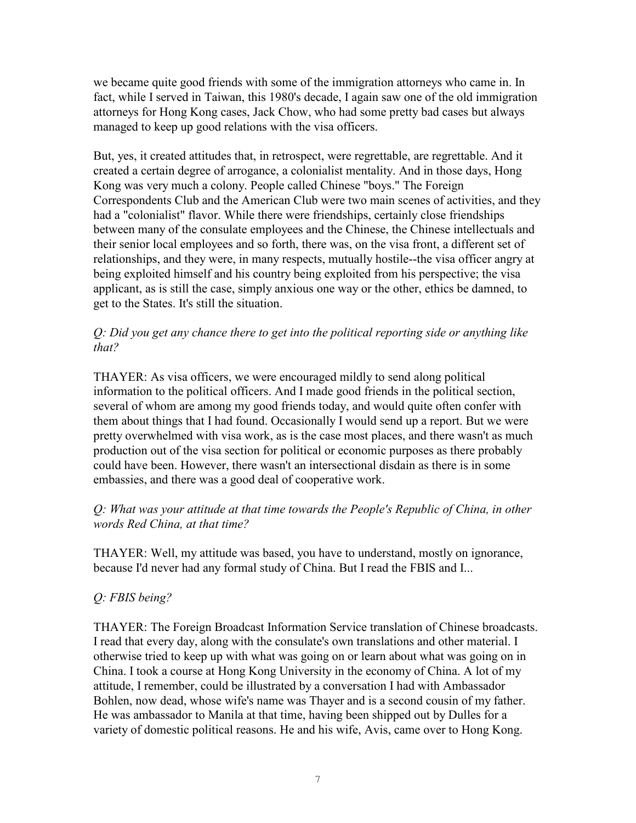we became quite good friends with some of the immigration attorneys who came in. In fact, while I served in Taiwan, this 1980's decade, I again saw one of the old immigration attorneys for Hong Kong cases, Jack Chow, who had some pretty bad cases but always managed to keep up good relations with the visa officers.

But, yes, it created attitudes that, in retrospect, were regrettable, are regrettable. And it created a certain degree of arrogance, a colonialist mentality. And in those days, Hong Kong was very much a colony. People called Chinese "boys." The Foreign Correspondents Club and the American Club were two main scenes of activities, and they had a "colonialist" flavor. While there were friendships, certainly close friendships between many of the consulate employees and the Chinese, the Chinese intellectuals and their senior local employees and so forth, there was, on the visa front, a different set of relationships, and they were, in many respects, mutually hostile--the visa officer angry at being exploited himself and his country being exploited from his perspective; the visa applicant, as is still the case, simply anxious one way or the other, ethics be damned, to get to the States. It's still the situation.

## *Q: Did you get any chance there to get into the political reporting side or anything like that?*

THAYER: As visa officers, we were encouraged mildly to send along political information to the political officers. And I made good friends in the political section, several of whom are among my good friends today, and would quite often confer with them about things that I had found. Occasionally I would send up a report. But we were pretty overwhelmed with visa work, as is the case most places, and there wasn't as much production out of the visa section for political or economic purposes as there probably could have been. However, there wasn't an intersectional disdain as there is in some embassies, and there was a good deal of cooperative work.

# *Q: What was your attitude at that time towards the People's Republic of China, in other words Red China, at that time?*

THAYER: Well, my attitude was based, you have to understand, mostly on ignorance, because I'd never had any formal study of China. But I read the FBIS and I...

# *Q: FBIS being?*

THAYER: The Foreign Broadcast Information Service translation of Chinese broadcasts. I read that every day, along with the consulate's own translations and other material. I otherwise tried to keep up with what was going on or learn about what was going on in China. I took a course at Hong Kong University in the economy of China. A lot of my attitude, I remember, could be illustrated by a conversation I had with Ambassador Bohlen, now dead, whose wife's name was Thayer and is a second cousin of my father. He was ambassador to Manila at that time, having been shipped out by Dulles for a variety of domestic political reasons. He and his wife, Avis, came over to Hong Kong.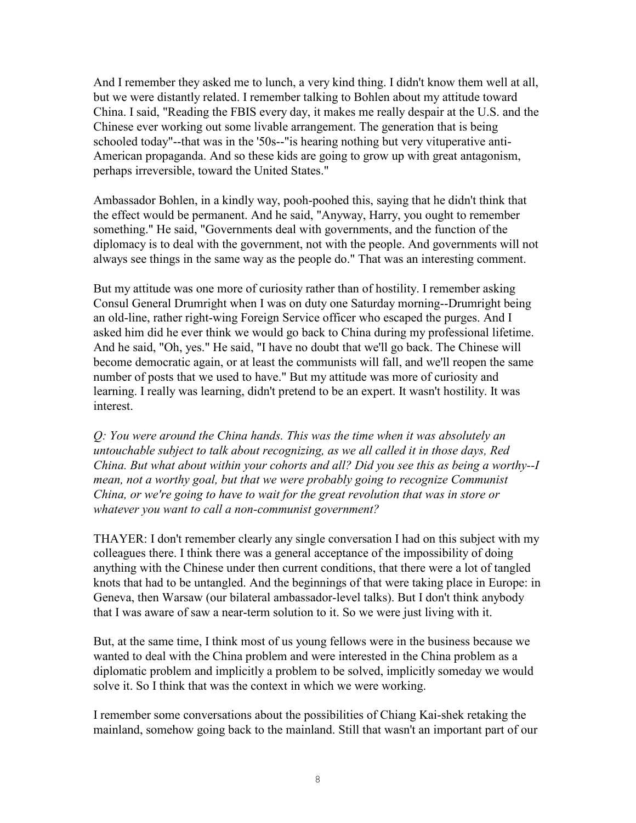And I remember they asked me to lunch, a very kind thing. I didn't know them well at all, but we were distantly related. I remember talking to Bohlen about my attitude toward China. I said, "Reading the FBIS every day, it makes me really despair at the U.S. and the Chinese ever working out some livable arrangement. The generation that is being schooled today"--that was in the '50s--"is hearing nothing but very vituperative anti-American propaganda. And so these kids are going to grow up with great antagonism, perhaps irreversible, toward the United States."

Ambassador Bohlen, in a kindly way, pooh-poohed this, saying that he didn't think that the effect would be permanent. And he said, "Anyway, Harry, you ought to remember something." He said, "Governments deal with governments, and the function of the diplomacy is to deal with the government, not with the people. And governments will not always see things in the same way as the people do." That was an interesting comment.

But my attitude was one more of curiosity rather than of hostility. I remember asking Consul General Drumright when I was on duty one Saturday morning--Drumright being an old-line, rather right-wing Foreign Service officer who escaped the purges. And I asked him did he ever think we would go back to China during my professional lifetime. And he said, "Oh, yes." He said, "I have no doubt that we'll go back. The Chinese will become democratic again, or at least the communists will fall, and we'll reopen the same number of posts that we used to have." But my attitude was more of curiosity and learning. I really was learning, didn't pretend to be an expert. It wasn't hostility. It was interest.

*Q: You were around the China hands. This was the time when it was absolutely an untouchable subject to talk about recognizing, as we all called it in those days, Red China. But what about within your cohorts and all? Did you see this as being a worthy--I mean, not a worthy goal, but that we were probably going to recognize Communist China, or we're going to have to wait for the great revolution that was in store or whatever you want to call a non-communist government?* 

THAYER: I don't remember clearly any single conversation I had on this subject with my colleagues there. I think there was a general acceptance of the impossibility of doing anything with the Chinese under then current conditions, that there were a lot of tangled knots that had to be untangled. And the beginnings of that were taking place in Europe: in Geneva, then Warsaw (our bilateral ambassador-level talks). But I don't think anybody that I was aware of saw a near-term solution to it. So we were just living with it.

But, at the same time, I think most of us young fellows were in the business because we wanted to deal with the China problem and were interested in the China problem as a diplomatic problem and implicitly a problem to be solved, implicitly someday we would solve it. So I think that was the context in which we were working.

I remember some conversations about the possibilities of Chiang Kai-shek retaking the mainland, somehow going back to the mainland. Still that wasn't an important part of our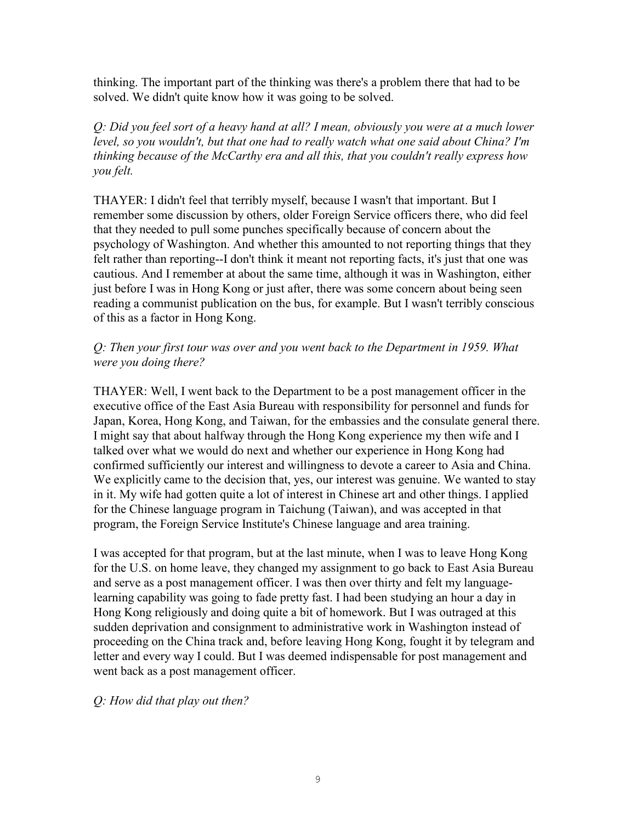thinking. The important part of the thinking was there's a problem there that had to be solved. We didn't quite know how it was going to be solved.

*Q: Did you feel sort of a heavy hand at all? I mean, obviously you were at a much lower level, so you wouldn't, but that one had to really watch what one said about China? I'm thinking because of the McCarthy era and all this, that you couldn't really express how you felt.* 

THAYER: I didn't feel that terribly myself, because I wasn't that important. But I remember some discussion by others, older Foreign Service officers there, who did feel that they needed to pull some punches specifically because of concern about the psychology of Washington. And whether this amounted to not reporting things that they felt rather than reporting--I don't think it meant not reporting facts, it's just that one was cautious. And I remember at about the same time, although it was in Washington, either just before I was in Hong Kong or just after, there was some concern about being seen reading a communist publication on the bus, for example. But I wasn't terribly conscious of this as a factor in Hong Kong.

## *Q: Then your first tour was over and you went back to the Department in 1959. What were you doing there?*

THAYER: Well, I went back to the Department to be a post management officer in the executive office of the East Asia Bureau with responsibility for personnel and funds for Japan, Korea, Hong Kong, and Taiwan, for the embassies and the consulate general there. I might say that about halfway through the Hong Kong experience my then wife and I talked over what we would do next and whether our experience in Hong Kong had confirmed sufficiently our interest and willingness to devote a career to Asia and China. We explicitly came to the decision that, yes, our interest was genuine. We wanted to stay in it. My wife had gotten quite a lot of interest in Chinese art and other things. I applied for the Chinese language program in Taichung (Taiwan), and was accepted in that program, the Foreign Service Institute's Chinese language and area training.

I was accepted for that program, but at the last minute, when I was to leave Hong Kong for the U.S. on home leave, they changed my assignment to go back to East Asia Bureau and serve as a post management officer. I was then over thirty and felt my languagelearning capability was going to fade pretty fast. I had been studying an hour a day in Hong Kong religiously and doing quite a bit of homework. But I was outraged at this sudden deprivation and consignment to administrative work in Washington instead of proceeding on the China track and, before leaving Hong Kong, fought it by telegram and letter and every way I could. But I was deemed indispensable for post management and went back as a post management officer.

*Q: How did that play out then?*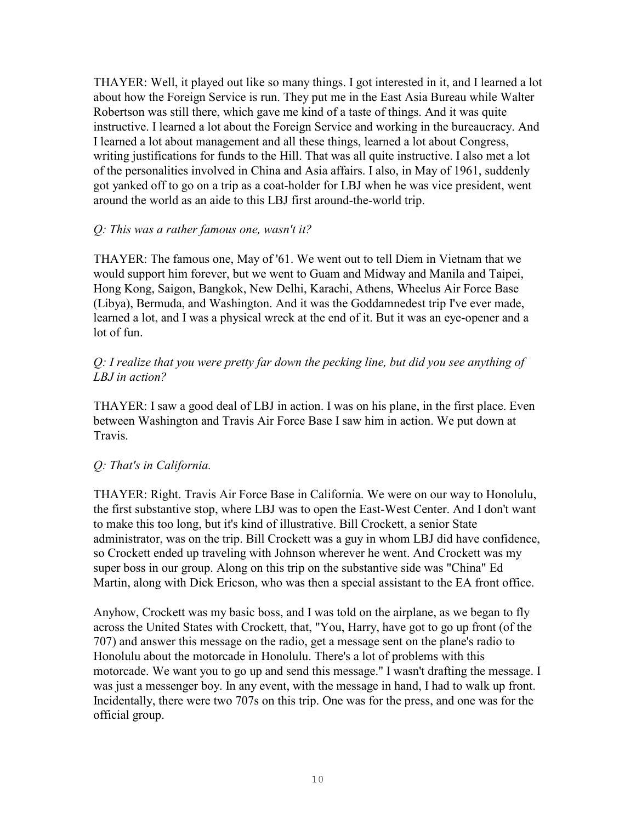THAYER: Well, it played out like so many things. I got interested in it, and I learned a lot about how the Foreign Service is run. They put me in the East Asia Bureau while Walter Robertson was still there, which gave me kind of a taste of things. And it was quite instructive. I learned a lot about the Foreign Service and working in the bureaucracy. And I learned a lot about management and all these things, learned a lot about Congress, writing justifications for funds to the Hill. That was all quite instructive. I also met a lot of the personalities involved in China and Asia affairs. I also, in May of 1961, suddenly got yanked off to go on a trip as a coat-holder for LBJ when he was vice president, went around the world as an aide to this LBJ first around-the-world trip.

#### *Q: This was a rather famous one, wasn't it?*

THAYER: The famous one, May of '61. We went out to tell Diem in Vietnam that we would support him forever, but we went to Guam and Midway and Manila and Taipei, Hong Kong, Saigon, Bangkok, New Delhi, Karachi, Athens, Wheelus Air Force Base (Libya), Bermuda, and Washington. And it was the Goddamnedest trip I've ever made, learned a lot, and I was a physical wreck at the end of it. But it was an eye-opener and a lot of fun.

### *Q: I realize that you were pretty far down the pecking line, but did you see anything of LBJ in action?*

THAYER: I saw a good deal of LBJ in action. I was on his plane, in the first place. Even between Washington and Travis Air Force Base I saw him in action. We put down at Travis.

### *Q: That's in California.*

THAYER: Right. Travis Air Force Base in California. We were on our way to Honolulu, the first substantive stop, where LBJ was to open the East-West Center. And I don't want to make this too long, but it's kind of illustrative. Bill Crockett, a senior State administrator, was on the trip. Bill Crockett was a guy in whom LBJ did have confidence, so Crockett ended up traveling with Johnson wherever he went. And Crockett was my super boss in our group. Along on this trip on the substantive side was "China" Ed Martin, along with Dick Ericson, who was then a special assistant to the EA front office.

Anyhow, Crockett was my basic boss, and I was told on the airplane, as we began to fly across the United States with Crockett, that, "You, Harry, have got to go up front (of the 707) and answer this message on the radio, get a message sent on the plane's radio to Honolulu about the motorcade in Honolulu. There's a lot of problems with this motorcade. We want you to go up and send this message." I wasn't drafting the message. I was just a messenger boy. In any event, with the message in hand, I had to walk up front. Incidentally, there were two 707s on this trip. One was for the press, and one was for the official group.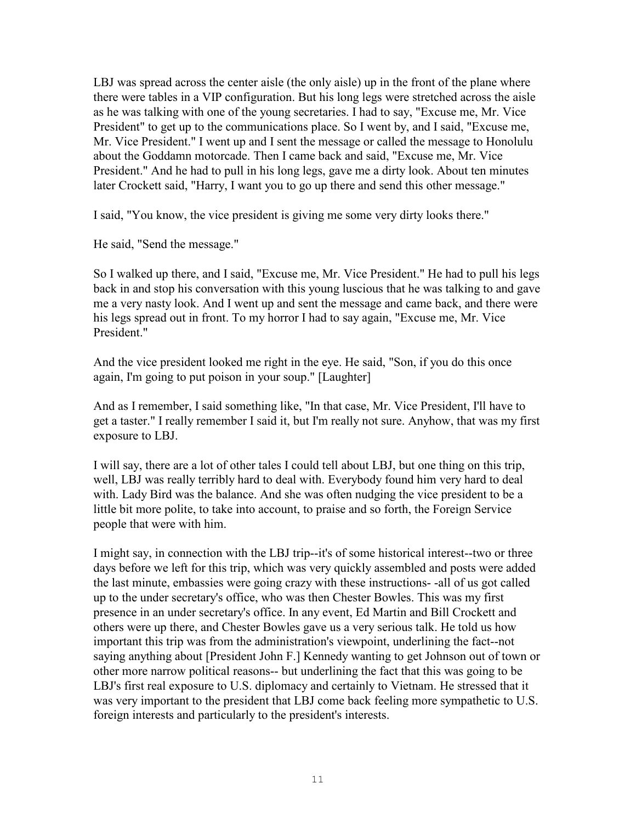LBJ was spread across the center aisle (the only aisle) up in the front of the plane where there were tables in a VIP configuration. But his long legs were stretched across the aisle as he was talking with one of the young secretaries. I had to say, "Excuse me, Mr. Vice President" to get up to the communications place. So I went by, and I said, "Excuse me, Mr. Vice President." I went up and I sent the message or called the message to Honolulu about the Goddamn motorcade. Then I came back and said, "Excuse me, Mr. Vice President." And he had to pull in his long legs, gave me a dirty look. About ten minutes later Crockett said, "Harry, I want you to go up there and send this other message."

I said, "You know, the vice president is giving me some very dirty looks there."

He said, "Send the message."

So I walked up there, and I said, "Excuse me, Mr. Vice President." He had to pull his legs back in and stop his conversation with this young luscious that he was talking to and gave me a very nasty look. And I went up and sent the message and came back, and there were his legs spread out in front. To my horror I had to say again, "Excuse me, Mr. Vice President."

And the vice president looked me right in the eye. He said, "Son, if you do this once again, I'm going to put poison in your soup." [Laughter]

And as I remember, I said something like, "In that case, Mr. Vice President, I'll have to get a taster." I really remember I said it, but I'm really not sure. Anyhow, that was my first exposure to LBJ.

I will say, there are a lot of other tales I could tell about LBJ, but one thing on this trip, well, LBJ was really terribly hard to deal with. Everybody found him very hard to deal with. Lady Bird was the balance. And she was often nudging the vice president to be a little bit more polite, to take into account, to praise and so forth, the Foreign Service people that were with him.

I might say, in connection with the LBJ trip--it's of some historical interest--two or three days before we left for this trip, which was very quickly assembled and posts were added the last minute, embassies were going crazy with these instructions- -all of us got called up to the under secretary's office, who was then Chester Bowles. This was my first presence in an under secretary's office. In any event, Ed Martin and Bill Crockett and others were up there, and Chester Bowles gave us a very serious talk. He told us how important this trip was from the administration's viewpoint, underlining the fact--not saying anything about [President John F.] Kennedy wanting to get Johnson out of town or other more narrow political reasons-- but underlining the fact that this was going to be LBJ's first real exposure to U.S. diplomacy and certainly to Vietnam. He stressed that it was very important to the president that LBJ come back feeling more sympathetic to U.S. foreign interests and particularly to the president's interests.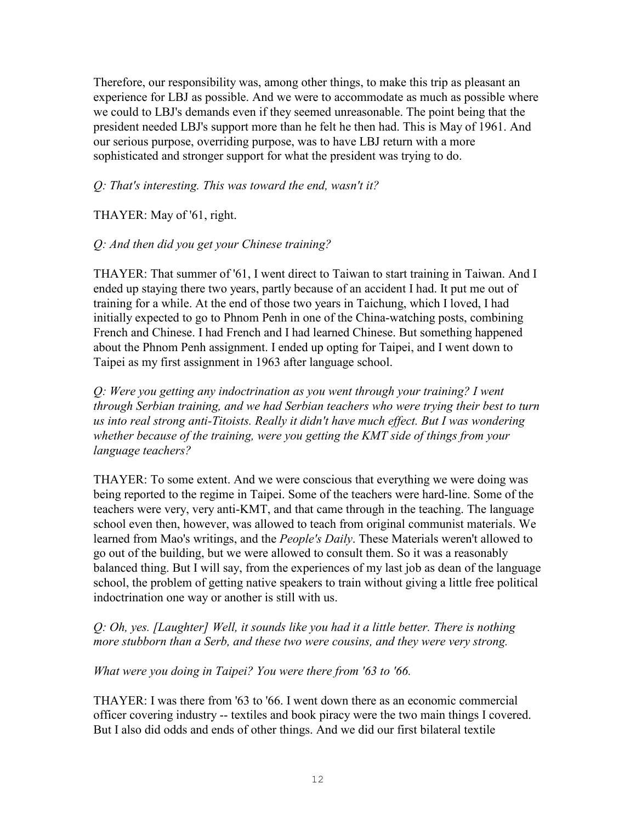Therefore, our responsibility was, among other things, to make this trip as pleasant an experience for LBJ as possible. And we were to accommodate as much as possible where we could to LBJ's demands even if they seemed unreasonable. The point being that the president needed LBJ's support more than he felt he then had. This is May of 1961. And our serious purpose, overriding purpose, was to have LBJ return with a more sophisticated and stronger support for what the president was trying to do.

## *Q: That's interesting. This was toward the end, wasn't it?*

THAYER: May of '61, right.

# *Q: And then did you get your Chinese training?*

THAYER: That summer of '61, I went direct to Taiwan to start training in Taiwan. And I ended up staying there two years, partly because of an accident I had. It put me out of training for a while. At the end of those two years in Taichung, which I loved, I had initially expected to go to Phnom Penh in one of the China-watching posts, combining French and Chinese. I had French and I had learned Chinese. But something happened about the Phnom Penh assignment. I ended up opting for Taipei, and I went down to Taipei as my first assignment in 1963 after language school.

*Q: Were you getting any indoctrination as you went through your training? I went through Serbian training, and we had Serbian teachers who were trying their best to turn us into real strong anti-Titoists. Really it didn't have much effect. But I was wondering whether because of the training, were you getting the KMT side of things from your language teachers?* 

THAYER: To some extent. And we were conscious that everything we were doing was being reported to the regime in Taipei. Some of the teachers were hard-line. Some of the teachers were very, very anti-KMT, and that came through in the teaching. The language school even then, however, was allowed to teach from original communist materials. We learned from Mao's writings, and the *People's Daily*. These Materials weren't allowed to go out of the building, but we were allowed to consult them. So it was a reasonably balanced thing. But I will say, from the experiences of my last job as dean of the language school, the problem of getting native speakers to train without giving a little free political indoctrination one way or another is still with us.

*Q: Oh, yes. [Laughter] Well, it sounds like you had it a little better. There is nothing more stubborn than a Serb, and these two were cousins, and they were very strong.* 

### *What were you doing in Taipei? You were there from '63 to '66.*

THAYER: I was there from '63 to '66. I went down there as an economic commercial officer covering industry -- textiles and book piracy were the two main things I covered. But I also did odds and ends of other things. And we did our first bilateral textile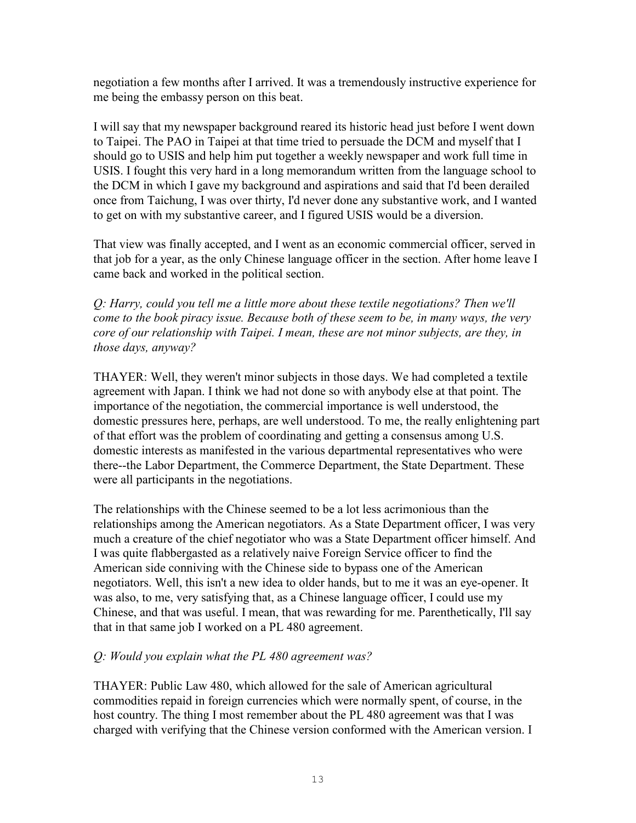negotiation a few months after I arrived. It was a tremendously instructive experience for me being the embassy person on this beat.

I will say that my newspaper background reared its historic head just before I went down to Taipei. The PAO in Taipei at that time tried to persuade the DCM and myself that I should go to USIS and help him put together a weekly newspaper and work full time in USIS. I fought this very hard in a long memorandum written from the language school to the DCM in which I gave my background and aspirations and said that I'd been derailed once from Taichung, I was over thirty, I'd never done any substantive work, and I wanted to get on with my substantive career, and I figured USIS would be a diversion.

That view was finally accepted, and I went as an economic commercial officer, served in that job for a year, as the only Chinese language officer in the section. After home leave I came back and worked in the political section.

*Q: Harry, could you tell me a little more about these textile negotiations? Then we'll come to the book piracy issue. Because both of these seem to be, in many ways, the very core of our relationship with Taipei. I mean, these are not minor subjects, are they, in those days, anyway?*

THAYER: Well, they weren't minor subjects in those days. We had completed a textile agreement with Japan. I think we had not done so with anybody else at that point. The importance of the negotiation, the commercial importance is well understood, the domestic pressures here, perhaps, are well understood. To me, the really enlightening part of that effort was the problem of coordinating and getting a consensus among U.S. domestic interests as manifested in the various departmental representatives who were there--the Labor Department, the Commerce Department, the State Department. These were all participants in the negotiations.

The relationships with the Chinese seemed to be a lot less acrimonious than the relationships among the American negotiators. As a State Department officer, I was very much a creature of the chief negotiator who was a State Department officer himself. And I was quite flabbergasted as a relatively naive Foreign Service officer to find the American side conniving with the Chinese side to bypass one of the American negotiators. Well, this isn't a new idea to older hands, but to me it was an eye-opener. It was also, to me, very satisfying that, as a Chinese language officer, I could use my Chinese, and that was useful. I mean, that was rewarding for me. Parenthetically, I'll say that in that same job I worked on a PL 480 agreement.

### *Q: Would you explain what the PL 480 agreement was?*

THAYER: Public Law 480, which allowed for the sale of American agricultural commodities repaid in foreign currencies which were normally spent, of course, in the host country. The thing I most remember about the PL 480 agreement was that I was charged with verifying that the Chinese version conformed with the American version. I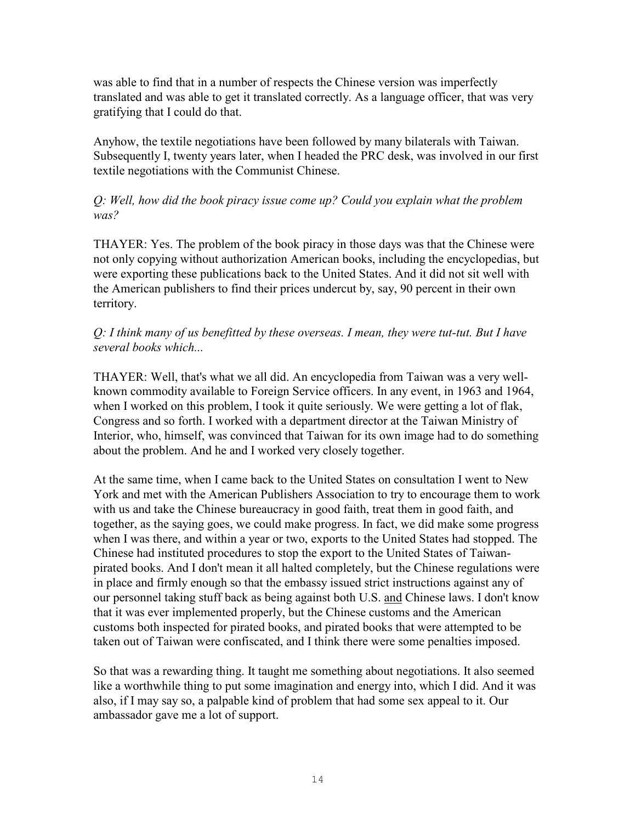was able to find that in a number of respects the Chinese version was imperfectly translated and was able to get it translated correctly. As a language officer, that was very gratifying that I could do that.

Anyhow, the textile negotiations have been followed by many bilaterals with Taiwan. Subsequently I, twenty years later, when I headed the PRC desk, was involved in our first textile negotiations with the Communist Chinese.

# *Q: Well, how did the book piracy issue come up? Could you explain what the problem was?*

THAYER: Yes. The problem of the book piracy in those days was that the Chinese were not only copying without authorization American books, including the encyclopedias, but were exporting these publications back to the United States. And it did not sit well with the American publishers to find their prices undercut by, say, 90 percent in their own territory.

# *Q: I think many of us benefitted by these overseas. I mean, they were tut-tut. But I have several books which...*

THAYER: Well, that's what we all did. An encyclopedia from Taiwan was a very wellknown commodity available to Foreign Service officers. In any event, in 1963 and 1964, when I worked on this problem, I took it quite seriously. We were getting a lot of flak, Congress and so forth. I worked with a department director at the Taiwan Ministry of Interior, who, himself, was convinced that Taiwan for its own image had to do something about the problem. And he and I worked very closely together.

At the same time, when I came back to the United States on consultation I went to New York and met with the American Publishers Association to try to encourage them to work with us and take the Chinese bureaucracy in good faith, treat them in good faith, and together, as the saying goes, we could make progress. In fact, we did make some progress when I was there, and within a year or two, exports to the United States had stopped. The Chinese had instituted procedures to stop the export to the United States of Taiwanpirated books. And I don't mean it all halted completely, but the Chinese regulations were in place and firmly enough so that the embassy issued strict instructions against any of our personnel taking stuff back as being against both U.S. and Chinese laws. I don't know that it was ever implemented properly, but the Chinese customs and the American customs both inspected for pirated books, and pirated books that were attempted to be taken out of Taiwan were confiscated, and I think there were some penalties imposed.

So that was a rewarding thing. It taught me something about negotiations. It also seemed like a worthwhile thing to put some imagination and energy into, which I did. And it was also, if I may say so, a palpable kind of problem that had some sex appeal to it. Our ambassador gave me a lot of support.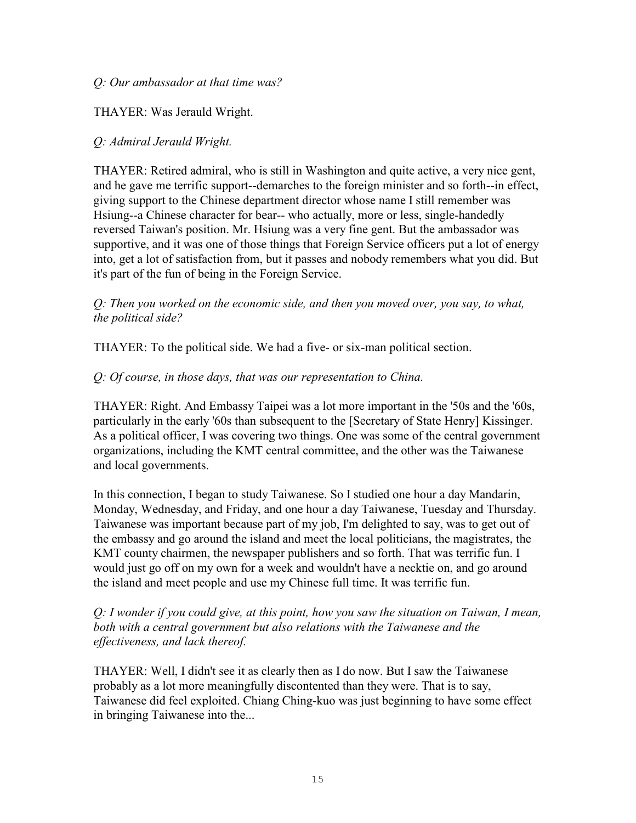#### *Q: Our ambassador at that time was?*

## THAYER: Was Jerauld Wright.

## *Q: Admiral Jerauld Wright.*

THAYER: Retired admiral, who is still in Washington and quite active, a very nice gent, and he gave me terrific support--demarches to the foreign minister and so forth--in effect, giving support to the Chinese department director whose name I still remember was Hsiung--a Chinese character for bear-- who actually, more or less, single-handedly reversed Taiwan's position. Mr. Hsiung was a very fine gent. But the ambassador was supportive, and it was one of those things that Foreign Service officers put a lot of energy into, get a lot of satisfaction from, but it passes and nobody remembers what you did. But it's part of the fun of being in the Foreign Service.

*Q: Then you worked on the economic side, and then you moved over, you say, to what, the political side?* 

THAYER: To the political side. We had a five- or six-man political section.

### *Q: Of course, in those days, that was our representation to China.*

THAYER: Right. And Embassy Taipei was a lot more important in the '50s and the '60s, particularly in the early '60s than subsequent to the [Secretary of State Henry] Kissinger. As a political officer, I was covering two things. One was some of the central government organizations, including the KMT central committee, and the other was the Taiwanese and local governments.

In this connection, I began to study Taiwanese. So I studied one hour a day Mandarin, Monday, Wednesday, and Friday, and one hour a day Taiwanese, Tuesday and Thursday. Taiwanese was important because part of my job, I'm delighted to say, was to get out of the embassy and go around the island and meet the local politicians, the magistrates, the KMT county chairmen, the newspaper publishers and so forth. That was terrific fun. I would just go off on my own for a week and wouldn't have a necktie on, and go around the island and meet people and use my Chinese full time. It was terrific fun.

*Q: I wonder if you could give, at this point, how you saw the situation on Taiwan, I mean, both with a central government but also relations with the Taiwanese and the effectiveness, and lack thereof.* 

THAYER: Well, I didn't see it as clearly then as I do now. But I saw the Taiwanese probably as a lot more meaningfully discontented than they were. That is to say, Taiwanese did feel exploited. Chiang Ching-kuo was just beginning to have some effect in bringing Taiwanese into the...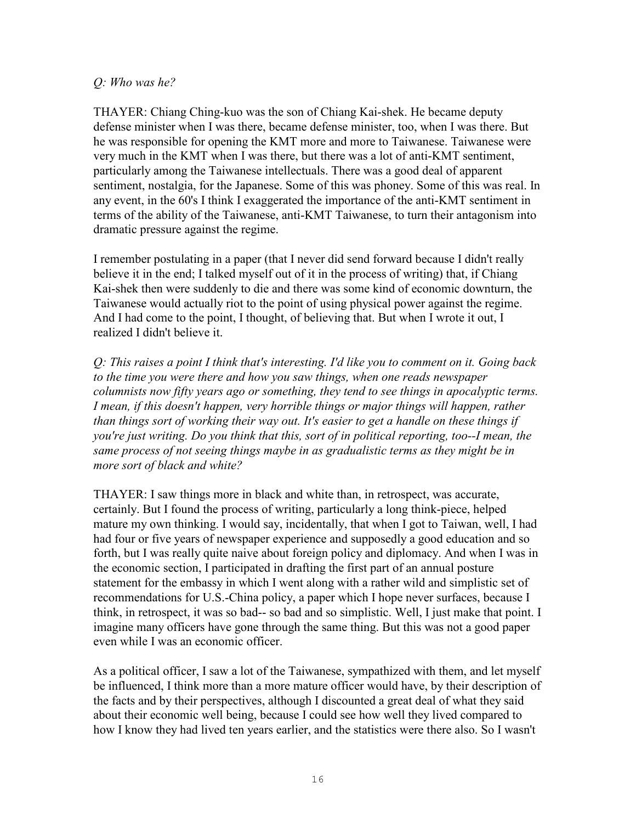#### *Q: Who was he?*

THAYER: Chiang Ching-kuo was the son of Chiang Kai-shek. He became deputy defense minister when I was there, became defense minister, too, when I was there. But he was responsible for opening the KMT more and more to Taiwanese. Taiwanese were very much in the KMT when I was there, but there was a lot of anti-KMT sentiment, particularly among the Taiwanese intellectuals. There was a good deal of apparent sentiment, nostalgia, for the Japanese. Some of this was phoney. Some of this was real. In any event, in the 60's I think I exaggerated the importance of the anti-KMT sentiment in terms of the ability of the Taiwanese, anti-KMT Taiwanese, to turn their antagonism into dramatic pressure against the regime.

I remember postulating in a paper (that I never did send forward because I didn't really believe it in the end; I talked myself out of it in the process of writing) that, if Chiang Kai-shek then were suddenly to die and there was some kind of economic downturn, the Taiwanese would actually riot to the point of using physical power against the regime. And I had come to the point, I thought, of believing that. But when I wrote it out, I realized I didn't believe it.

*Q: This raises a point I think that's interesting. I'd like you to comment on it. Going back to the time you were there and how you saw things, when one reads newspaper columnists now fifty years ago or something, they tend to see things in apocalyptic terms. I mean, if this doesn't happen, very horrible things or major things will happen, rather than things sort of working their way out. It's easier to get a handle on these things if you're just writing. Do you think that this, sort of in political reporting, too--I mean, the same process of not seeing things maybe in as gradualistic terms as they might be in more sort of black and white?*

THAYER: I saw things more in black and white than, in retrospect, was accurate, certainly. But I found the process of writing, particularly a long think-piece, helped mature my own thinking. I would say, incidentally, that when I got to Taiwan, well, I had had four or five years of newspaper experience and supposedly a good education and so forth, but I was really quite naive about foreign policy and diplomacy. And when I was in the economic section, I participated in drafting the first part of an annual posture statement for the embassy in which I went along with a rather wild and simplistic set of recommendations for U.S.-China policy, a paper which I hope never surfaces, because I think, in retrospect, it was so bad-- so bad and so simplistic. Well, I just make that point. I imagine many officers have gone through the same thing. But this was not a good paper even while I was an economic officer.

As a political officer, I saw a lot of the Taiwanese, sympathized with them, and let myself be influenced, I think more than a more mature officer would have, by their description of the facts and by their perspectives, although I discounted a great deal of what they said about their economic well being, because I could see how well they lived compared to how I know they had lived ten years earlier, and the statistics were there also. So I wasn't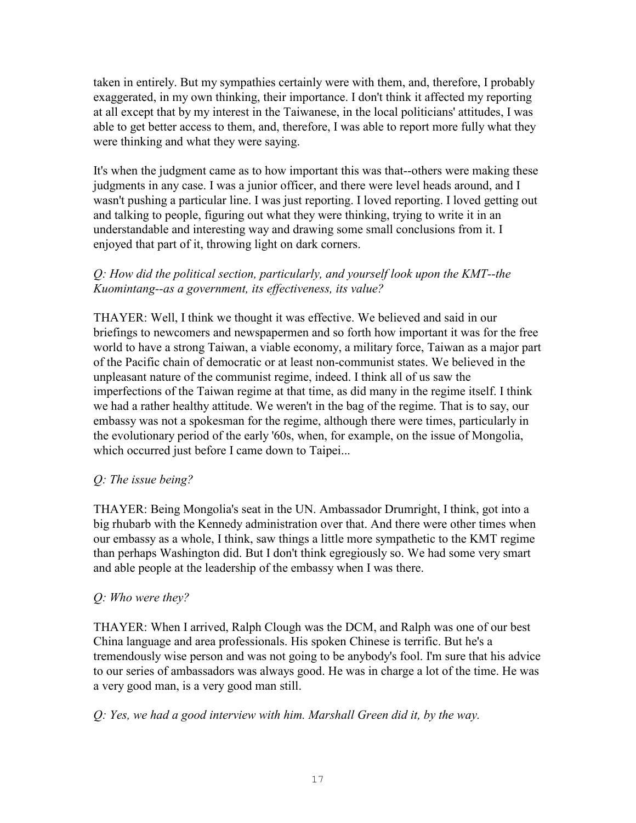taken in entirely. But my sympathies certainly were with them, and, therefore, I probably exaggerated, in my own thinking, their importance. I don't think it affected my reporting at all except that by my interest in the Taiwanese, in the local politicians' attitudes, I was able to get better access to them, and, therefore, I was able to report more fully what they were thinking and what they were saying.

It's when the judgment came as to how important this was that--others were making these judgments in any case. I was a junior officer, and there were level heads around, and I wasn't pushing a particular line. I was just reporting. I loved reporting. I loved getting out and talking to people, figuring out what they were thinking, trying to write it in an understandable and interesting way and drawing some small conclusions from it. I enjoyed that part of it, throwing light on dark corners.

# *Q: How did the political section, particularly, and yourself look upon the KMT--the Kuomintang--as a government, its effectiveness, its value?*

THAYER: Well, I think we thought it was effective. We believed and said in our briefings to newcomers and newspapermen and so forth how important it was for the free world to have a strong Taiwan, a viable economy, a military force, Taiwan as a major part of the Pacific chain of democratic or at least non-communist states. We believed in the unpleasant nature of the communist regime, indeed. I think all of us saw the imperfections of the Taiwan regime at that time, as did many in the regime itself. I think we had a rather healthy attitude. We weren't in the bag of the regime. That is to say, our embassy was not a spokesman for the regime, although there were times, particularly in the evolutionary period of the early '60s, when, for example, on the issue of Mongolia, which occurred just before I came down to Taipei...

# *Q: The issue being?*

THAYER: Being Mongolia's seat in the UN. Ambassador Drumright, I think, got into a big rhubarb with the Kennedy administration over that. And there were other times when our embassy as a whole, I think, saw things a little more sympathetic to the KMT regime than perhaps Washington did. But I don't think egregiously so. We had some very smart and able people at the leadership of the embassy when I was there.

# *Q: Who were they?*

THAYER: When I arrived, Ralph Clough was the DCM, and Ralph was one of our best China language and area professionals. His spoken Chinese is terrific. But he's a tremendously wise person and was not going to be anybody's fool. I'm sure that his advice to our series of ambassadors was always good. He was in charge a lot of the time. He was a very good man, is a very good man still.

# *Q: Yes, we had a good interview with him. Marshall Green did it, by the way.*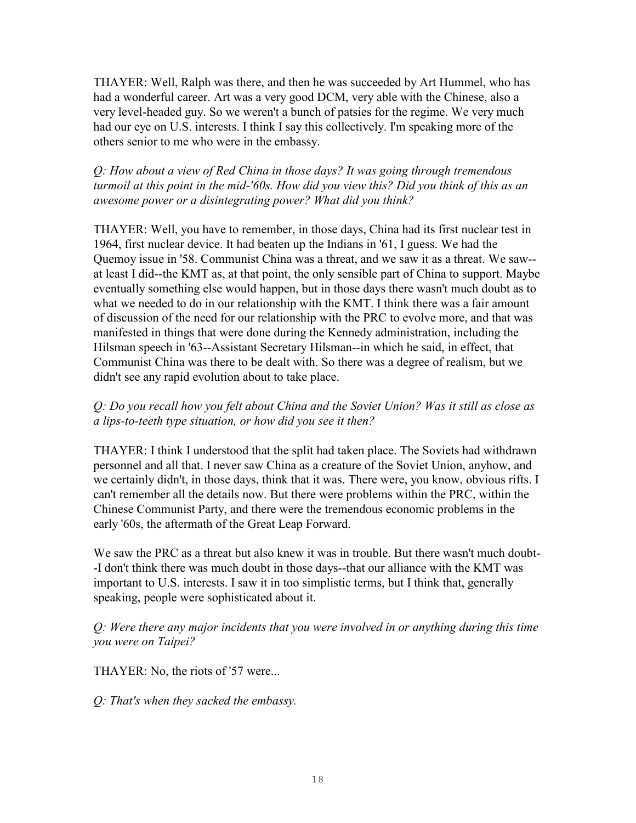THAYER: Well, Ralph was there, and then he was succeeded by Art Hummel, who has had a wonderful career. Art was a very good DCM, very able with the Chinese, also a very level-headed guy. So we weren't a bunch of patsies for the regime. We very much had our eye on U.S. interests. I think I say this collectively. I'm speaking more of the others senior to me who were in the embassy.

## *Q: How about a view of Red China in those days? It was going through tremendous turmoil at this point in the mid-'60s. How did you view this? Did you think of this as an awesome power or a disintegrating power? What did you think?*

THAYER: Well, you have to remember, in those days, China had its first nuclear test in 1964, first nuclear device. It had beaten up the Indians in '61, I guess. We had the Quemoy issue in '58. Communist China was a threat, and we saw it as a threat. We saw- at least I did--the KMT as, at that point, the only sensible part of China to support. Maybe eventually something else would happen, but in those days there wasn't much doubt as to what we needed to do in our relationship with the KMT. I think there was a fair amount of discussion of the need for our relationship with the PRC to evolve more, and that was manifested in things that were done during the Kennedy administration, including the Hilsman speech in '63--Assistant Secretary Hilsman--in which he said, in effect, that Communist China was there to be dealt with. So there was a degree of realism, but we didn't see any rapid evolution about to take place.

# *Q: Do you recall how you felt about China and the Soviet Union? Was it still as close as a lips-to-teeth type situation, or how did you see it then?*

THAYER: I think I understood that the split had taken place. The Soviets had withdrawn personnel and all that. I never saw China as a creature of the Soviet Union, anyhow, and we certainly didn't, in those days, think that it was. There were, you know, obvious rifts. I can't remember all the details now. But there were problems within the PRC, within the Chinese Communist Party, and there were the tremendous economic problems in the early '60s, the aftermath of the Great Leap Forward.

We saw the PRC as a threat but also knew it was in trouble. But there wasn't much doubt--I don't think there was much doubt in those days--that our alliance with the KMT was important to U.S. interests. I saw it in too simplistic terms, but I think that, generally speaking, people were sophisticated about it.

### *Q: Were there any major incidents that you were involved in or anything during this time you were on Taipei?*

THAYER: No, the riots of '57 were...

*Q: That's when they sacked the embassy.*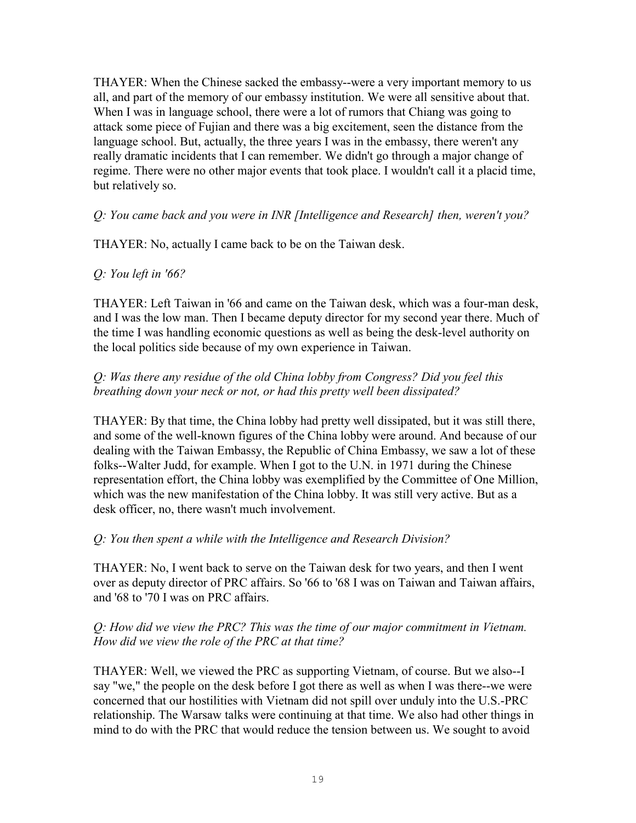THAYER: When the Chinese sacked the embassy--were a very important memory to us all, and part of the memory of our embassy institution. We were all sensitive about that. When I was in language school, there were a lot of rumors that Chiang was going to attack some piece of Fujian and there was a big excitement, seen the distance from the language school. But, actually, the three years I was in the embassy, there weren't any really dramatic incidents that I can remember. We didn't go through a major change of regime. There were no other major events that took place. I wouldn't call it a placid time, but relatively so.

*Q: You came back and you were in INR [Intelligence and Research] then, weren't you?* 

THAYER: No, actually I came back to be on the Taiwan desk.

# *Q: You left in '66?*

THAYER: Left Taiwan in '66 and came on the Taiwan desk, which was a four-man desk, and I was the low man. Then I became deputy director for my second year there. Much of the time I was handling economic questions as well as being the desk-level authority on the local politics side because of my own experience in Taiwan.

# *Q: Was there any residue of the old China lobby from Congress? Did you feel this breathing down your neck or not, or had this pretty well been dissipated?*

THAYER: By that time, the China lobby had pretty well dissipated, but it was still there, and some of the well-known figures of the China lobby were around. And because of our dealing with the Taiwan Embassy, the Republic of China Embassy, we saw a lot of these folks--Walter Judd, for example. When I got to the U.N. in 1971 during the Chinese representation effort, the China lobby was exemplified by the Committee of One Million, which was the new manifestation of the China lobby. It was still very active. But as a desk officer, no, there wasn't much involvement.

# *Q: You then spent a while with the Intelligence and Research Division?*

THAYER: No, I went back to serve on the Taiwan desk for two years, and then I went over as deputy director of PRC affairs. So '66 to '68 I was on Taiwan and Taiwan affairs, and '68 to '70 I was on PRC affairs.

### *Q: How did we view the PRC? This was the time of our major commitment in Vietnam. How did we view the role of the PRC at that time?*

THAYER: Well, we viewed the PRC as supporting Vietnam, of course. But we also--I say "we," the people on the desk before I got there as well as when I was there--we were concerned that our hostilities with Vietnam did not spill over unduly into the U.S.-PRC relationship. The Warsaw talks were continuing at that time. We also had other things in mind to do with the PRC that would reduce the tension between us. We sought to avoid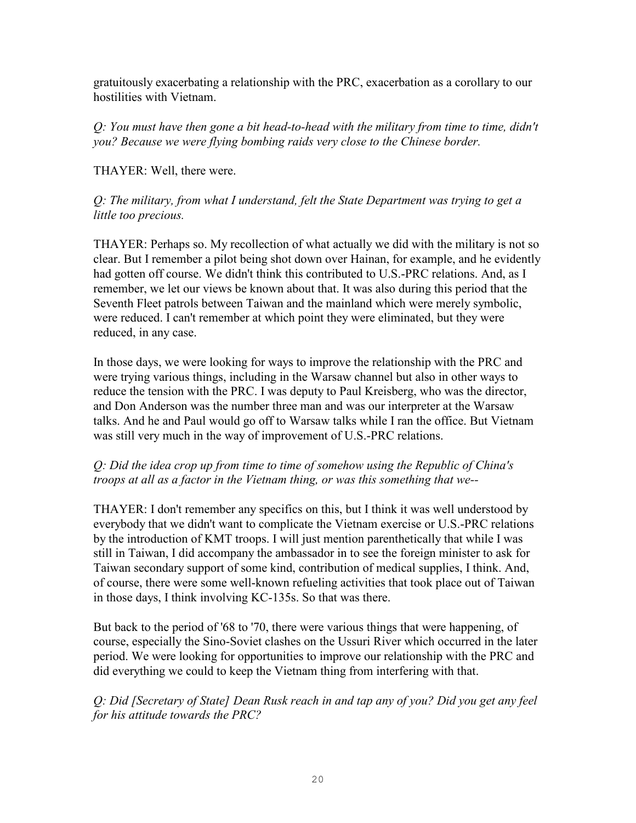gratuitously exacerbating a relationship with the PRC, exacerbation as a corollary to our hostilities with Vietnam.

*Q: You must have then gone a bit head-to-head with the military from time to time, didn't you? Because we were flying bombing raids very close to the Chinese border.* 

THAYER: Well, there were.

# *Q: The military, from what I understand, felt the State Department was trying to get a little too precious.*

THAYER: Perhaps so. My recollection of what actually we did with the military is not so clear. But I remember a pilot being shot down over Hainan, for example, and he evidently had gotten off course. We didn't think this contributed to U.S.-PRC relations. And, as I remember, we let our views be known about that. It was also during this period that the Seventh Fleet patrols between Taiwan and the mainland which were merely symbolic, were reduced. I can't remember at which point they were eliminated, but they were reduced, in any case.

In those days, we were looking for ways to improve the relationship with the PRC and were trying various things, including in the Warsaw channel but also in other ways to reduce the tension with the PRC. I was deputy to Paul Kreisberg, who was the director, and Don Anderson was the number three man and was our interpreter at the Warsaw talks. And he and Paul would go off to Warsaw talks while I ran the office. But Vietnam was still very much in the way of improvement of U.S.-PRC relations.

# *Q: Did the idea crop up from time to time of somehow using the Republic of China's troops at all as a factor in the Vietnam thing, or was this something that we--*

THAYER: I don't remember any specifics on this, but I think it was well understood by everybody that we didn't want to complicate the Vietnam exercise or U.S.-PRC relations by the introduction of KMT troops. I will just mention parenthetically that while I was still in Taiwan, I did accompany the ambassador in to see the foreign minister to ask for Taiwan secondary support of some kind, contribution of medical supplies, I think. And, of course, there were some well-known refueling activities that took place out of Taiwan in those days, I think involving KC-135s. So that was there.

But back to the period of '68 to '70, there were various things that were happening, of course, especially the Sino-Soviet clashes on the Ussuri River which occurred in the later period. We were looking for opportunities to improve our relationship with the PRC and did everything we could to keep the Vietnam thing from interfering with that.

*Q: Did [Secretary of State] Dean Rusk reach in and tap any of you? Did you get any feel for his attitude towards the PRC?*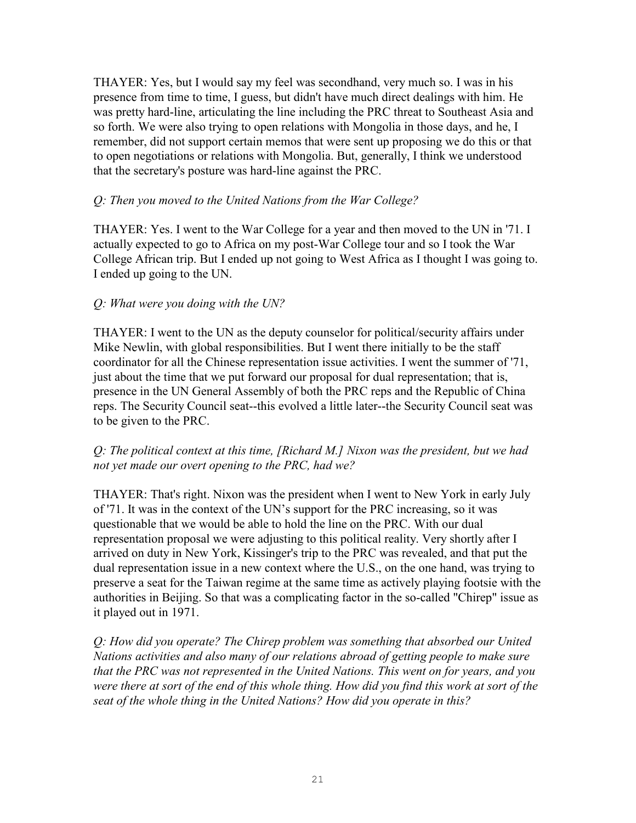THAYER: Yes, but I would say my feel was secondhand, very much so. I was in his presence from time to time, I guess, but didn't have much direct dealings with him. He was pretty hard-line, articulating the line including the PRC threat to Southeast Asia and so forth. We were also trying to open relations with Mongolia in those days, and he, I remember, did not support certain memos that were sent up proposing we do this or that to open negotiations or relations with Mongolia. But, generally, I think we understood that the secretary's posture was hard-line against the PRC.

## *Q: Then you moved to the United Nations from the War College?*

THAYER: Yes. I went to the War College for a year and then moved to the UN in '71. I actually expected to go to Africa on my post-War College tour and so I took the War College African trip. But I ended up not going to West Africa as I thought I was going to. I ended up going to the UN.

# *Q: What were you doing with the UN?*

THAYER: I went to the UN as the deputy counselor for political/security affairs under Mike Newlin, with global responsibilities. But I went there initially to be the staff coordinator for all the Chinese representation issue activities. I went the summer of '71, just about the time that we put forward our proposal for dual representation; that is, presence in the UN General Assembly of both the PRC reps and the Republic of China reps. The Security Council seat--this evolved a little later--the Security Council seat was to be given to the PRC.

### *Q: The political context at this time, [Richard M.] Nixon was the president, but we had not yet made our overt opening to the PRC, had we?*

THAYER: That's right. Nixon was the president when I went to New York in early July of '71. It was in the context of the UN's support for the PRC increasing, so it was questionable that we would be able to hold the line on the PRC. With our dual representation proposal we were adjusting to this political reality. Very shortly after I arrived on duty in New York, Kissinger's trip to the PRC was revealed, and that put the dual representation issue in a new context where the U.S., on the one hand, was trying to preserve a seat for the Taiwan regime at the same time as actively playing footsie with the authorities in Beijing. So that was a complicating factor in the so-called "Chirep" issue as it played out in 1971.

*Q: How did you operate? The Chirep problem was something that absorbed our United Nations activities and also many of our relations abroad of getting people to make sure that the PRC was not represented in the United Nations. This went on for years, and you were there at sort of the end of this whole thing. How did you find this work at sort of the seat of the whole thing in the United Nations? How did you operate in this?*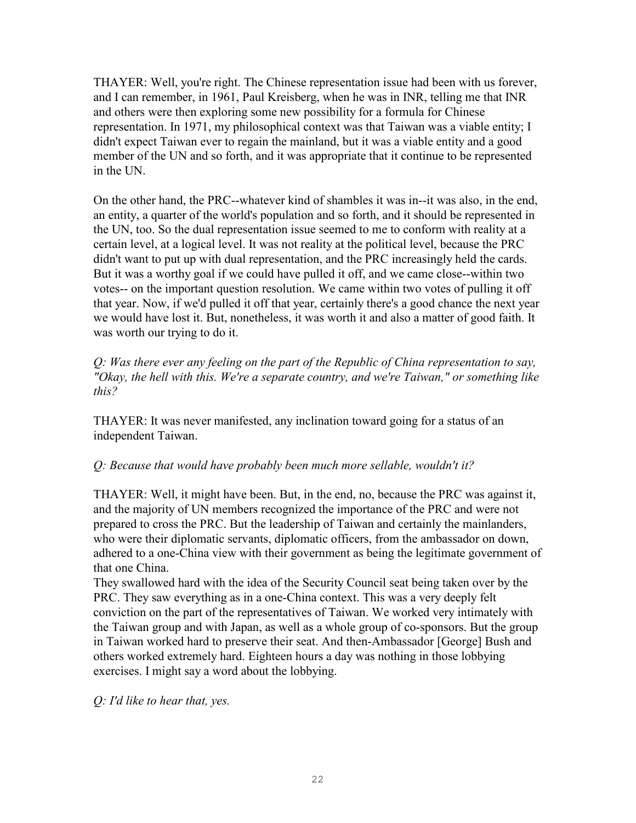THAYER: Well, you're right. The Chinese representation issue had been with us forever, and I can remember, in 1961, Paul Kreisberg, when he was in INR, telling me that INR and others were then exploring some new possibility for a formula for Chinese representation. In 1971, my philosophical context was that Taiwan was a viable entity; I didn't expect Taiwan ever to regain the mainland, but it was a viable entity and a good member of the UN and so forth, and it was appropriate that it continue to be represented in the UN.

On the other hand, the PRC--whatever kind of shambles it was in--it was also, in the end, an entity, a quarter of the world's population and so forth, and it should be represented in the UN, too. So the dual representation issue seemed to me to conform with reality at a certain level, at a logical level. It was not reality at the political level, because the PRC didn't want to put up with dual representation, and the PRC increasingly held the cards. But it was a worthy goal if we could have pulled it off, and we came close--within two votes-- on the important question resolution. We came within two votes of pulling it off that year. Now, if we'd pulled it off that year, certainly there's a good chance the next year we would have lost it. But, nonetheless, it was worth it and also a matter of good faith. It was worth our trying to do it.

*Q: Was there ever any feeling on the part of the Republic of China representation to say, "Okay, the hell with this. We're a separate country, and we're Taiwan," or something like this?* 

THAYER: It was never manifested, any inclination toward going for a status of an independent Taiwan.

### *Q: Because that would have probably been much more sellable, wouldn't it?*

THAYER: Well, it might have been. But, in the end, no, because the PRC was against it, and the majority of UN members recognized the importance of the PRC and were not prepared to cross the PRC. But the leadership of Taiwan and certainly the mainlanders, who were their diplomatic servants, diplomatic officers, from the ambassador on down, adhered to a one-China view with their government as being the legitimate government of that one China.

They swallowed hard with the idea of the Security Council seat being taken over by the PRC. They saw everything as in a one-China context. This was a very deeply felt conviction on the part of the representatives of Taiwan. We worked very intimately with the Taiwan group and with Japan, as well as a whole group of co-sponsors. But the group in Taiwan worked hard to preserve their seat. And then-Ambassador [George] Bush and others worked extremely hard. Eighteen hours a day was nothing in those lobbying exercises. I might say a word about the lobbying.

*Q: I'd like to hear that, yes.*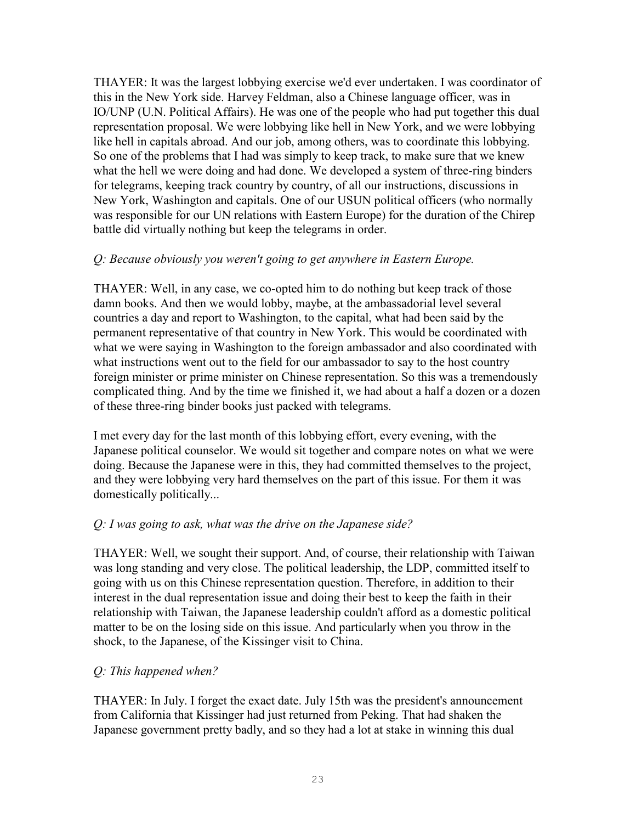THAYER: It was the largest lobbying exercise we'd ever undertaken. I was coordinator of this in the New York side. Harvey Feldman, also a Chinese language officer, was in IO/UNP (U.N. Political Affairs). He was one of the people who had put together this dual representation proposal. We were lobbying like hell in New York, and we were lobbying like hell in capitals abroad. And our job, among others, was to coordinate this lobbying. So one of the problems that I had was simply to keep track, to make sure that we knew what the hell we were doing and had done. We developed a system of three-ring binders for telegrams, keeping track country by country, of all our instructions, discussions in New York, Washington and capitals. One of our USUN political officers (who normally was responsible for our UN relations with Eastern Europe) for the duration of the Chirep battle did virtually nothing but keep the telegrams in order.

### *Q: Because obviously you weren't going to get anywhere in Eastern Europe.*

THAYER: Well, in any case, we co-opted him to do nothing but keep track of those damn books. And then we would lobby, maybe, at the ambassadorial level several countries a day and report to Washington, to the capital, what had been said by the permanent representative of that country in New York. This would be coordinated with what we were saying in Washington to the foreign ambassador and also coordinated with what instructions went out to the field for our ambassador to say to the host country foreign minister or prime minister on Chinese representation. So this was a tremendously complicated thing. And by the time we finished it, we had about a half a dozen or a dozen of these three-ring binder books just packed with telegrams.

I met every day for the last month of this lobbying effort, every evening, with the Japanese political counselor. We would sit together and compare notes on what we were doing. Because the Japanese were in this, they had committed themselves to the project, and they were lobbying very hard themselves on the part of this issue. For them it was domestically politically...

### *Q: I was going to ask, what was the drive on the Japanese side?*

THAYER: Well, we sought their support. And, of course, their relationship with Taiwan was long standing and very close. The political leadership, the LDP, committed itself to going with us on this Chinese representation question. Therefore, in addition to their interest in the dual representation issue and doing their best to keep the faith in their relationship with Taiwan, the Japanese leadership couldn't afford as a domestic political matter to be on the losing side on this issue. And particularly when you throw in the shock, to the Japanese, of the Kissinger visit to China.

### *Q: This happened when?*

THAYER: In July. I forget the exact date. July 15th was the president's announcement from California that Kissinger had just returned from Peking. That had shaken the Japanese government pretty badly, and so they had a lot at stake in winning this dual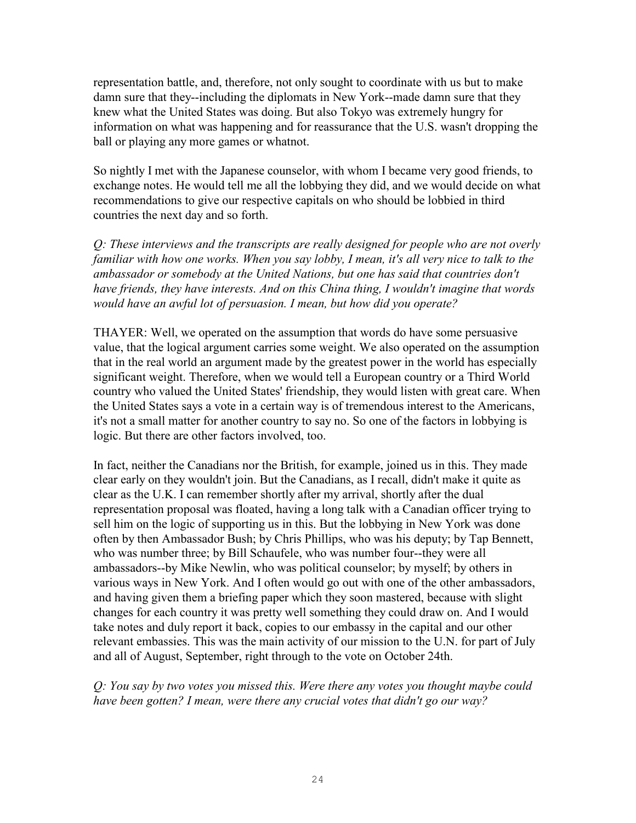representation battle, and, therefore, not only sought to coordinate with us but to make damn sure that they--including the diplomats in New York--made damn sure that they knew what the United States was doing. But also Tokyo was extremely hungry for information on what was happening and for reassurance that the U.S. wasn't dropping the ball or playing any more games or whatnot.

So nightly I met with the Japanese counselor, with whom I became very good friends, to exchange notes. He would tell me all the lobbying they did, and we would decide on what recommendations to give our respective capitals on who should be lobbied in third countries the next day and so forth.

*Q: These interviews and the transcripts are really designed for people who are not overly familiar with how one works. When you say lobby, I mean, it's all very nice to talk to the ambassador or somebody at the United Nations, but one has said that countries don't have friends, they have interests. And on this China thing, I wouldn't imagine that words would have an awful lot of persuasion. I mean, but how did you operate?* 

THAYER: Well, we operated on the assumption that words do have some persuasive value, that the logical argument carries some weight. We also operated on the assumption that in the real world an argument made by the greatest power in the world has especially significant weight. Therefore, when we would tell a European country or a Third World country who valued the United States' friendship, they would listen with great care. When the United States says a vote in a certain way is of tremendous interest to the Americans, it's not a small matter for another country to say no. So one of the factors in lobbying is logic. But there are other factors involved, too.

In fact, neither the Canadians nor the British, for example, joined us in this. They made clear early on they wouldn't join. But the Canadians, as I recall, didn't make it quite as clear as the U.K. I can remember shortly after my arrival, shortly after the dual representation proposal was floated, having a long talk with a Canadian officer trying to sell him on the logic of supporting us in this. But the lobbying in New York was done often by then Ambassador Bush; by Chris Phillips, who was his deputy; by Tap Bennett, who was number three; by Bill Schaufele, who was number four--they were all ambassadors--by Mike Newlin, who was political counselor; by myself; by others in various ways in New York. And I often would go out with one of the other ambassadors, and having given them a briefing paper which they soon mastered, because with slight changes for each country it was pretty well something they could draw on. And I would take notes and duly report it back, copies to our embassy in the capital and our other relevant embassies. This was the main activity of our mission to the U.N. for part of July and all of August, September, right through to the vote on October 24th.

*Q: You say by two votes you missed this. Were there any votes you thought maybe could have been gotten? I mean, were there any crucial votes that didn't go our way?*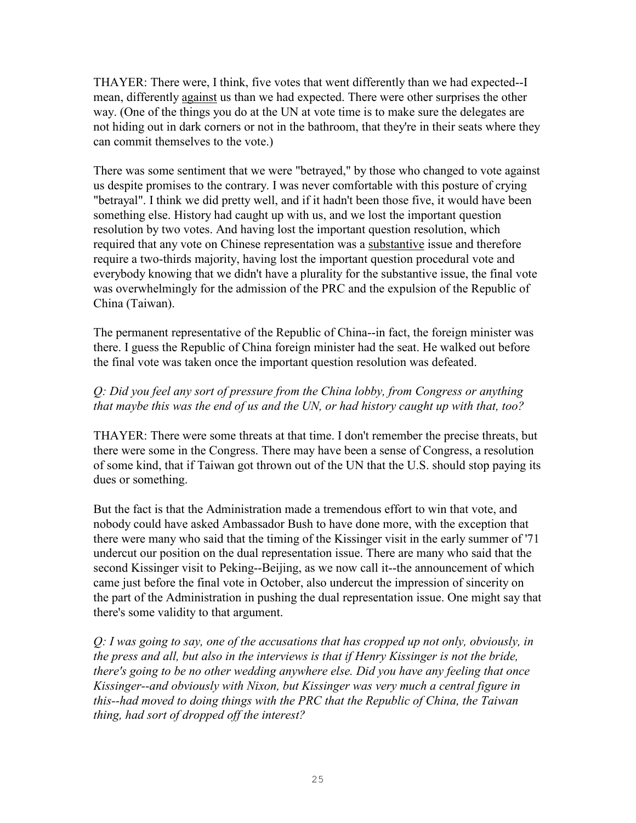THAYER: There were, I think, five votes that went differently than we had expected--I mean, differently against us than we had expected. There were other surprises the other way. (One of the things you do at the UN at vote time is to make sure the delegates are not hiding out in dark corners or not in the bathroom, that they're in their seats where they can commit themselves to the vote.)

There was some sentiment that we were "betrayed," by those who changed to vote against us despite promises to the contrary. I was never comfortable with this posture of crying "betrayal". I think we did pretty well, and if it hadn't been those five, it would have been something else. History had caught up with us, and we lost the important question resolution by two votes. And having lost the important question resolution, which required that any vote on Chinese representation was a substantive issue and therefore require a two-thirds majority, having lost the important question procedural vote and everybody knowing that we didn't have a plurality for the substantive issue, the final vote was overwhelmingly for the admission of the PRC and the expulsion of the Republic of China (Taiwan).

The permanent representative of the Republic of China--in fact, the foreign minister was there. I guess the Republic of China foreign minister had the seat. He walked out before the final vote was taken once the important question resolution was defeated.

# *Q: Did you feel any sort of pressure from the China lobby, from Congress or anything that maybe this was the end of us and the UN, or had history caught up with that, too?*

THAYER: There were some threats at that time. I don't remember the precise threats, but there were some in the Congress. There may have been a sense of Congress, a resolution of some kind, that if Taiwan got thrown out of the UN that the U.S. should stop paying its dues or something.

But the fact is that the Administration made a tremendous effort to win that vote, and nobody could have asked Ambassador Bush to have done more, with the exception that there were many who said that the timing of the Kissinger visit in the early summer of '71 undercut our position on the dual representation issue. There are many who said that the second Kissinger visit to Peking--Beijing, as we now call it--the announcement of which came just before the final vote in October, also undercut the impression of sincerity on the part of the Administration in pushing the dual representation issue. One might say that there's some validity to that argument.

*Q: I was going to say, one of the accusations that has cropped up not only, obviously, in the press and all, but also in the interviews is that if Henry Kissinger is not the bride, there's going to be no other wedding anywhere else. Did you have any feeling that once Kissinger--and obviously with Nixon, but Kissinger was very much a central figure in this--had moved to doing things with the PRC that the Republic of China, the Taiwan thing, had sort of dropped off the interest?*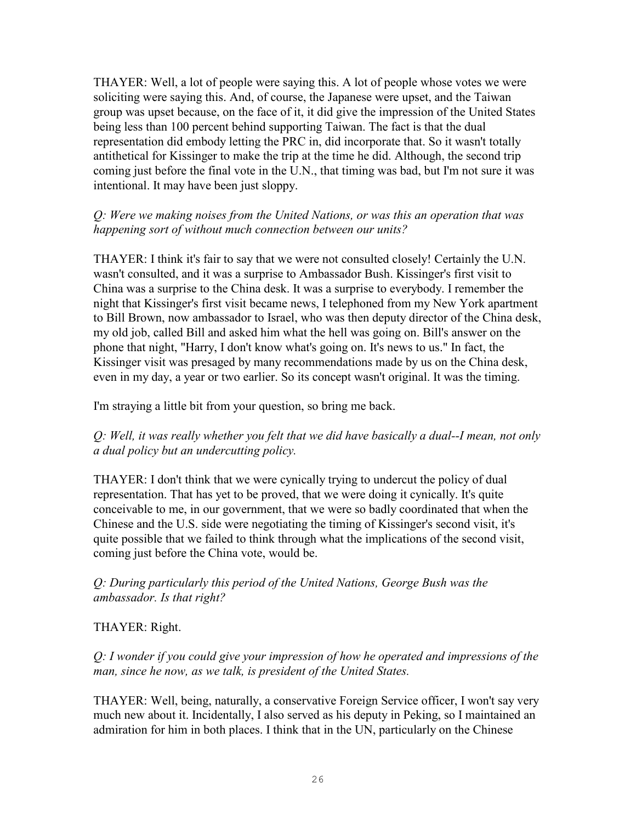THAYER: Well, a lot of people were saying this. A lot of people whose votes we were soliciting were saying this. And, of course, the Japanese were upset, and the Taiwan group was upset because, on the face of it, it did give the impression of the United States being less than 100 percent behind supporting Taiwan. The fact is that the dual representation did embody letting the PRC in, did incorporate that. So it wasn't totally antithetical for Kissinger to make the trip at the time he did. Although, the second trip coming just before the final vote in the U.N., that timing was bad, but I'm not sure it was intentional. It may have been just sloppy.

## *Q: Were we making noises from the United Nations, or was this an operation that was happening sort of without much connection between our units?*

THAYER: I think it's fair to say that we were not consulted closely! Certainly the U.N. wasn't consulted, and it was a surprise to Ambassador Bush. Kissinger's first visit to China was a surprise to the China desk. It was a surprise to everybody. I remember the night that Kissinger's first visit became news, I telephoned from my New York apartment to Bill Brown, now ambassador to Israel, who was then deputy director of the China desk, my old job, called Bill and asked him what the hell was going on. Bill's answer on the phone that night, "Harry, I don't know what's going on. It's news to us." In fact, the Kissinger visit was presaged by many recommendations made by us on the China desk, even in my day, a year or two earlier. So its concept wasn't original. It was the timing.

I'm straying a little bit from your question, so bring me back.

*Q: Well, it was really whether you felt that we did have basically a dual--I mean, not only a dual policy but an undercutting policy.* 

THAYER: I don't think that we were cynically trying to undercut the policy of dual representation. That has yet to be proved, that we were doing it cynically. It's quite conceivable to me, in our government, that we were so badly coordinated that when the Chinese and the U.S. side were negotiating the timing of Kissinger's second visit, it's quite possible that we failed to think through what the implications of the second visit, coming just before the China vote, would be.

# *Q: During particularly this period of the United Nations, George Bush was the ambassador. Is that right?*

### THAYER: Right.

*Q: I wonder if you could give your impression of how he operated and impressions of the man, since he now, as we talk, is president of the United States.*

THAYER: Well, being, naturally, a conservative Foreign Service officer, I won't say very much new about it. Incidentally, I also served as his deputy in Peking, so I maintained an admiration for him in both places. I think that in the UN, particularly on the Chinese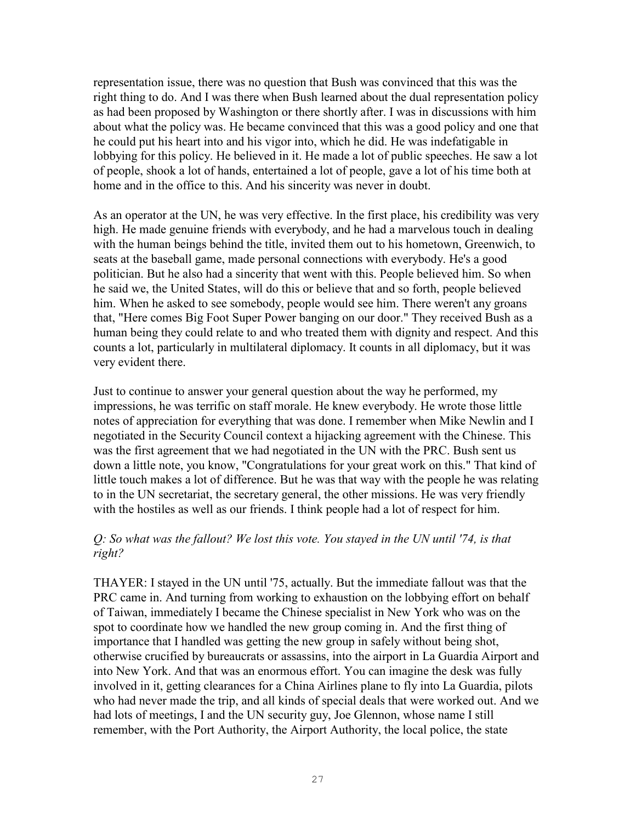representation issue, there was no question that Bush was convinced that this was the right thing to do. And I was there when Bush learned about the dual representation policy as had been proposed by Washington or there shortly after. I was in discussions with him about what the policy was. He became convinced that this was a good policy and one that he could put his heart into and his vigor into, which he did. He was indefatigable in lobbying for this policy. He believed in it. He made a lot of public speeches. He saw a lot of people, shook a lot of hands, entertained a lot of people, gave a lot of his time both at home and in the office to this. And his sincerity was never in doubt.

As an operator at the UN, he was very effective. In the first place, his credibility was very high. He made genuine friends with everybody, and he had a marvelous touch in dealing with the human beings behind the title, invited them out to his hometown, Greenwich, to seats at the baseball game, made personal connections with everybody. He's a good politician. But he also had a sincerity that went with this. People believed him. So when he said we, the United States, will do this or believe that and so forth, people believed him. When he asked to see somebody, people would see him. There weren't any groans that, "Here comes Big Foot Super Power banging on our door." They received Bush as a human being they could relate to and who treated them with dignity and respect. And this counts a lot, particularly in multilateral diplomacy. It counts in all diplomacy, but it was very evident there.

Just to continue to answer your general question about the way he performed, my impressions, he was terrific on staff morale. He knew everybody. He wrote those little notes of appreciation for everything that was done. I remember when Mike Newlin and I negotiated in the Security Council context a hijacking agreement with the Chinese. This was the first agreement that we had negotiated in the UN with the PRC. Bush sent us down a little note, you know, "Congratulations for your great work on this." That kind of little touch makes a lot of difference. But he was that way with the people he was relating to in the UN secretariat, the secretary general, the other missions. He was very friendly with the hostiles as well as our friends. I think people had a lot of respect for him.

### *Q: So what was the fallout? We lost this vote. You stayed in the UN until '74, is that right?*

THAYER: I stayed in the UN until '75, actually. But the immediate fallout was that the PRC came in. And turning from working to exhaustion on the lobbying effort on behalf of Taiwan, immediately I became the Chinese specialist in New York who was on the spot to coordinate how we handled the new group coming in. And the first thing of importance that I handled was getting the new group in safely without being shot, otherwise crucified by bureaucrats or assassins, into the airport in La Guardia Airport and into New York. And that was an enormous effort. You can imagine the desk was fully involved in it, getting clearances for a China Airlines plane to fly into La Guardia, pilots who had never made the trip, and all kinds of special deals that were worked out. And we had lots of meetings, I and the UN security guy, Joe Glennon, whose name I still remember, with the Port Authority, the Airport Authority, the local police, the state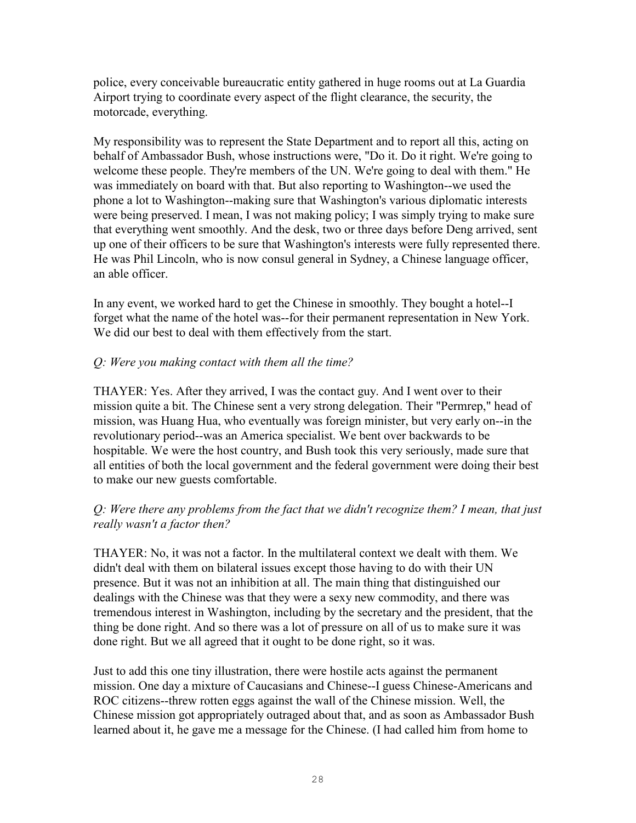police, every conceivable bureaucratic entity gathered in huge rooms out at La Guardia Airport trying to coordinate every aspect of the flight clearance, the security, the motorcade, everything.

My responsibility was to represent the State Department and to report all this, acting on behalf of Ambassador Bush, whose instructions were, "Do it. Do it right. We're going to welcome these people. They're members of the UN. We're going to deal with them." He was immediately on board with that. But also reporting to Washington--we used the phone a lot to Washington--making sure that Washington's various diplomatic interests were being preserved. I mean, I was not making policy; I was simply trying to make sure that everything went smoothly. And the desk, two or three days before Deng arrived, sent up one of their officers to be sure that Washington's interests were fully represented there. He was Phil Lincoln, who is now consul general in Sydney, a Chinese language officer, an able officer.

In any event, we worked hard to get the Chinese in smoothly. They bought a hotel--I forget what the name of the hotel was--for their permanent representation in New York. We did our best to deal with them effectively from the start.

# *Q: Were you making contact with them all the time?*

THAYER: Yes. After they arrived, I was the contact guy. And I went over to their mission quite a bit. The Chinese sent a very strong delegation. Their "Permrep," head of mission, was Huang Hua, who eventually was foreign minister, but very early on--in the revolutionary period--was an America specialist. We bent over backwards to be hospitable. We were the host country, and Bush took this very seriously, made sure that all entities of both the local government and the federal government were doing their best to make our new guests comfortable.

# *Q: Were there any problems from the fact that we didn't recognize them? I mean, that just really wasn't a factor then?*

THAYER: No, it was not a factor. In the multilateral context we dealt with them. We didn't deal with them on bilateral issues except those having to do with their UN presence. But it was not an inhibition at all. The main thing that distinguished our dealings with the Chinese was that they were a sexy new commodity, and there was tremendous interest in Washington, including by the secretary and the president, that the thing be done right. And so there was a lot of pressure on all of us to make sure it was done right. But we all agreed that it ought to be done right, so it was.

Just to add this one tiny illustration, there were hostile acts against the permanent mission. One day a mixture of Caucasians and Chinese--I guess Chinese-Americans and ROC citizens--threw rotten eggs against the wall of the Chinese mission. Well, the Chinese mission got appropriately outraged about that, and as soon as Ambassador Bush learned about it, he gave me a message for the Chinese. (I had called him from home to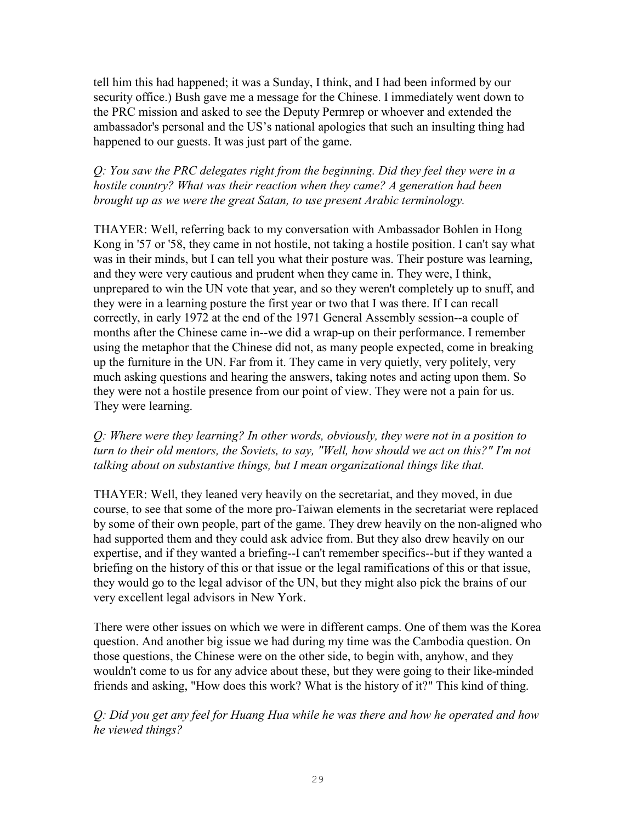tell him this had happened; it was a Sunday, I think, and I had been informed by our security office.) Bush gave me a message for the Chinese. I immediately went down to the PRC mission and asked to see the Deputy Permrep or whoever and extended the ambassador's personal and the US's national apologies that such an insulting thing had happened to our guests. It was just part of the game.

# *Q: You saw the PRC delegates right from the beginning. Did they feel they were in a hostile country? What was their reaction when they came? A generation had been brought up as we were the great Satan, to use present Arabic terminology.*

THAYER: Well, referring back to my conversation with Ambassador Bohlen in Hong Kong in '57 or '58, they came in not hostile, not taking a hostile position. I can't say what was in their minds, but I can tell you what their posture was. Their posture was learning, and they were very cautious and prudent when they came in. They were, I think, unprepared to win the UN vote that year, and so they weren't completely up to snuff, and they were in a learning posture the first year or two that I was there. If I can recall correctly, in early 1972 at the end of the 1971 General Assembly session--a couple of months after the Chinese came in--we did a wrap-up on their performance. I remember using the metaphor that the Chinese did not, as many people expected, come in breaking up the furniture in the UN. Far from it. They came in very quietly, very politely, very much asking questions and hearing the answers, taking notes and acting upon them. So they were not a hostile presence from our point of view. They were not a pain for us. They were learning.

*Q: Where were they learning? In other words, obviously, they were not in a position to turn to their old mentors, the Soviets, to say, "Well, how should we act on this?" I'm not talking about on substantive things, but I mean organizational things like that.* 

THAYER: Well, they leaned very heavily on the secretariat, and they moved, in due course, to see that some of the more pro-Taiwan elements in the secretariat were replaced by some of their own people, part of the game. They drew heavily on the non-aligned who had supported them and they could ask advice from. But they also drew heavily on our expertise, and if they wanted a briefing--I can't remember specifics--but if they wanted a briefing on the history of this or that issue or the legal ramifications of this or that issue, they would go to the legal advisor of the UN, but they might also pick the brains of our very excellent legal advisors in New York.

There were other issues on which we were in different camps. One of them was the Korea question. And another big issue we had during my time was the Cambodia question. On those questions, the Chinese were on the other side, to begin with, anyhow, and they wouldn't come to us for any advice about these, but they were going to their like-minded friends and asking, "How does this work? What is the history of it?" This kind of thing.

*Q: Did you get any feel for Huang Hua while he was there and how he operated and how he viewed things?*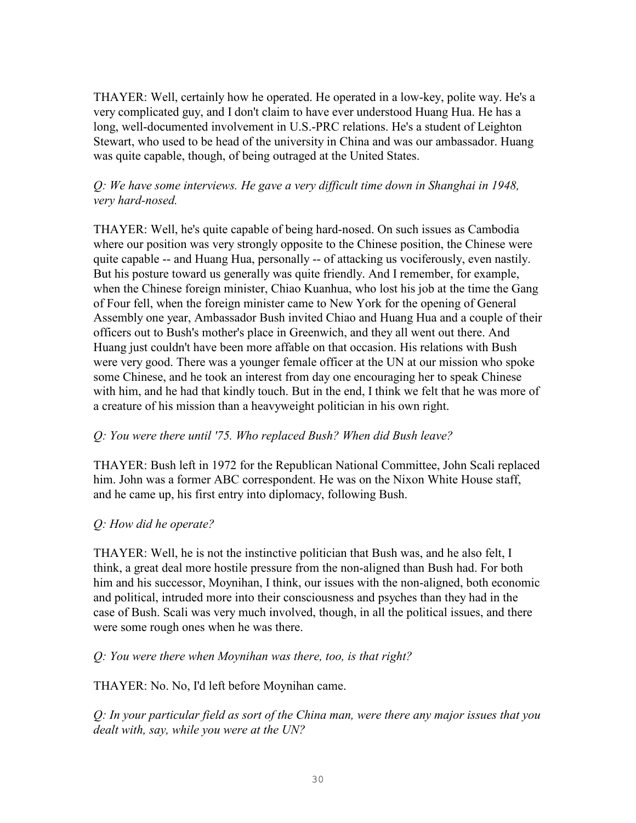THAYER: Well, certainly how he operated. He operated in a low-key, polite way. He's a very complicated guy, and I don't claim to have ever understood Huang Hua. He has a long, well-documented involvement in U.S.-PRC relations. He's a student of Leighton Stewart, who used to be head of the university in China and was our ambassador. Huang was quite capable, though, of being outraged at the United States.

# *Q: We have some interviews. He gave a very difficult time down in Shanghai in 1948, very hard-nosed.*

THAYER: Well, he's quite capable of being hard-nosed. On such issues as Cambodia where our position was very strongly opposite to the Chinese position, the Chinese were quite capable -- and Huang Hua, personally -- of attacking us vociferously, even nastily. But his posture toward us generally was quite friendly. And I remember, for example, when the Chinese foreign minister, Chiao Kuanhua, who lost his job at the time the Gang of Four fell, when the foreign minister came to New York for the opening of General Assembly one year, Ambassador Bush invited Chiao and Huang Hua and a couple of their officers out to Bush's mother's place in Greenwich, and they all went out there. And Huang just couldn't have been more affable on that occasion. His relations with Bush were very good. There was a younger female officer at the UN at our mission who spoke some Chinese, and he took an interest from day one encouraging her to speak Chinese with him, and he had that kindly touch. But in the end, I think we felt that he was more of a creature of his mission than a heavyweight politician in his own right.

### *Q: You were there until '75. Who replaced Bush? When did Bush leave?*

THAYER: Bush left in 1972 for the Republican National Committee, John Scali replaced him. John was a former ABC correspondent. He was on the Nixon White House staff, and he came up, his first entry into diplomacy, following Bush.

# *Q: How did he operate?*

THAYER: Well, he is not the instinctive politician that Bush was, and he also felt, I think, a great deal more hostile pressure from the non-aligned than Bush had. For both him and his successor, Moynihan, I think, our issues with the non-aligned, both economic and political, intruded more into their consciousness and psyches than they had in the case of Bush. Scali was very much involved, though, in all the political issues, and there were some rough ones when he was there.

### *Q: You were there when Moynihan was there, too, is that right?*

THAYER: No. No, I'd left before Moynihan came.

*Q: In your particular field as sort of the China man, were there any major issues that you dealt with, say, while you were at the UN?*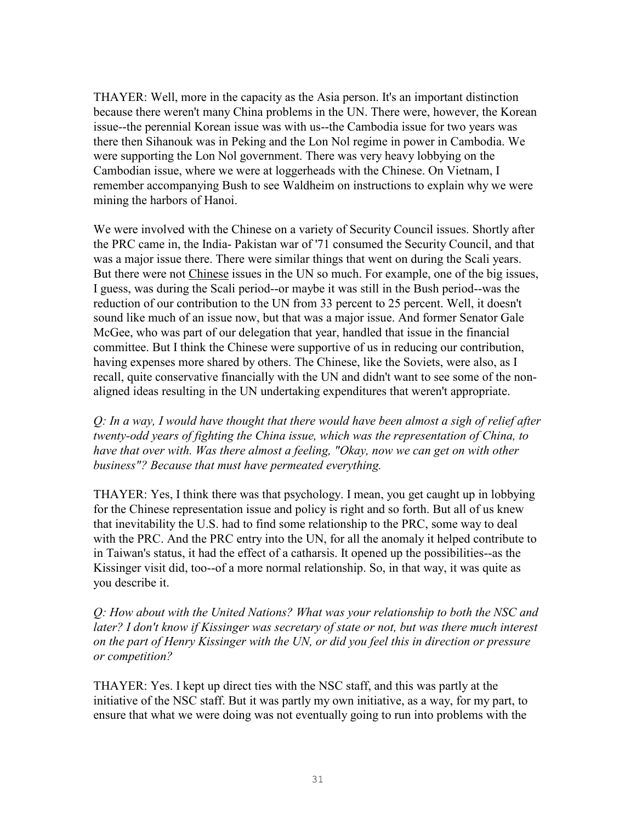THAYER: Well, more in the capacity as the Asia person. It's an important distinction because there weren't many China problems in the UN. There were, however, the Korean issue--the perennial Korean issue was with us--the Cambodia issue for two years was there then Sihanouk was in Peking and the Lon Nol regime in power in Cambodia. We were supporting the Lon Nol government. There was very heavy lobbying on the Cambodian issue, where we were at loggerheads with the Chinese. On Vietnam, I remember accompanying Bush to see Waldheim on instructions to explain why we were mining the harbors of Hanoi.

We were involved with the Chinese on a variety of Security Council issues. Shortly after the PRC came in, the India- Pakistan war of '71 consumed the Security Council, and that was a major issue there. There were similar things that went on during the Scali years. But there were not Chinese issues in the UN so much. For example, one of the big issues, I guess, was during the Scali period--or maybe it was still in the Bush period--was the reduction of our contribution to the UN from 33 percent to 25 percent. Well, it doesn't sound like much of an issue now, but that was a major issue. And former Senator Gale McGee, who was part of our delegation that year, handled that issue in the financial committee. But I think the Chinese were supportive of us in reducing our contribution, having expenses more shared by others. The Chinese, like the Soviets, were also, as I recall, quite conservative financially with the UN and didn't want to see some of the nonaligned ideas resulting in the UN undertaking expenditures that weren't appropriate.

*Q: In a way, I would have thought that there would have been almost a sigh of relief after twenty-odd years of fighting the China issue, which was the representation of China, to have that over with. Was there almost a feeling, "Okay, now we can get on with other business"? Because that must have permeated everything.* 

THAYER: Yes, I think there was that psychology. I mean, you get caught up in lobbying for the Chinese representation issue and policy is right and so forth. But all of us knew that inevitability the U.S. had to find some relationship to the PRC, some way to deal with the PRC. And the PRC entry into the UN, for all the anomaly it helped contribute to in Taiwan's status, it had the effect of a catharsis. It opened up the possibilities--as the Kissinger visit did, too--of a more normal relationship. So, in that way, it was quite as you describe it.

*Q: How about with the United Nations? What was your relationship to both the NSC and later? I don't know if Kissinger was secretary of state or not, but was there much interest on the part of Henry Kissinger with the UN, or did you feel this in direction or pressure or competition?* 

THAYER: Yes. I kept up direct ties with the NSC staff, and this was partly at the initiative of the NSC staff. But it was partly my own initiative, as a way, for my part, to ensure that what we were doing was not eventually going to run into problems with the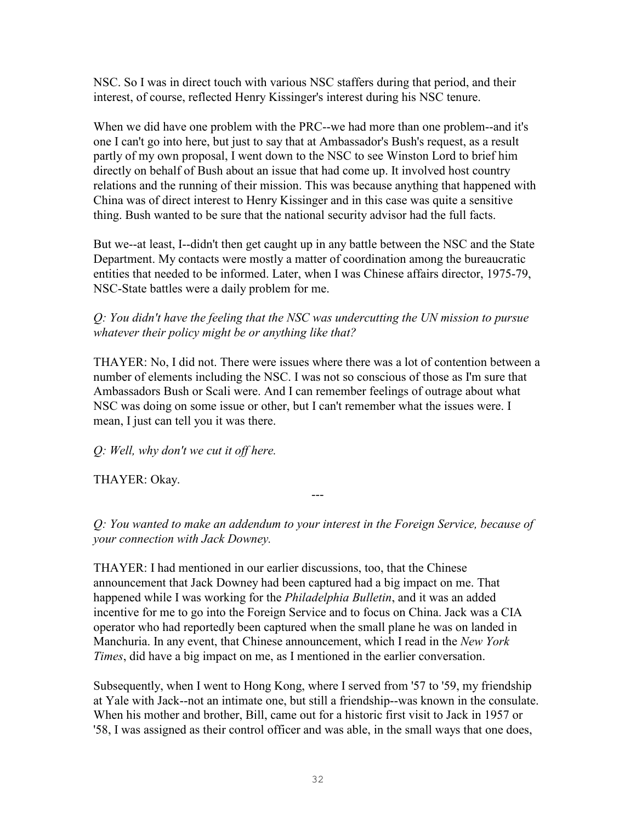NSC. So I was in direct touch with various NSC staffers during that period, and their interest, of course, reflected Henry Kissinger's interest during his NSC tenure.

When we did have one problem with the PRC--we had more than one problem--and it's one I can't go into here, but just to say that at Ambassador's Bush's request, as a result partly of my own proposal, I went down to the NSC to see Winston Lord to brief him directly on behalf of Bush about an issue that had come up. It involved host country relations and the running of their mission. This was because anything that happened with China was of direct interest to Henry Kissinger and in this case was quite a sensitive thing. Bush wanted to be sure that the national security advisor had the full facts.

But we--at least, I--didn't then get caught up in any battle between the NSC and the State Department. My contacts were mostly a matter of coordination among the bureaucratic entities that needed to be informed. Later, when I was Chinese affairs director, 1975-79, NSC-State battles were a daily problem for me.

*Q: You didn't have the feeling that the NSC was undercutting the UN mission to pursue whatever their policy might be or anything like that?* 

THAYER: No, I did not. There were issues where there was a lot of contention between a number of elements including the NSC. I was not so conscious of those as I'm sure that Ambassadors Bush or Scali were. And I can remember feelings of outrage about what NSC was doing on some issue or other, but I can't remember what the issues were. I mean, I just can tell you it was there.

*Q: Well, why don't we cut it off here.* 

THAYER: Okay.

*Q: You wanted to make an addendum to your interest in the Foreign Service, because of your connection with Jack Downey.*

---

THAYER: I had mentioned in our earlier discussions, too, that the Chinese announcement that Jack Downey had been captured had a big impact on me. That happened while I was working for the *Philadelphia Bulletin*, and it was an added incentive for me to go into the Foreign Service and to focus on China. Jack was a CIA operator who had reportedly been captured when the small plane he was on landed in Manchuria. In any event, that Chinese announcement, which I read in the *New York Times*, did have a big impact on me, as I mentioned in the earlier conversation.

Subsequently, when I went to Hong Kong, where I served from '57 to '59, my friendship at Yale with Jack--not an intimate one, but still a friendship--was known in the consulate. When his mother and brother, Bill, came out for a historic first visit to Jack in 1957 or '58, I was assigned as their control officer and was able, in the small ways that one does,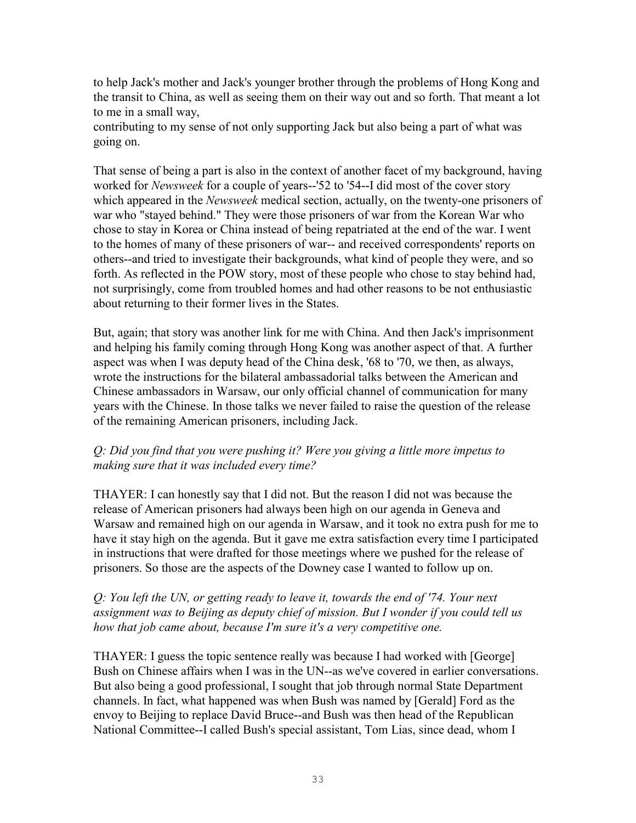to help Jack's mother and Jack's younger brother through the problems of Hong Kong and the transit to China, as well as seeing them on their way out and so forth. That meant a lot to me in a small way,

contributing to my sense of not only supporting Jack but also being a part of what was going on.

That sense of being a part is also in the context of another facet of my background, having worked for *Newsweek* for a couple of years--'52 to '54--I did most of the cover story which appeared in the *Newsweek* medical section, actually, on the twenty-one prisoners of war who "stayed behind." They were those prisoners of war from the Korean War who chose to stay in Korea or China instead of being repatriated at the end of the war. I went to the homes of many of these prisoners of war-- and received correspondents' reports on others--and tried to investigate their backgrounds, what kind of people they were, and so forth. As reflected in the POW story, most of these people who chose to stay behind had, not surprisingly, come from troubled homes and had other reasons to be not enthusiastic about returning to their former lives in the States.

But, again; that story was another link for me with China. And then Jack's imprisonment and helping his family coming through Hong Kong was another aspect of that. A further aspect was when I was deputy head of the China desk, '68 to '70, we then, as always, wrote the instructions for the bilateral ambassadorial talks between the American and Chinese ambassadors in Warsaw, our only official channel of communication for many years with the Chinese. In those talks we never failed to raise the question of the release of the remaining American prisoners, including Jack.

# *Q: Did you find that you were pushing it? Were you giving a little more impetus to making sure that it was included every time?*

THAYER: I can honestly say that I did not. But the reason I did not was because the release of American prisoners had always been high on our agenda in Geneva and Warsaw and remained high on our agenda in Warsaw, and it took no extra push for me to have it stay high on the agenda. But it gave me extra satisfaction every time I participated in instructions that were drafted for those meetings where we pushed for the release of prisoners. So those are the aspects of the Downey case I wanted to follow up on.

# *Q: You left the UN, or getting ready to leave it, towards the end of '74. Your next assignment was to Beijing as deputy chief of mission. But I wonder if you could tell us how that job came about, because I'm sure it's a very competitive one.*

THAYER: I guess the topic sentence really was because I had worked with [George] Bush on Chinese affairs when I was in the UN--as we've covered in earlier conversations. But also being a good professional, I sought that job through normal State Department channels. In fact, what happened was when Bush was named by [Gerald] Ford as the envoy to Beijing to replace David Bruce--and Bush was then head of the Republican National Committee--I called Bush's special assistant, Tom Lias, since dead, whom I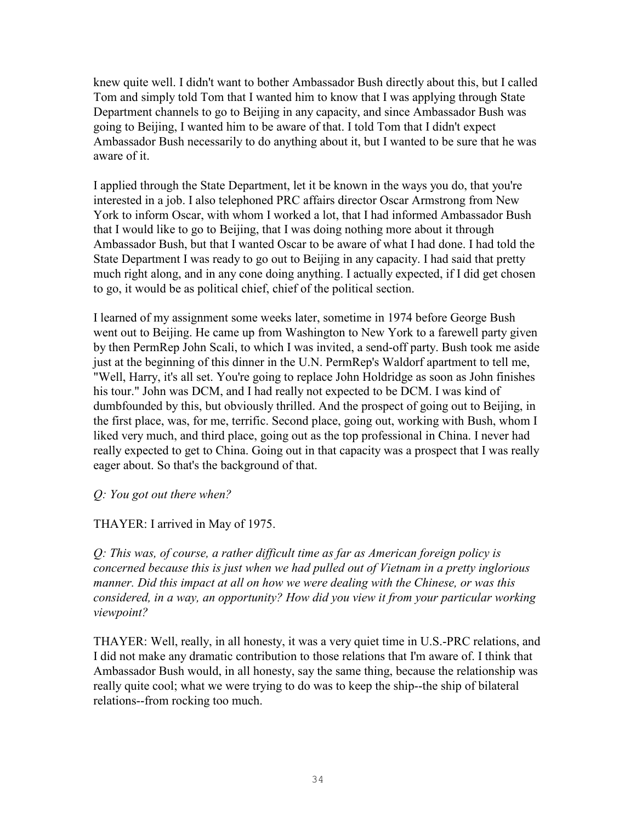knew quite well. I didn't want to bother Ambassador Bush directly about this, but I called Tom and simply told Tom that I wanted him to know that I was applying through State Department channels to go to Beijing in any capacity, and since Ambassador Bush was going to Beijing, I wanted him to be aware of that. I told Tom that I didn't expect Ambassador Bush necessarily to do anything about it, but I wanted to be sure that he was aware of it.

I applied through the State Department, let it be known in the ways you do, that you're interested in a job. I also telephoned PRC affairs director Oscar Armstrong from New York to inform Oscar, with whom I worked a lot, that I had informed Ambassador Bush that I would like to go to Beijing, that I was doing nothing more about it through Ambassador Bush, but that I wanted Oscar to be aware of what I had done. I had told the State Department I was ready to go out to Beijing in any capacity. I had said that pretty much right along, and in any cone doing anything. I actually expected, if I did get chosen to go, it would be as political chief, chief of the political section.

I learned of my assignment some weeks later, sometime in 1974 before George Bush went out to Beijing. He came up from Washington to New York to a farewell party given by then PermRep John Scali, to which I was invited, a send-off party. Bush took me aside just at the beginning of this dinner in the U.N. PermRep's Waldorf apartment to tell me, "Well, Harry, it's all set. You're going to replace John Holdridge as soon as John finishes his tour." John was DCM, and I had really not expected to be DCM. I was kind of dumbfounded by this, but obviously thrilled. And the prospect of going out to Beijing, in the first place, was, for me, terrific. Second place, going out, working with Bush, whom I liked very much, and third place, going out as the top professional in China. I never had really expected to get to China. Going out in that capacity was a prospect that I was really eager about. So that's the background of that.

*Q: You got out there when?* 

THAYER: I arrived in May of 1975.

*Q: This was, of course, a rather difficult time as far as American foreign policy is concerned because this is just when we had pulled out of Vietnam in a pretty inglorious manner. Did this impact at all on how we were dealing with the Chinese, or was this considered, in a way, an opportunity? How did you view it from your particular working viewpoint?*

THAYER: Well, really, in all honesty, it was a very quiet time in U.S.-PRC relations, and I did not make any dramatic contribution to those relations that I'm aware of. I think that Ambassador Bush would, in all honesty, say the same thing, because the relationship was really quite cool; what we were trying to do was to keep the ship--the ship of bilateral relations--from rocking too much.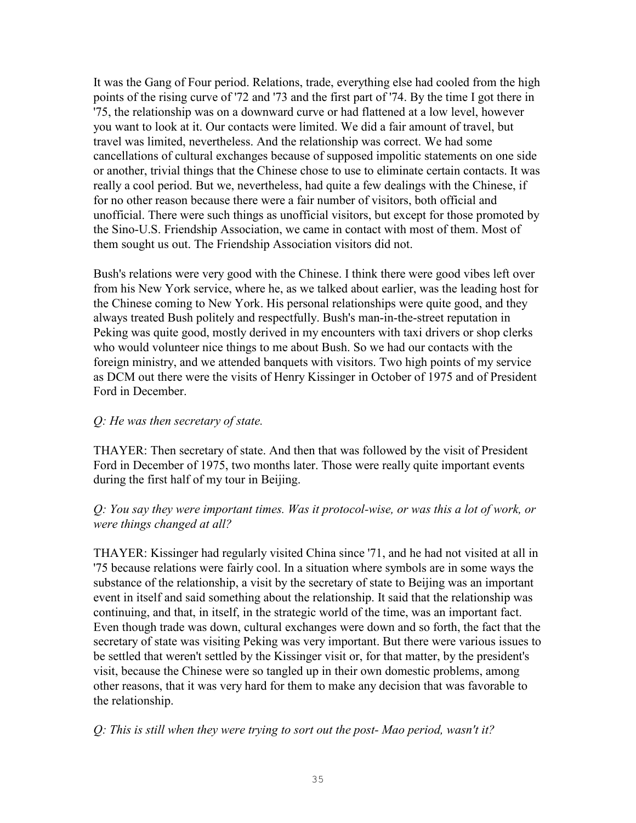It was the Gang of Four period. Relations, trade, everything else had cooled from the high points of the rising curve of '72 and '73 and the first part of '74. By the time I got there in '75, the relationship was on a downward curve or had flattened at a low level, however you want to look at it. Our contacts were limited. We did a fair amount of travel, but travel was limited, nevertheless. And the relationship was correct. We had some cancellations of cultural exchanges because of supposed impolitic statements on one side or another, trivial things that the Chinese chose to use to eliminate certain contacts. It was really a cool period. But we, nevertheless, had quite a few dealings with the Chinese, if for no other reason because there were a fair number of visitors, both official and unofficial. There were such things as unofficial visitors, but except for those promoted by the Sino-U.S. Friendship Association, we came in contact with most of them. Most of them sought us out. The Friendship Association visitors did not.

Bush's relations were very good with the Chinese. I think there were good vibes left over from his New York service, where he, as we talked about earlier, was the leading host for the Chinese coming to New York. His personal relationships were quite good, and they always treated Bush politely and respectfully. Bush's man-in-the-street reputation in Peking was quite good, mostly derived in my encounters with taxi drivers or shop clerks who would volunteer nice things to me about Bush. So we had our contacts with the foreign ministry, and we attended banquets with visitors. Two high points of my service as DCM out there were the visits of Henry Kissinger in October of 1975 and of President Ford in December.

### *Q: He was then secretary of state.*

THAYER: Then secretary of state. And then that was followed by the visit of President Ford in December of 1975, two months later. Those were really quite important events during the first half of my tour in Beijing.

# *Q: You say they were important times. Was it protocol-wise, or was this a lot of work, or were things changed at all?*

THAYER: Kissinger had regularly visited China since '71, and he had not visited at all in '75 because relations were fairly cool. In a situation where symbols are in some ways the substance of the relationship, a visit by the secretary of state to Beijing was an important event in itself and said something about the relationship. It said that the relationship was continuing, and that, in itself, in the strategic world of the time, was an important fact. Even though trade was down, cultural exchanges were down and so forth, the fact that the secretary of state was visiting Peking was very important. But there were various issues to be settled that weren't settled by the Kissinger visit or, for that matter, by the president's visit, because the Chinese were so tangled up in their own domestic problems, among other reasons, that it was very hard for them to make any decision that was favorable to the relationship.

# *Q: This is still when they were trying to sort out the post- Mao period, wasn't it?*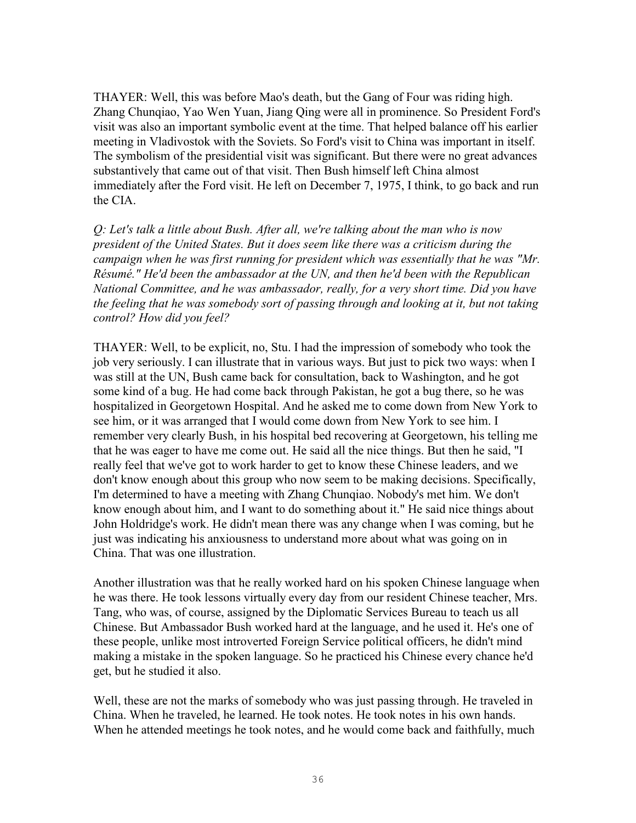THAYER: Well, this was before Mao's death, but the Gang of Four was riding high. Zhang Chunqiao, Yao Wen Yuan, Jiang Qing were all in prominence. So President Ford's visit was also an important symbolic event at the time. That helped balance off his earlier meeting in Vladivostok with the Soviets. So Ford's visit to China was important in itself. The symbolism of the presidential visit was significant. But there were no great advances substantively that came out of that visit. Then Bush himself left China almost immediately after the Ford visit. He left on December 7, 1975, I think, to go back and run the CIA.

*Q: Let's talk a little about Bush. After all, we're talking about the man who is now president of the United States. But it does seem like there was a criticism during the campaign when he was first running for president which was essentially that he was "Mr. Résumé." He'd been the ambassador at the UN, and then he'd been with the Republican National Committee, and he was ambassador, really, for a very short time. Did you have the feeling that he was somebody sort of passing through and looking at it, but not taking control? How did you feel?* 

THAYER: Well, to be explicit, no, Stu. I had the impression of somebody who took the job very seriously. I can illustrate that in various ways. But just to pick two ways: when I was still at the UN, Bush came back for consultation, back to Washington, and he got some kind of a bug. He had come back through Pakistan, he got a bug there, so he was hospitalized in Georgetown Hospital. And he asked me to come down from New York to see him, or it was arranged that I would come down from New York to see him. I remember very clearly Bush, in his hospital bed recovering at Georgetown, his telling me that he was eager to have me come out. He said all the nice things. But then he said, "I really feel that we've got to work harder to get to know these Chinese leaders, and we don't know enough about this group who now seem to be making decisions. Specifically, I'm determined to have a meeting with Zhang Chunqiao. Nobody's met him. We don't know enough about him, and I want to do something about it." He said nice things about John Holdridge's work. He didn't mean there was any change when I was coming, but he just was indicating his anxiousness to understand more about what was going on in China. That was one illustration.

Another illustration was that he really worked hard on his spoken Chinese language when he was there. He took lessons virtually every day from our resident Chinese teacher, Mrs. Tang, who was, of course, assigned by the Diplomatic Services Bureau to teach us all Chinese. But Ambassador Bush worked hard at the language, and he used it. He's one of these people, unlike most introverted Foreign Service political officers, he didn't mind making a mistake in the spoken language. So he practiced his Chinese every chance he'd get, but he studied it also.

Well, these are not the marks of somebody who was just passing through. He traveled in China. When he traveled, he learned. He took notes. He took notes in his own hands. When he attended meetings he took notes, and he would come back and faithfully, much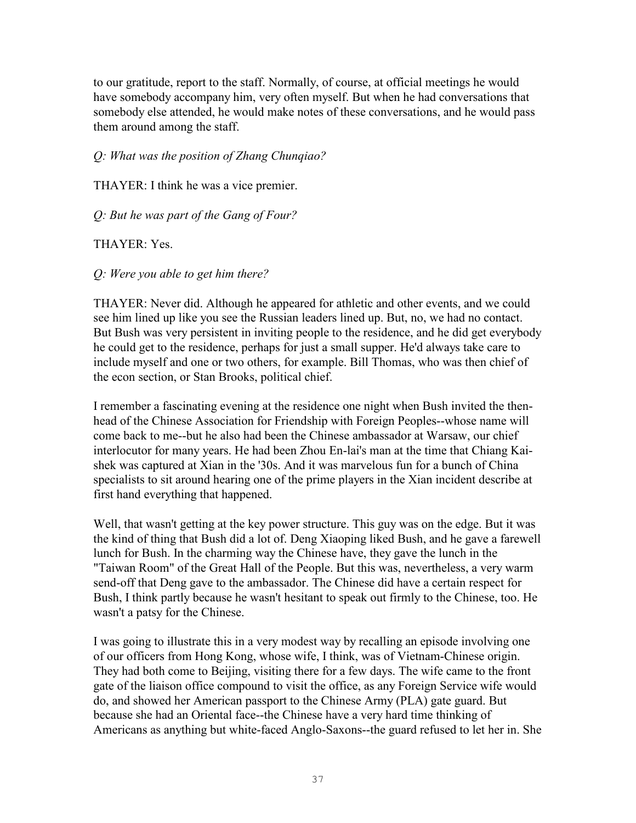to our gratitude, report to the staff. Normally, of course, at official meetings he would have somebody accompany him, very often myself. But when he had conversations that somebody else attended, he would make notes of these conversations, and he would pass them around among the staff.

*Q: What was the position of Zhang Chunqiao?* 

THAYER: I think he was a vice premier.

*Q: But he was part of the Gang of Four?* 

#### THAYER: Yes.

*Q: Were you able to get him there?* 

THAYER: Never did. Although he appeared for athletic and other events, and we could see him lined up like you see the Russian leaders lined up. But, no, we had no contact. But Bush was very persistent in inviting people to the residence, and he did get everybody he could get to the residence, perhaps for just a small supper. He'd always take care to include myself and one or two others, for example. Bill Thomas, who was then chief of the econ section, or Stan Brooks, political chief.

I remember a fascinating evening at the residence one night when Bush invited the thenhead of the Chinese Association for Friendship with Foreign Peoples--whose name will come back to me--but he also had been the Chinese ambassador at Warsaw, our chief interlocutor for many years. He had been Zhou En-lai's man at the time that Chiang Kaishek was captured at Xian in the '30s. And it was marvelous fun for a bunch of China specialists to sit around hearing one of the prime players in the Xian incident describe at first hand everything that happened.

Well, that wasn't getting at the key power structure. This guy was on the edge. But it was the kind of thing that Bush did a lot of. Deng Xiaoping liked Bush, and he gave a farewell lunch for Bush. In the charming way the Chinese have, they gave the lunch in the "Taiwan Room" of the Great Hall of the People. But this was, nevertheless, a very warm send-off that Deng gave to the ambassador. The Chinese did have a certain respect for Bush, I think partly because he wasn't hesitant to speak out firmly to the Chinese, too. He wasn't a patsy for the Chinese.

I was going to illustrate this in a very modest way by recalling an episode involving one of our officers from Hong Kong, whose wife, I think, was of Vietnam-Chinese origin. They had both come to Beijing, visiting there for a few days. The wife came to the front gate of the liaison office compound to visit the office, as any Foreign Service wife would do, and showed her American passport to the Chinese Army (PLA) gate guard. But because she had an Oriental face--the Chinese have a very hard time thinking of Americans as anything but white-faced Anglo-Saxons--the guard refused to let her in. She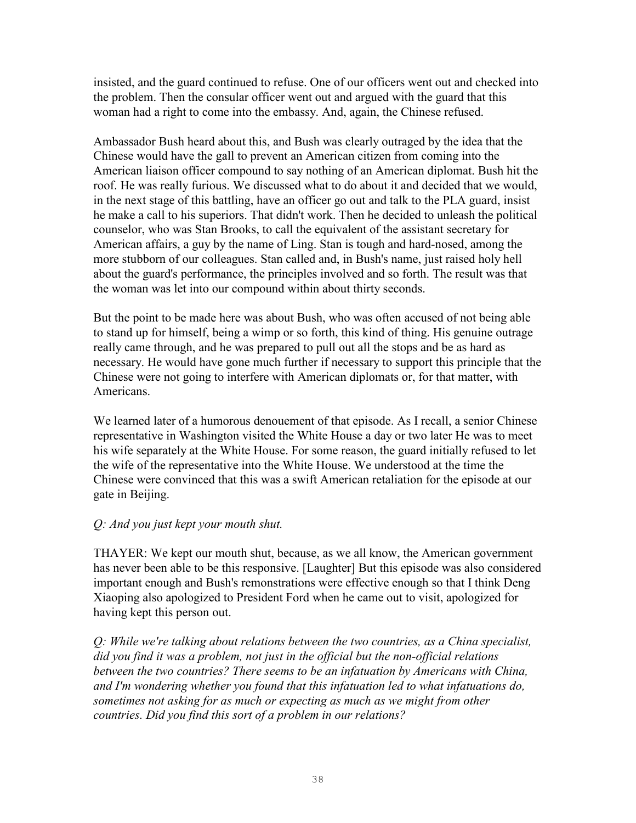insisted, and the guard continued to refuse. One of our officers went out and checked into the problem. Then the consular officer went out and argued with the guard that this woman had a right to come into the embassy. And, again, the Chinese refused.

Ambassador Bush heard about this, and Bush was clearly outraged by the idea that the Chinese would have the gall to prevent an American citizen from coming into the American liaison officer compound to say nothing of an American diplomat. Bush hit the roof. He was really furious. We discussed what to do about it and decided that we would, in the next stage of this battling, have an officer go out and talk to the PLA guard, insist he make a call to his superiors. That didn't work. Then he decided to unleash the political counselor, who was Stan Brooks, to call the equivalent of the assistant secretary for American affairs, a guy by the name of Ling. Stan is tough and hard-nosed, among the more stubborn of our colleagues. Stan called and, in Bush's name, just raised holy hell about the guard's performance, the principles involved and so forth. The result was that the woman was let into our compound within about thirty seconds.

But the point to be made here was about Bush, who was often accused of not being able to stand up for himself, being a wimp or so forth, this kind of thing. His genuine outrage really came through, and he was prepared to pull out all the stops and be as hard as necessary. He would have gone much further if necessary to support this principle that the Chinese were not going to interfere with American diplomats or, for that matter, with Americans.

We learned later of a humorous denouement of that episode. As I recall, a senior Chinese representative in Washington visited the White House a day or two later He was to meet his wife separately at the White House. For some reason, the guard initially refused to let the wife of the representative into the White House. We understood at the time the Chinese were convinced that this was a swift American retaliation for the episode at our gate in Beijing.

### *Q: And you just kept your mouth shut.*

THAYER: We kept our mouth shut, because, as we all know, the American government has never been able to be this responsive. [Laughter] But this episode was also considered important enough and Bush's remonstrations were effective enough so that I think Deng Xiaoping also apologized to President Ford when he came out to visit, apologized for having kept this person out.

*Q: While we're talking about relations between the two countries, as a China specialist, did you find it was a problem, not just in the official but the non-official relations*  between the two countries? There seems to be an infatuation by Americans with China, *and I'm wondering whether you found that this infatuation led to what infatuations do, sometimes not asking for as much or expecting as much as we might from other countries. Did you find this sort of a problem in our relations?*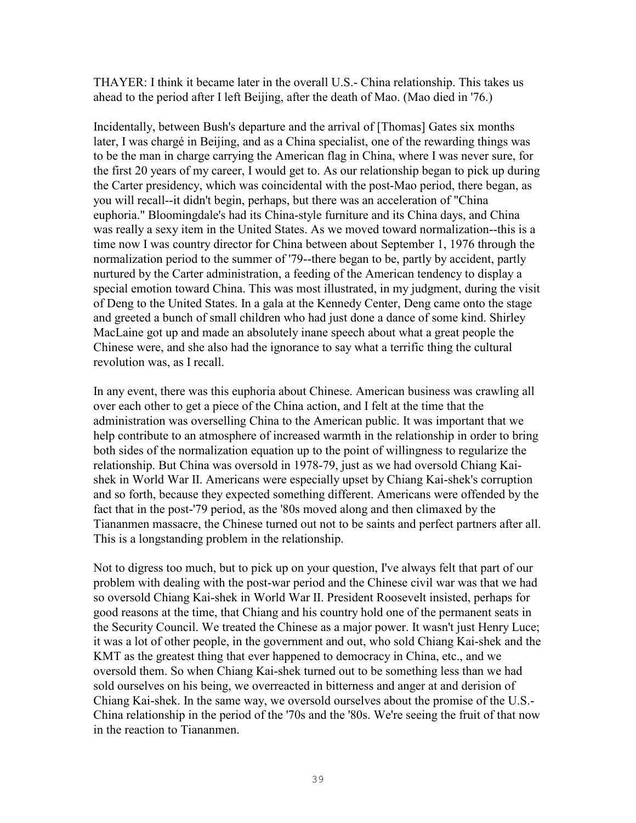THAYER: I think it became later in the overall U.S.- China relationship. This takes us ahead to the period after I left Beijing, after the death of Mao. (Mao died in '76.)

Incidentally, between Bush's departure and the arrival of [Thomas] Gates six months later, I was chargé in Beijing, and as a China specialist, one of the rewarding things was to be the man in charge carrying the American flag in China, where I was never sure, for the first 20 years of my career, I would get to. As our relationship began to pick up during the Carter presidency, which was coincidental with the post-Mao period, there began, as you will recall--it didn't begin, perhaps, but there was an acceleration of "China euphoria." Bloomingdale's had its China-style furniture and its China days, and China was really a sexy item in the United States. As we moved toward normalization--this is a time now I was country director for China between about September 1, 1976 through the normalization period to the summer of '79--there began to be, partly by accident, partly nurtured by the Carter administration, a feeding of the American tendency to display a special emotion toward China. This was most illustrated, in my judgment, during the visit of Deng to the United States. In a gala at the Kennedy Center, Deng came onto the stage and greeted a bunch of small children who had just done a dance of some kind. Shirley MacLaine got up and made an absolutely inane speech about what a great people the Chinese were, and she also had the ignorance to say what a terrific thing the cultural revolution was, as I recall.

In any event, there was this euphoria about Chinese. American business was crawling all over each other to get a piece of the China action, and I felt at the time that the administration was overselling China to the American public. It was important that we help contribute to an atmosphere of increased warmth in the relationship in order to bring both sides of the normalization equation up to the point of willingness to regularize the relationship. But China was oversold in 1978-79, just as we had oversold Chiang Kaishek in World War II. Americans were especially upset by Chiang Kai-shek's corruption and so forth, because they expected something different. Americans were offended by the fact that in the post-'79 period, as the '80s moved along and then climaxed by the Tiananmen massacre, the Chinese turned out not to be saints and perfect partners after all. This is a longstanding problem in the relationship.

Not to digress too much, but to pick up on your question, I've always felt that part of our problem with dealing with the post-war period and the Chinese civil war was that we had so oversold Chiang Kai-shek in World War II. President Roosevelt insisted, perhaps for good reasons at the time, that Chiang and his country hold one of the permanent seats in the Security Council. We treated the Chinese as a major power. It wasn't just Henry Luce; it was a lot of other people, in the government and out, who sold Chiang Kai-shek and the KMT as the greatest thing that ever happened to democracy in China, etc., and we oversold them. So when Chiang Kai-shek turned out to be something less than we had sold ourselves on his being, we overreacted in bitterness and anger at and derision of Chiang Kai-shek. In the same way, we oversold ourselves about the promise of the U.S.- China relationship in the period of the '70s and the '80s. We're seeing the fruit of that now in the reaction to Tiananmen.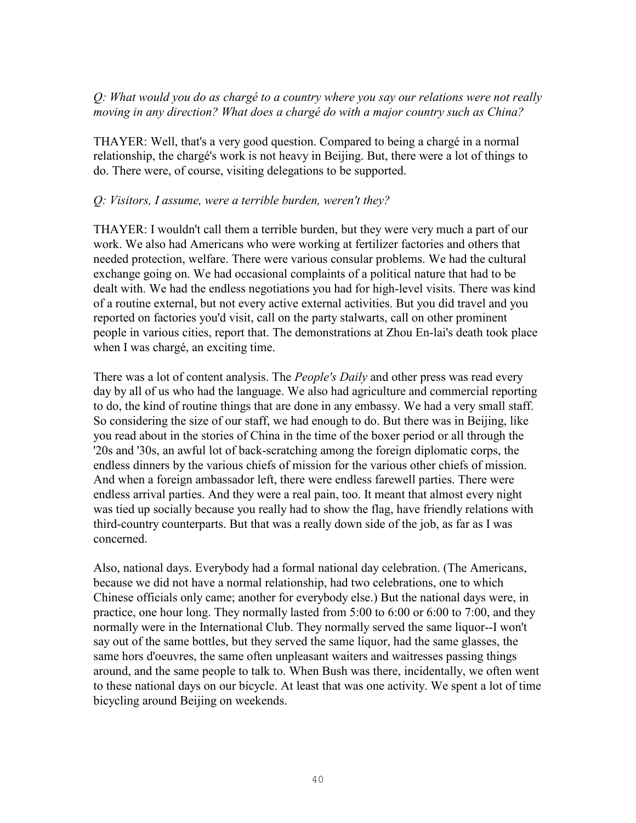### *Q: What would you do as chargé to a country where you say our relations were not really moving in any direction? What does a chargé do with a major country such as China?*

THAYER: Well, that's a very good question. Compared to being a chargé in a normal relationship, the chargé's work is not heavy in Beijing. But, there were a lot of things to do. There were, of course, visiting delegations to be supported.

### *Q: Visitors, I assume, were a terrible burden, weren't they?*

THAYER: I wouldn't call them a terrible burden, but they were very much a part of our work. We also had Americans who were working at fertilizer factories and others that needed protection, welfare. There were various consular problems. We had the cultural exchange going on. We had occasional complaints of a political nature that had to be dealt with. We had the endless negotiations you had for high-level visits. There was kind of a routine external, but not every active external activities. But you did travel and you reported on factories you'd visit, call on the party stalwarts, call on other prominent people in various cities, report that. The demonstrations at Zhou En-lai's death took place when I was chargé, an exciting time.

There was a lot of content analysis. The *People's Daily* and other press was read every day by all of us who had the language. We also had agriculture and commercial reporting to do, the kind of routine things that are done in any embassy. We had a very small staff. So considering the size of our staff, we had enough to do. But there was in Beijing, like you read about in the stories of China in the time of the boxer period or all through the '20s and '30s, an awful lot of back-scratching among the foreign diplomatic corps, the endless dinners by the various chiefs of mission for the various other chiefs of mission. And when a foreign ambassador left, there were endless farewell parties. There were endless arrival parties. And they were a real pain, too. It meant that almost every night was tied up socially because you really had to show the flag, have friendly relations with third-country counterparts. But that was a really down side of the job, as far as I was concerned.

Also, national days. Everybody had a formal national day celebration. (The Americans, because we did not have a normal relationship, had two celebrations, one to which Chinese officials only came; another for everybody else.) But the national days were, in practice, one hour long. They normally lasted from 5:00 to 6:00 or 6:00 to 7:00, and they normally were in the International Club. They normally served the same liquor--I won't say out of the same bottles, but they served the same liquor, had the same glasses, the same hors d'oeuvres, the same often unpleasant waiters and waitresses passing things around, and the same people to talk to. When Bush was there, incidentally, we often went to these national days on our bicycle. At least that was one activity. We spent a lot of time bicycling around Beijing on weekends.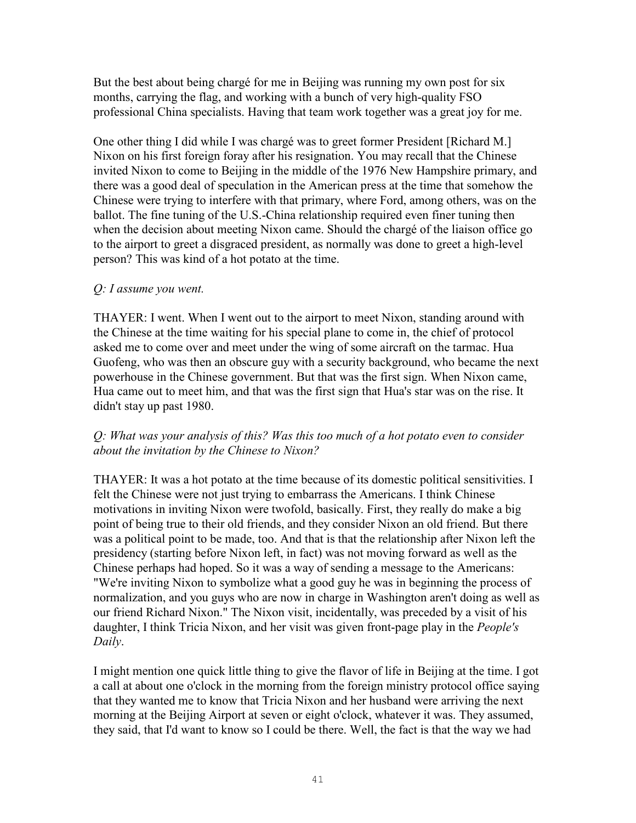But the best about being chargé for me in Beijing was running my own post for six months, carrying the flag, and working with a bunch of very high-quality FSO professional China specialists. Having that team work together was a great joy for me.

One other thing I did while I was chargé was to greet former President [Richard M.] Nixon on his first foreign foray after his resignation. You may recall that the Chinese invited Nixon to come to Beijing in the middle of the 1976 New Hampshire primary, and there was a good deal of speculation in the American press at the time that somehow the Chinese were trying to interfere with that primary, where Ford, among others, was on the ballot. The fine tuning of the U.S.-China relationship required even finer tuning then when the decision about meeting Nixon came. Should the chargé of the liaison office go to the airport to greet a disgraced president, as normally was done to greet a high-level person? This was kind of a hot potato at the time.

### *Q: I assume you went.*

THAYER: I went. When I went out to the airport to meet Nixon, standing around with the Chinese at the time waiting for his special plane to come in, the chief of protocol asked me to come over and meet under the wing of some aircraft on the tarmac. Hua Guofeng, who was then an obscure guy with a security background, who became the next powerhouse in the Chinese government. But that was the first sign. When Nixon came, Hua came out to meet him, and that was the first sign that Hua's star was on the rise. It didn't stay up past 1980.

### *Q: What was your analysis of this? Was this too much of a hot potato even to consider about the invitation by the Chinese to Nixon?*

THAYER: It was a hot potato at the time because of its domestic political sensitivities. I felt the Chinese were not just trying to embarrass the Americans. I think Chinese motivations in inviting Nixon were twofold, basically. First, they really do make a big point of being true to their old friends, and they consider Nixon an old friend. But there was a political point to be made, too. And that is that the relationship after Nixon left the presidency (starting before Nixon left, in fact) was not moving forward as well as the Chinese perhaps had hoped. So it was a way of sending a message to the Americans: "We're inviting Nixon to symbolize what a good guy he was in beginning the process of normalization, and you guys who are now in charge in Washington aren't doing as well as our friend Richard Nixon." The Nixon visit, incidentally, was preceded by a visit of his daughter, I think Tricia Nixon, and her visit was given front-page play in the *People's Daily*.

I might mention one quick little thing to give the flavor of life in Beijing at the time. I got a call at about one o'clock in the morning from the foreign ministry protocol office saying that they wanted me to know that Tricia Nixon and her husband were arriving the next morning at the Beijing Airport at seven or eight o'clock, whatever it was. They assumed, they said, that I'd want to know so I could be there. Well, the fact is that the way we had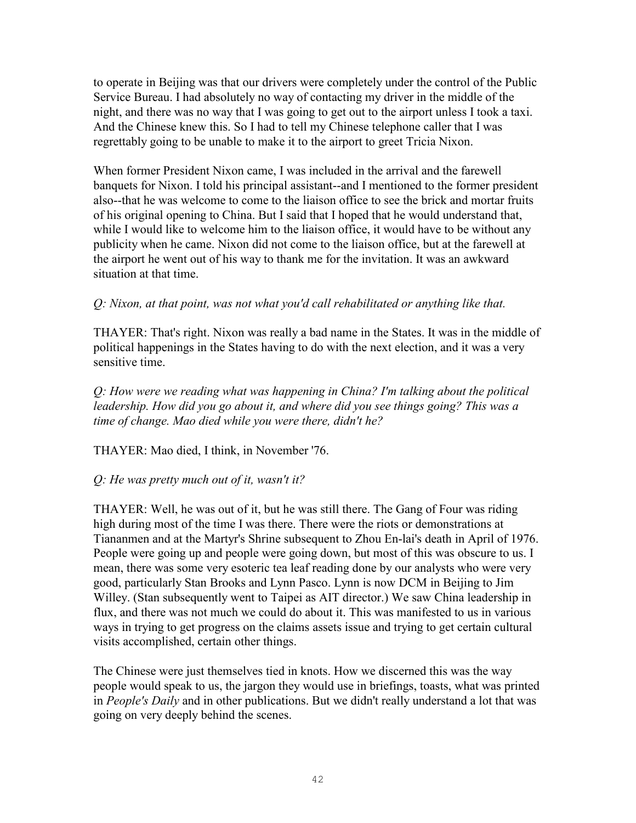to operate in Beijing was that our drivers were completely under the control of the Public Service Bureau. I had absolutely no way of contacting my driver in the middle of the night, and there was no way that I was going to get out to the airport unless I took a taxi. And the Chinese knew this. So I had to tell my Chinese telephone caller that I was regrettably going to be unable to make it to the airport to greet Tricia Nixon.

When former President Nixon came, I was included in the arrival and the farewell banquets for Nixon. I told his principal assistant--and I mentioned to the former president also--that he was welcome to come to the liaison office to see the brick and mortar fruits of his original opening to China. But I said that I hoped that he would understand that, while I would like to welcome him to the liaison office, it would have to be without any publicity when he came. Nixon did not come to the liaison office, but at the farewell at the airport he went out of his way to thank me for the invitation. It was an awkward situation at that time.

### *Q: Nixon, at that point, was not what you'd call rehabilitated or anything like that.*

THAYER: That's right. Nixon was really a bad name in the States. It was in the middle of political happenings in the States having to do with the next election, and it was a very sensitive time.

*Q: How were we reading what was happening in China? I'm talking about the political leadership. How did you go about it, and where did you see things going? This was a time of change. Mao died while you were there, didn't he?* 

THAYER: Mao died, I think, in November '76.

#### *Q: He was pretty much out of it, wasn't it?*

THAYER: Well, he was out of it, but he was still there. The Gang of Four was riding high during most of the time I was there. There were the riots or demonstrations at Tiananmen and at the Martyr's Shrine subsequent to Zhou En-lai's death in April of 1976. People were going up and people were going down, but most of this was obscure to us. I mean, there was some very esoteric tea leaf reading done by our analysts who were very good, particularly Stan Brooks and Lynn Pasco. Lynn is now DCM in Beijing to Jim Willey. (Stan subsequently went to Taipei as AIT director.) We saw China leadership in flux, and there was not much we could do about it. This was manifested to us in various ways in trying to get progress on the claims assets issue and trying to get certain cultural visits accomplished, certain other things.

The Chinese were just themselves tied in knots. How we discerned this was the way people would speak to us, the jargon they would use in briefings, toasts, what was printed in *People's Daily* and in other publications. But we didn't really understand a lot that was going on very deeply behind the scenes.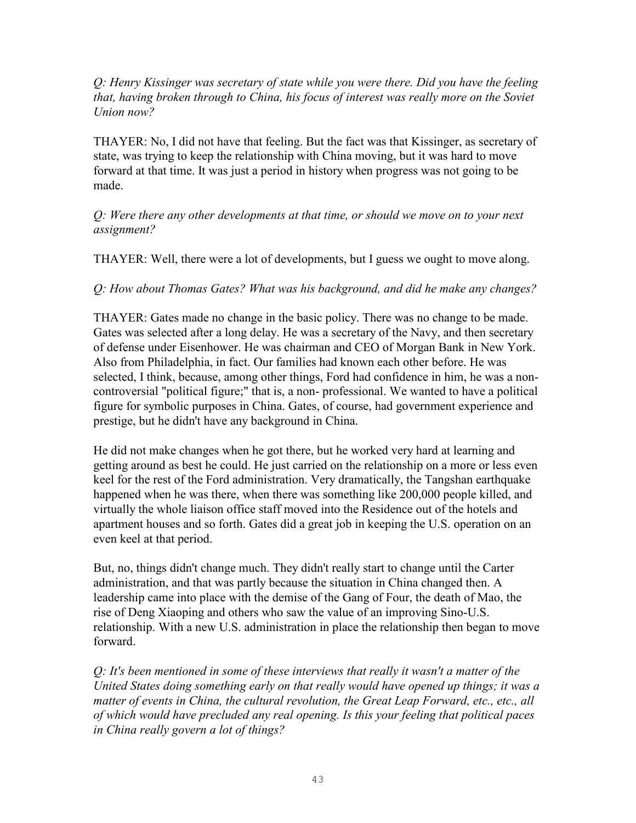*Q: Henry Kissinger was secretary of state while you were there. Did you have the feeling that, having broken through to China, his focus of interest was really more on the Soviet Union now?* 

THAYER: No, I did not have that feeling. But the fact was that Kissinger, as secretary of state, was trying to keep the relationship with China moving, but it was hard to move forward at that time. It was just a period in history when progress was not going to be made.

*Q: Were there any other developments at that time, or should we move on to your next assignment?* 

THAYER: Well, there were a lot of developments, but I guess we ought to move along.

*Q: How about Thomas Gates? What was his background, and did he make any changes?* 

THAYER: Gates made no change in the basic policy. There was no change to be made. Gates was selected after a long delay. He was a secretary of the Navy, and then secretary of defense under Eisenhower. He was chairman and CEO of Morgan Bank in New York. Also from Philadelphia, in fact. Our families had known each other before. He was selected, I think, because, among other things, Ford had confidence in him, he was a noncontroversial "political figure;" that is, a non- professional. We wanted to have a political figure for symbolic purposes in China. Gates, of course, had government experience and prestige, but he didn't have any background in China.

He did not make changes when he got there, but he worked very hard at learning and getting around as best he could. He just carried on the relationship on a more or less even keel for the rest of the Ford administration. Very dramatically, the Tangshan earthquake happened when he was there, when there was something like 200,000 people killed, and virtually the whole liaison office staff moved into the Residence out of the hotels and apartment houses and so forth. Gates did a great job in keeping the U.S. operation on an even keel at that period.

But, no, things didn't change much. They didn't really start to change until the Carter administration, and that was partly because the situation in China changed then. A leadership came into place with the demise of the Gang of Four, the death of Mao, the rise of Deng Xiaoping and others who saw the value of an improving Sino-U.S. relationship. With a new U.S. administration in place the relationship then began to move forward.

*Q: It's been mentioned in some of these interviews that really it wasn't a matter of the United States doing something early on that really would have opened up things; it was a matter of events in China, the cultural revolution, the Great Leap Forward, etc., etc., all of which would have precluded any real opening. Is this your feeling that political paces in China really govern a lot of things?*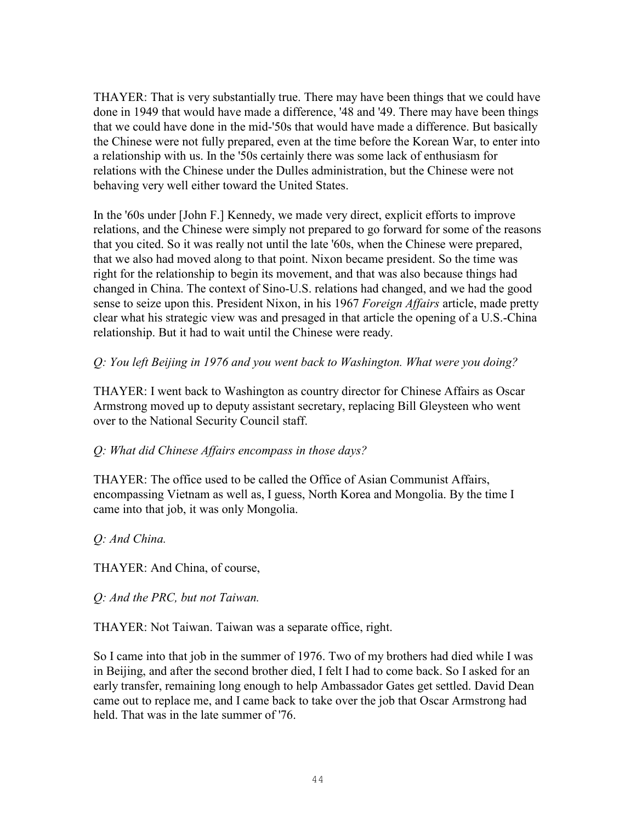THAYER: That is very substantially true. There may have been things that we could have done in 1949 that would have made a difference, '48 and '49. There may have been things that we could have done in the mid-'50s that would have made a difference. But basically the Chinese were not fully prepared, even at the time before the Korean War, to enter into a relationship with us. In the '50s certainly there was some lack of enthusiasm for relations with the Chinese under the Dulles administration, but the Chinese were not behaving very well either toward the United States.

In the '60s under [John F.] Kennedy, we made very direct, explicit efforts to improve relations, and the Chinese were simply not prepared to go forward for some of the reasons that you cited. So it was really not until the late '60s, when the Chinese were prepared, that we also had moved along to that point. Nixon became president. So the time was right for the relationship to begin its movement, and that was also because things had changed in China. The context of Sino-U.S. relations had changed, and we had the good sense to seize upon this. President Nixon, in his 1967 *Foreign Affairs* article, made pretty clear what his strategic view was and presaged in that article the opening of a U.S.-China relationship. But it had to wait until the Chinese were ready.

## *Q: You left Beijing in 1976 and you went back to Washington. What were you doing?*

THAYER: I went back to Washington as country director for Chinese Affairs as Oscar Armstrong moved up to deputy assistant secretary, replacing Bill Gleysteen who went over to the National Security Council staff.

### *Q: What did Chinese Affairs encompass in those days?*

THAYER: The office used to be called the Office of Asian Communist Affairs, encompassing Vietnam as well as, I guess, North Korea and Mongolia. By the time I came into that job, it was only Mongolia.

### *Q: And China.*

THAYER: And China, of course,

*Q: And the PRC, but not Taiwan.* 

THAYER: Not Taiwan. Taiwan was a separate office, right.

So I came into that job in the summer of 1976. Two of my brothers had died while I was in Beijing, and after the second brother died, I felt I had to come back. So I asked for an early transfer, remaining long enough to help Ambassador Gates get settled. David Dean came out to replace me, and I came back to take over the job that Oscar Armstrong had held. That was in the late summer of '76.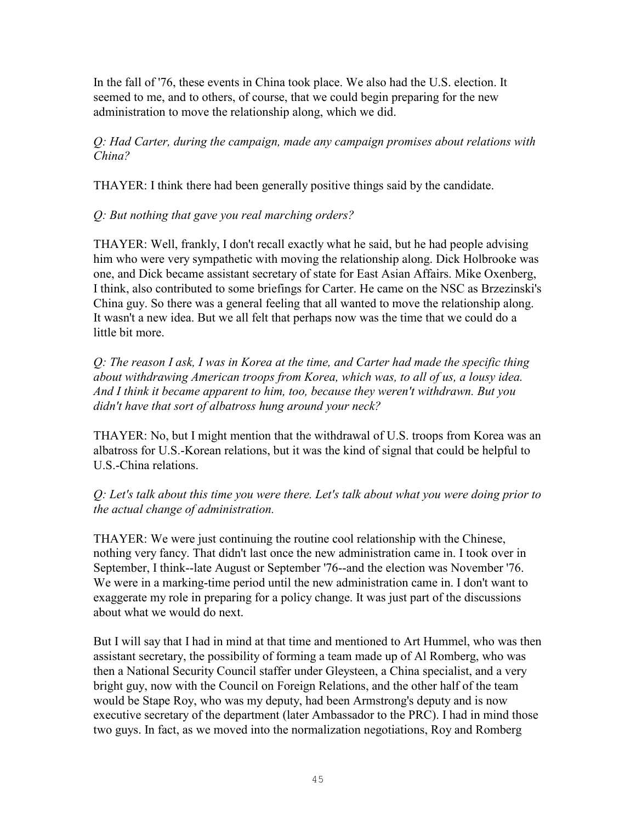In the fall of '76, these events in China took place. We also had the U.S. election. It seemed to me, and to others, of course, that we could begin preparing for the new administration to move the relationship along, which we did.

*Q: Had Carter, during the campaign, made any campaign promises about relations with China?* 

THAYER: I think there had been generally positive things said by the candidate.

*Q: But nothing that gave you real marching orders?* 

THAYER: Well, frankly, I don't recall exactly what he said, but he had people advising him who were very sympathetic with moving the relationship along. Dick Holbrooke was one, and Dick became assistant secretary of state for East Asian Affairs. Mike Oxenberg, I think, also contributed to some briefings for Carter. He came on the NSC as Brzezinski's China guy. So there was a general feeling that all wanted to move the relationship along. It wasn't a new idea. But we all felt that perhaps now was the time that we could do a little bit more.

*Q: The reason I ask, I was in Korea at the time, and Carter had made the specific thing about withdrawing American troops from Korea, which was, to all of us, a lousy idea. And I think it became apparent to him, too, because they weren't withdrawn. But you didn't have that sort of albatross hung around your neck?* 

THAYER: No, but I might mention that the withdrawal of U.S. troops from Korea was an albatross for U.S.-Korean relations, but it was the kind of signal that could be helpful to U.S.-China relations.

*Q: Let's talk about this time you were there. Let's talk about what you were doing prior to the actual change of administration.* 

THAYER: We were just continuing the routine cool relationship with the Chinese, nothing very fancy. That didn't last once the new administration came in. I took over in September, I think--late August or September '76--and the election was November '76. We were in a marking-time period until the new administration came in. I don't want to exaggerate my role in preparing for a policy change. It was just part of the discussions about what we would do next.

But I will say that I had in mind at that time and mentioned to Art Hummel, who was then assistant secretary, the possibility of forming a team made up of Al Romberg, who was then a National Security Council staffer under Gleysteen, a China specialist, and a very bright guy, now with the Council on Foreign Relations, and the other half of the team would be Stape Roy, who was my deputy, had been Armstrong's deputy and is now executive secretary of the department (later Ambassador to the PRC). I had in mind those two guys. In fact, as we moved into the normalization negotiations, Roy and Romberg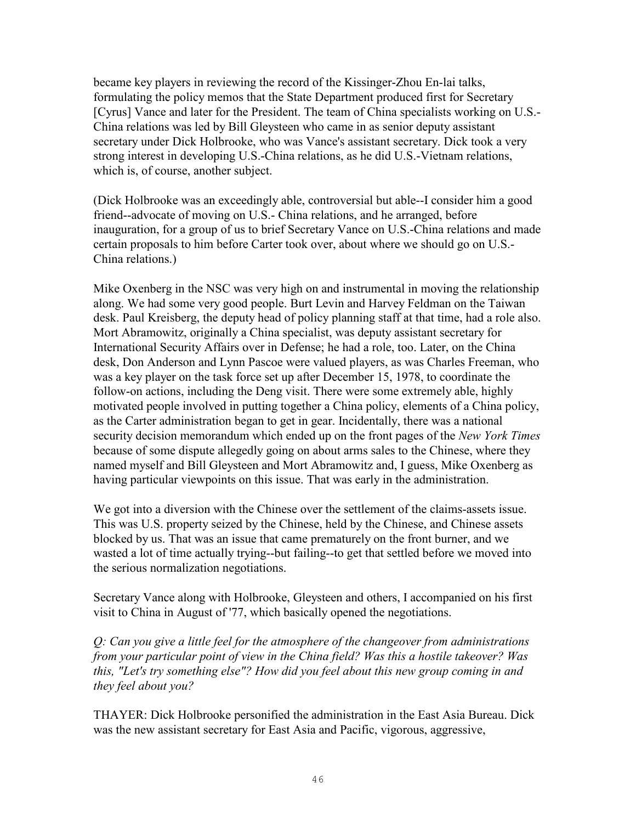became key players in reviewing the record of the Kissinger-Zhou En-lai talks, formulating the policy memos that the State Department produced first for Secretary [Cyrus] Vance and later for the President. The team of China specialists working on U.S.- China relations was led by Bill Gleysteen who came in as senior deputy assistant secretary under Dick Holbrooke, who was Vance's assistant secretary. Dick took a very strong interest in developing U.S.-China relations, as he did U.S.-Vietnam relations, which is, of course, another subject.

(Dick Holbrooke was an exceedingly able, controversial but able--I consider him a good friend--advocate of moving on U.S.- China relations, and he arranged, before inauguration, for a group of us to brief Secretary Vance on U.S.-China relations and made certain proposals to him before Carter took over, about where we should go on U.S.- China relations.)

Mike Oxenberg in the NSC was very high on and instrumental in moving the relationship along. We had some very good people. Burt Levin and Harvey Feldman on the Taiwan desk. Paul Kreisberg, the deputy head of policy planning staff at that time, had a role also. Mort Abramowitz, originally a China specialist, was deputy assistant secretary for International Security Affairs over in Defense; he had a role, too. Later, on the China desk, Don Anderson and Lynn Pascoe were valued players, as was Charles Freeman, who was a key player on the task force set up after December 15, 1978, to coordinate the follow-on actions, including the Deng visit. There were some extremely able, highly motivated people involved in putting together a China policy, elements of a China policy, as the Carter administration began to get in gear. Incidentally, there was a national security decision memorandum which ended up on the front pages of the *New York Times* because of some dispute allegedly going on about arms sales to the Chinese, where they named myself and Bill Gleysteen and Mort Abramowitz and, I guess, Mike Oxenberg as having particular viewpoints on this issue. That was early in the administration.

We got into a diversion with the Chinese over the settlement of the claims-assets issue. This was U.S. property seized by the Chinese, held by the Chinese, and Chinese assets blocked by us. That was an issue that came prematurely on the front burner, and we wasted a lot of time actually trying--but failing--to get that settled before we moved into the serious normalization negotiations.

Secretary Vance along with Holbrooke, Gleysteen and others, I accompanied on his first visit to China in August of '77, which basically opened the negotiations.

*Q: Can you give a little feel for the atmosphere of the changeover from administrations from your particular point of view in the China field? Was this a hostile takeover? Was this, "Let's try something else"? How did you feel about this new group coming in and they feel about you?* 

THAYER: Dick Holbrooke personified the administration in the East Asia Bureau. Dick was the new assistant secretary for East Asia and Pacific, vigorous, aggressive,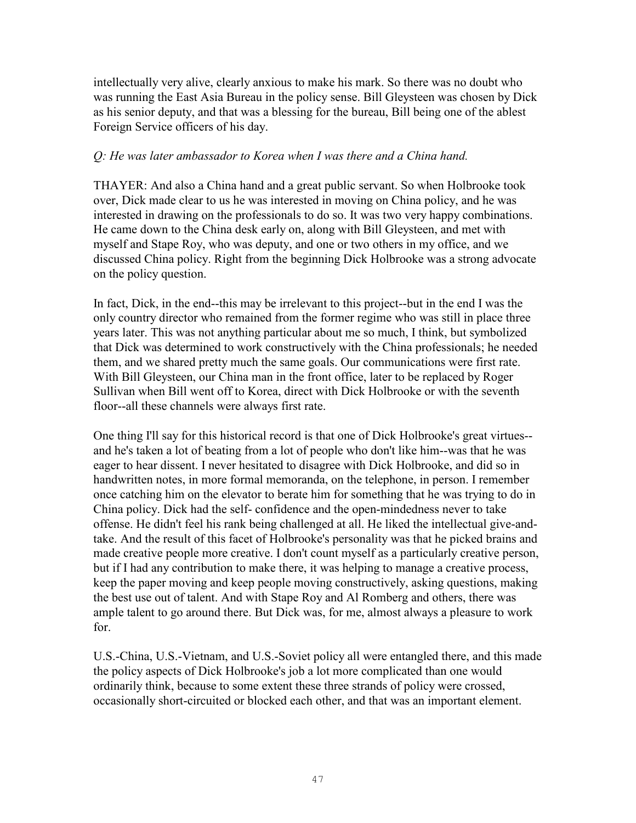intellectually very alive, clearly anxious to make his mark. So there was no doubt who was running the East Asia Bureau in the policy sense. Bill Gleysteen was chosen by Dick as his senior deputy, and that was a blessing for the bureau, Bill being one of the ablest Foreign Service officers of his day.

#### *Q: He was later ambassador to Korea when I was there and a China hand.*

THAYER: And also a China hand and a great public servant. So when Holbrooke took over, Dick made clear to us he was interested in moving on China policy, and he was interested in drawing on the professionals to do so. It was two very happy combinations. He came down to the China desk early on, along with Bill Gleysteen, and met with myself and Stape Roy, who was deputy, and one or two others in my office, and we discussed China policy. Right from the beginning Dick Holbrooke was a strong advocate on the policy question.

In fact, Dick, in the end--this may be irrelevant to this project--but in the end I was the only country director who remained from the former regime who was still in place three years later. This was not anything particular about me so much, I think, but symbolized that Dick was determined to work constructively with the China professionals; he needed them, and we shared pretty much the same goals. Our communications were first rate. With Bill Gleysteen, our China man in the front office, later to be replaced by Roger Sullivan when Bill went off to Korea, direct with Dick Holbrooke or with the seventh floor--all these channels were always first rate.

One thing I'll say for this historical record is that one of Dick Holbrooke's great virtues- and he's taken a lot of beating from a lot of people who don't like him--was that he was eager to hear dissent. I never hesitated to disagree with Dick Holbrooke, and did so in handwritten notes, in more formal memoranda, on the telephone, in person. I remember once catching him on the elevator to berate him for something that he was trying to do in China policy. Dick had the self- confidence and the open-mindedness never to take offense. He didn't feel his rank being challenged at all. He liked the intellectual give-andtake. And the result of this facet of Holbrooke's personality was that he picked brains and made creative people more creative. I don't count myself as a particularly creative person, but if I had any contribution to make there, it was helping to manage a creative process, keep the paper moving and keep people moving constructively, asking questions, making the best use out of talent. And with Stape Roy and Al Romberg and others, there was ample talent to go around there. But Dick was, for me, almost always a pleasure to work for.

U.S.-China, U.S.-Vietnam, and U.S.-Soviet policy all were entangled there, and this made the policy aspects of Dick Holbrooke's job a lot more complicated than one would ordinarily think, because to some extent these three strands of policy were crossed, occasionally short-circuited or blocked each other, and that was an important element.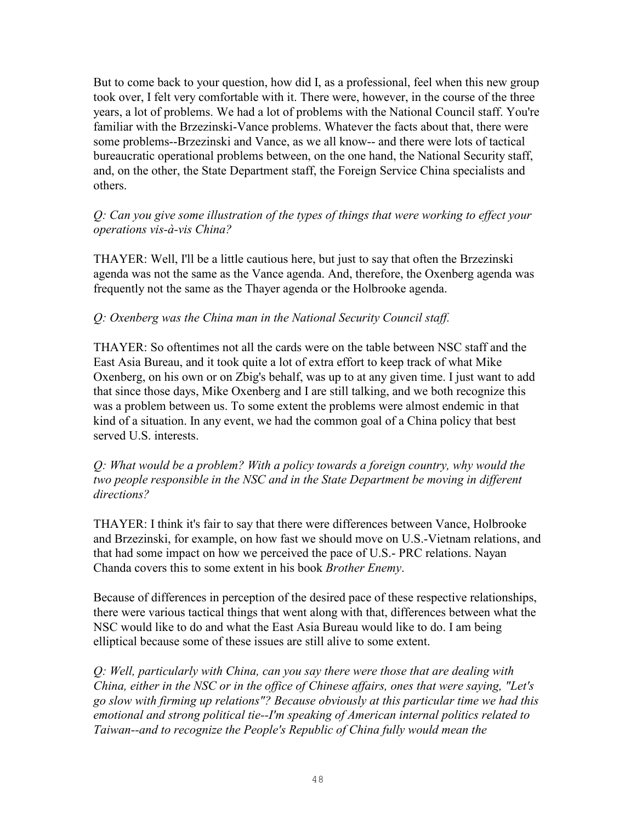But to come back to your question, how did I, as a professional, feel when this new group took over, I felt very comfortable with it. There were, however, in the course of the three years, a lot of problems. We had a lot of problems with the National Council staff. You're familiar with the Brzezinski-Vance problems. Whatever the facts about that, there were some problems--Brzezinski and Vance, as we all know-- and there were lots of tactical bureaucratic operational problems between, on the one hand, the National Security staff, and, on the other, the State Department staff, the Foreign Service China specialists and others.

*Q: Can you give some illustration of the types of things that were working to effect your operations vis-à-vis China?* 

THAYER: Well, I'll be a little cautious here, but just to say that often the Brzezinski agenda was not the same as the Vance agenda. And, therefore, the Oxenberg agenda was frequently not the same as the Thayer agenda or the Holbrooke agenda.

### *Q: Oxenberg was the China man in the National Security Council staff.*

THAYER: So oftentimes not all the cards were on the table between NSC staff and the East Asia Bureau, and it took quite a lot of extra effort to keep track of what Mike Oxenberg, on his own or on Zbig's behalf, was up to at any given time. I just want to add that since those days, Mike Oxenberg and I are still talking, and we both recognize this was a problem between us. To some extent the problems were almost endemic in that kind of a situation. In any event, we had the common goal of a China policy that best served U.S. interests.

*Q: What would be a problem? With a policy towards a foreign country, why would the two people responsible in the NSC and in the State Department be moving in different directions?* 

THAYER: I think it's fair to say that there were differences between Vance, Holbrooke and Brzezinski, for example, on how fast we should move on U.S.-Vietnam relations, and that had some impact on how we perceived the pace of U.S.- PRC relations. Nayan Chanda covers this to some extent in his book *Brother Enemy*.

Because of differences in perception of the desired pace of these respective relationships, there were various tactical things that went along with that, differences between what the NSC would like to do and what the East Asia Bureau would like to do. I am being elliptical because some of these issues are still alive to some extent.

*Q: Well, particularly with China, can you say there were those that are dealing with China, either in the NSC or in the office of Chinese affairs, ones that were saying, "Let's go slow with firming up relations"? Because obviously at this particular time we had this emotional and strong political tie--I'm speaking of American internal politics related to Taiwan--and to recognize the People's Republic of China fully would mean the*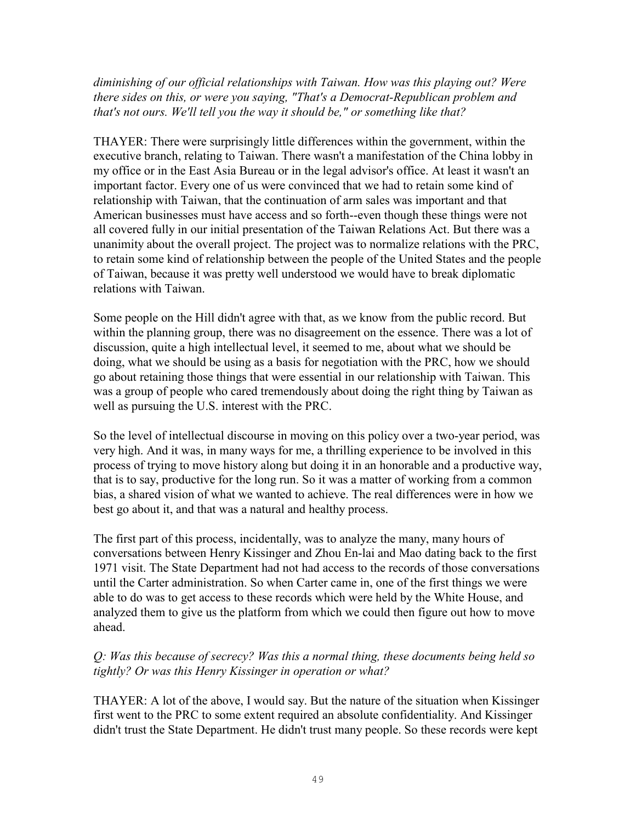*diminishing of our official relationships with Taiwan. How was this playing out? Were there sides on this, or were you saying, "That's a Democrat-Republican problem and that's not ours. We'll tell you the way it should be," or something like that?* 

THAYER: There were surprisingly little differences within the government, within the executive branch, relating to Taiwan. There wasn't a manifestation of the China lobby in my office or in the East Asia Bureau or in the legal advisor's office. At least it wasn't an important factor. Every one of us were convinced that we had to retain some kind of relationship with Taiwan, that the continuation of arm sales was important and that American businesses must have access and so forth--even though these things were not all covered fully in our initial presentation of the Taiwan Relations Act. But there was a unanimity about the overall project. The project was to normalize relations with the PRC, to retain some kind of relationship between the people of the United States and the people of Taiwan, because it was pretty well understood we would have to break diplomatic relations with Taiwan.

Some people on the Hill didn't agree with that, as we know from the public record. But within the planning group, there was no disagreement on the essence. There was a lot of discussion, quite a high intellectual level, it seemed to me, about what we should be doing, what we should be using as a basis for negotiation with the PRC, how we should go about retaining those things that were essential in our relationship with Taiwan. This was a group of people who cared tremendously about doing the right thing by Taiwan as well as pursuing the U.S. interest with the PRC.

So the level of intellectual discourse in moving on this policy over a two-year period, was very high. And it was, in many ways for me, a thrilling experience to be involved in this process of trying to move history along but doing it in an honorable and a productive way, that is to say, productive for the long run. So it was a matter of working from a common bias, a shared vision of what we wanted to achieve. The real differences were in how we best go about it, and that was a natural and healthy process.

The first part of this process, incidentally, was to analyze the many, many hours of conversations between Henry Kissinger and Zhou En-lai and Mao dating back to the first 1971 visit. The State Department had not had access to the records of those conversations until the Carter administration. So when Carter came in, one of the first things we were able to do was to get access to these records which were held by the White House, and analyzed them to give us the platform from which we could then figure out how to move ahead.

## *Q: Was this because of secrecy? Was this a normal thing, these documents being held so tightly? Or was this Henry Kissinger in operation or what?*

THAYER: A lot of the above, I would say. But the nature of the situation when Kissinger first went to the PRC to some extent required an absolute confidentiality. And Kissinger didn't trust the State Department. He didn't trust many people. So these records were kept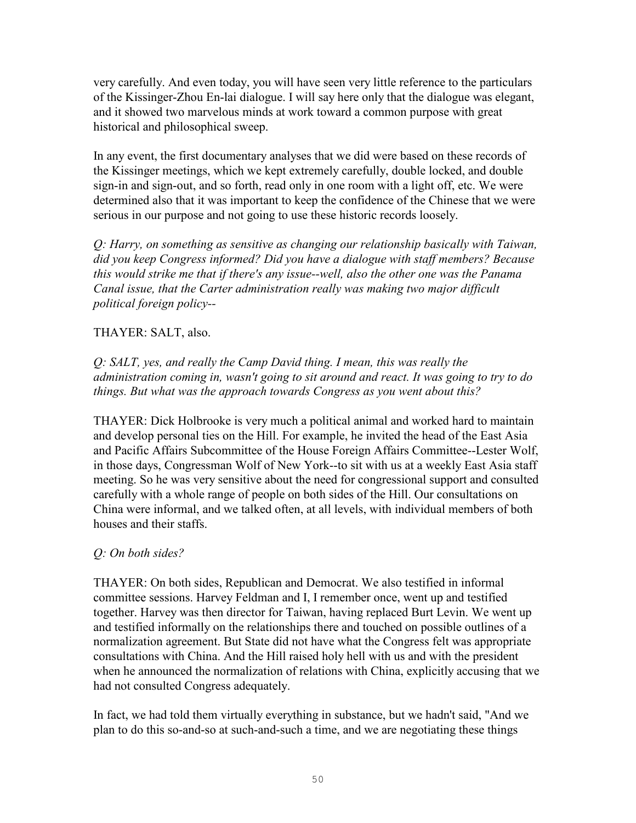very carefully. And even today, you will have seen very little reference to the particulars of the Kissinger-Zhou En-lai dialogue. I will say here only that the dialogue was elegant, and it showed two marvelous minds at work toward a common purpose with great historical and philosophical sweep.

In any event, the first documentary analyses that we did were based on these records of the Kissinger meetings, which we kept extremely carefully, double locked, and double sign-in and sign-out, and so forth, read only in one room with a light off, etc. We were determined also that it was important to keep the confidence of the Chinese that we were serious in our purpose and not going to use these historic records loosely.

*Q: Harry, on something as sensitive as changing our relationship basically with Taiwan, did you keep Congress informed? Did you have a dialogue with staff members? Because this would strike me that if there's any issue--well, also the other one was the Panama Canal issue, that the Carter administration really was making two major difficult political foreign policy--*

## THAYER: SALT, also.

*Q: SALT, yes, and really the Camp David thing. I mean, this was really the administration coming in, wasn't going to sit around and react. It was going to try to do things. But what was the approach towards Congress as you went about this?* 

THAYER: Dick Holbrooke is very much a political animal and worked hard to maintain and develop personal ties on the Hill. For example, he invited the head of the East Asia and Pacific Affairs Subcommittee of the House Foreign Affairs Committee--Lester Wolf, in those days, Congressman Wolf of New York--to sit with us at a weekly East Asia staff meeting. So he was very sensitive about the need for congressional support and consulted carefully with a whole range of people on both sides of the Hill. Our consultations on China were informal, and we talked often, at all levels, with individual members of both houses and their staffs.

### *Q: On both sides?*

THAYER: On both sides, Republican and Democrat. We also testified in informal committee sessions. Harvey Feldman and I, I remember once, went up and testified together. Harvey was then director for Taiwan, having replaced Burt Levin. We went up and testified informally on the relationships there and touched on possible outlines of a normalization agreement. But State did not have what the Congress felt was appropriate consultations with China. And the Hill raised holy hell with us and with the president when he announced the normalization of relations with China, explicitly accusing that we had not consulted Congress adequately.

In fact, we had told them virtually everything in substance, but we hadn't said, "And we plan to do this so-and-so at such-and-such a time, and we are negotiating these things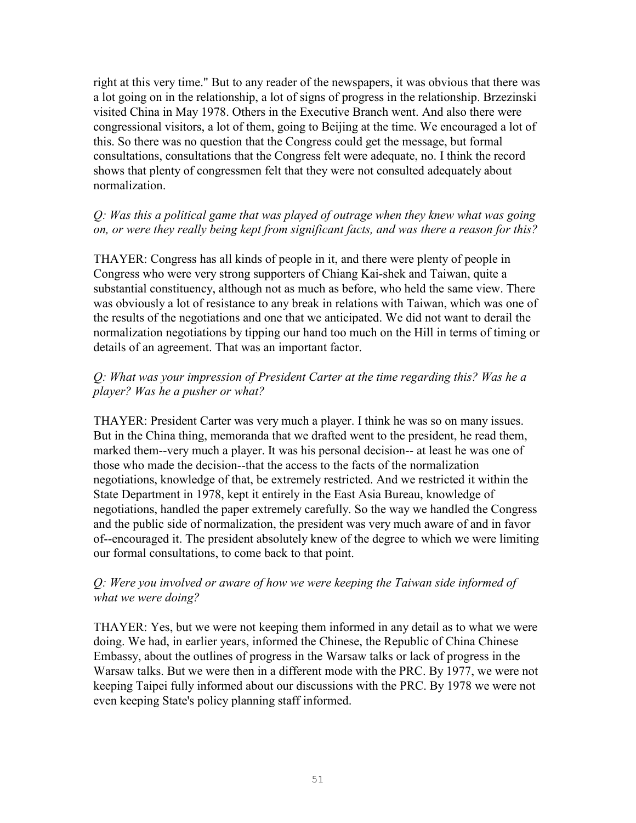right at this very time." But to any reader of the newspapers, it was obvious that there was a lot going on in the relationship, a lot of signs of progress in the relationship. Brzezinski visited China in May 1978. Others in the Executive Branch went. And also there were congressional visitors, a lot of them, going to Beijing at the time. We encouraged a lot of this. So there was no question that the Congress could get the message, but formal consultations, consultations that the Congress felt were adequate, no. I think the record shows that plenty of congressmen felt that they were not consulted adequately about normalization.

### *Q: Was this a political game that was played of outrage when they knew what was going on, or were they really being kept from significant facts, and was there a reason for this?*

THAYER: Congress has all kinds of people in it, and there were plenty of people in Congress who were very strong supporters of Chiang Kai-shek and Taiwan, quite a substantial constituency, although not as much as before, who held the same view. There was obviously a lot of resistance to any break in relations with Taiwan, which was one of the results of the negotiations and one that we anticipated. We did not want to derail the normalization negotiations by tipping our hand too much on the Hill in terms of timing or details of an agreement. That was an important factor.

## *Q: What was your impression of President Carter at the time regarding this? Was he a player? Was he a pusher or what?*

THAYER: President Carter was very much a player. I think he was so on many issues. But in the China thing, memoranda that we drafted went to the president, he read them, marked them--very much a player. It was his personal decision-- at least he was one of those who made the decision--that the access to the facts of the normalization negotiations, knowledge of that, be extremely restricted. And we restricted it within the State Department in 1978, kept it entirely in the East Asia Bureau, knowledge of negotiations, handled the paper extremely carefully. So the way we handled the Congress and the public side of normalization, the president was very much aware of and in favor of--encouraged it. The president absolutely knew of the degree to which we were limiting our formal consultations, to come back to that point.

## *Q: Were you involved or aware of how we were keeping the Taiwan side informed of what we were doing?*

THAYER: Yes, but we were not keeping them informed in any detail as to what we were doing. We had, in earlier years, informed the Chinese, the Republic of China Chinese Embassy, about the outlines of progress in the Warsaw talks or lack of progress in the Warsaw talks. But we were then in a different mode with the PRC. By 1977, we were not keeping Taipei fully informed about our discussions with the PRC. By 1978 we were not even keeping State's policy planning staff informed.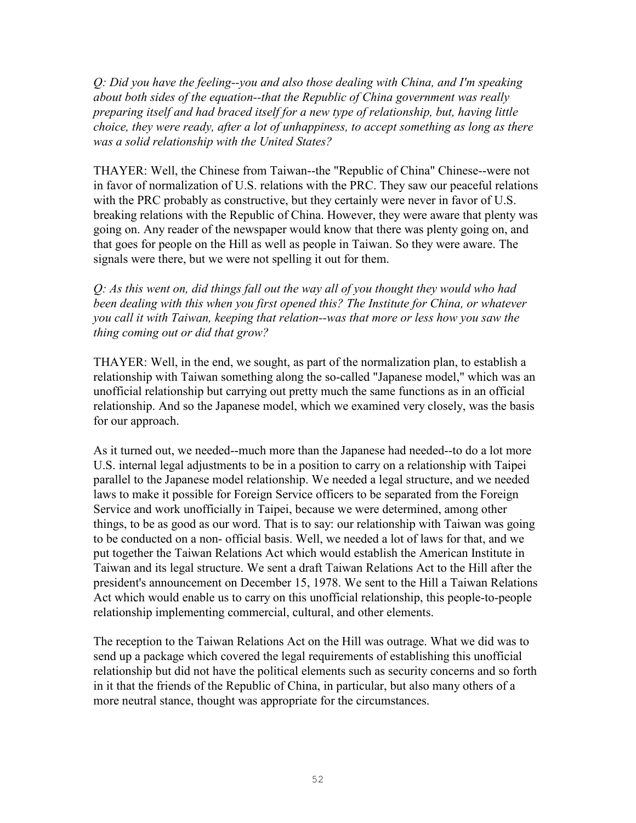*Q: Did you have the feeling--you and also those dealing with China, and I'm speaking about both sides of the equation--that the Republic of China government was really preparing itself and had braced itself for a new type of relationship, but, having little choice, they were ready, after a lot of unhappiness, to accept something as long as there was a solid relationship with the United States?*

THAYER: Well, the Chinese from Taiwan--the "Republic of China" Chinese--were not in favor of normalization of U.S. relations with the PRC. They saw our peaceful relations with the PRC probably as constructive, but they certainly were never in favor of U.S. breaking relations with the Republic of China. However, they were aware that plenty was going on. Any reader of the newspaper would know that there was plenty going on, and that goes for people on the Hill as well as people in Taiwan. So they were aware. The signals were there, but we were not spelling it out for them.

*Q: As this went on, did things fall out the way all of you thought they would who had been dealing with this when you first opened this? The Institute for China, or whatever you call it with Taiwan, keeping that relation--was that more or less how you saw the thing coming out or did that grow?*

THAYER: Well, in the end, we sought, as part of the normalization plan, to establish a relationship with Taiwan something along the so-called "Japanese model," which was an unofficial relationship but carrying out pretty much the same functions as in an official relationship. And so the Japanese model, which we examined very closely, was the basis for our approach.

As it turned out, we needed--much more than the Japanese had needed--to do a lot more U.S. internal legal adjustments to be in a position to carry on a relationship with Taipei parallel to the Japanese model relationship. We needed a legal structure, and we needed laws to make it possible for Foreign Service officers to be separated from the Foreign Service and work unofficially in Taipei, because we were determined, among other things, to be as good as our word. That is to say: our relationship with Taiwan was going to be conducted on a non- official basis. Well, we needed a lot of laws for that, and we put together the Taiwan Relations Act which would establish the American Institute in Taiwan and its legal structure. We sent a draft Taiwan Relations Act to the Hill after the president's announcement on December 15, 1978. We sent to the Hill a Taiwan Relations Act which would enable us to carry on this unofficial relationship, this people-to-people relationship implementing commercial, cultural, and other elements.

The reception to the Taiwan Relations Act on the Hill was outrage. What we did was to send up a package which covered the legal requirements of establishing this unofficial relationship but did not have the political elements such as security concerns and so forth in it that the friends of the Republic of China, in particular, but also many others of a more neutral stance, thought was appropriate for the circumstances.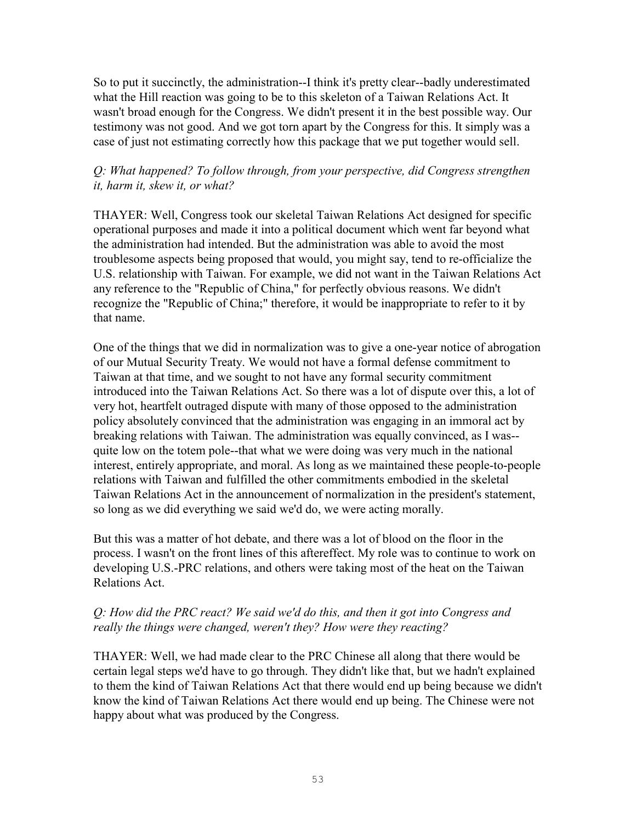So to put it succinctly, the administration--I think it's pretty clear--badly underestimated what the Hill reaction was going to be to this skeleton of a Taiwan Relations Act. It wasn't broad enough for the Congress. We didn't present it in the best possible way. Our testimony was not good. And we got torn apart by the Congress for this. It simply was a case of just not estimating correctly how this package that we put together would sell.

## *Q: What happened? To follow through, from your perspective, did Congress strengthen it, harm it, skew it, or what?*

THAYER: Well, Congress took our skeletal Taiwan Relations Act designed for specific operational purposes and made it into a political document which went far beyond what the administration had intended. But the administration was able to avoid the most troublesome aspects being proposed that would, you might say, tend to re-officialize the U.S. relationship with Taiwan. For example, we did not want in the Taiwan Relations Act any reference to the "Republic of China," for perfectly obvious reasons. We didn't recognize the "Republic of China;" therefore, it would be inappropriate to refer to it by that name.

One of the things that we did in normalization was to give a one-year notice of abrogation of our Mutual Security Treaty. We would not have a formal defense commitment to Taiwan at that time, and we sought to not have any formal security commitment introduced into the Taiwan Relations Act. So there was a lot of dispute over this, a lot of very hot, heartfelt outraged dispute with many of those opposed to the administration policy absolutely convinced that the administration was engaging in an immoral act by breaking relations with Taiwan. The administration was equally convinced, as I was- quite low on the totem pole--that what we were doing was very much in the national interest, entirely appropriate, and moral. As long as we maintained these people-to-people relations with Taiwan and fulfilled the other commitments embodied in the skeletal Taiwan Relations Act in the announcement of normalization in the president's statement, so long as we did everything we said we'd do, we were acting morally.

But this was a matter of hot debate, and there was a lot of blood on the floor in the process. I wasn't on the front lines of this aftereffect. My role was to continue to work on developing U.S.-PRC relations, and others were taking most of the heat on the Taiwan Relations Act.

## *Q: How did the PRC react? We said we'd do this, and then it got into Congress and really the things were changed, weren't they? How were they reacting?*

THAYER: Well, we had made clear to the PRC Chinese all along that there would be certain legal steps we'd have to go through. They didn't like that, but we hadn't explained to them the kind of Taiwan Relations Act that there would end up being because we didn't know the kind of Taiwan Relations Act there would end up being. The Chinese were not happy about what was produced by the Congress.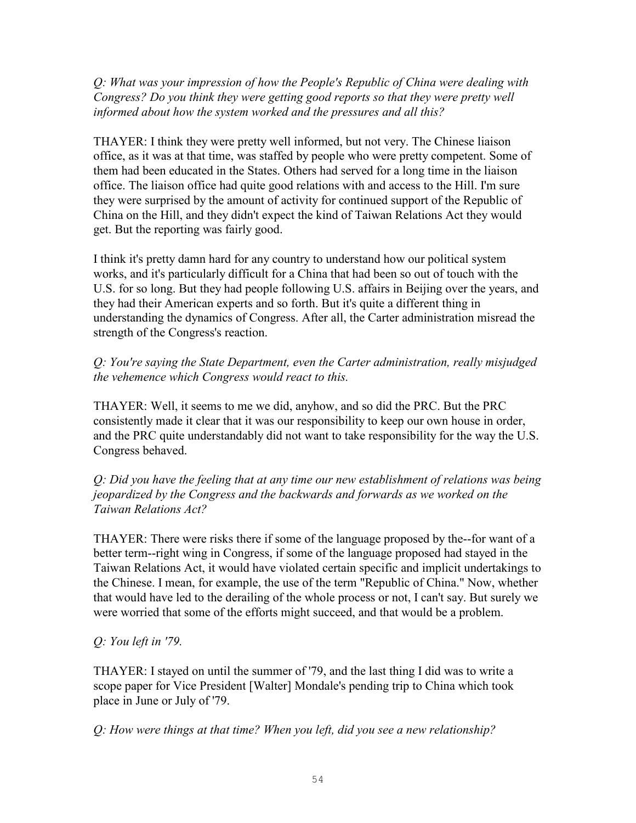*Q: What was your impression of how the People's Republic of China were dealing with Congress? Do you think they were getting good reports so that they were pretty well informed about how the system worked and the pressures and all this?* 

THAYER: I think they were pretty well informed, but not very. The Chinese liaison office, as it was at that time, was staffed by people who were pretty competent. Some of them had been educated in the States. Others had served for a long time in the liaison office. The liaison office had quite good relations with and access to the Hill. I'm sure they were surprised by the amount of activity for continued support of the Republic of China on the Hill, and they didn't expect the kind of Taiwan Relations Act they would get. But the reporting was fairly good.

I think it's pretty damn hard for any country to understand how our political system works, and it's particularly difficult for a China that had been so out of touch with the U.S. for so long. But they had people following U.S. affairs in Beijing over the years, and they had their American experts and so forth. But it's quite a different thing in understanding the dynamics of Congress. After all, the Carter administration misread the strength of the Congress's reaction.

*Q: You're saying the State Department, even the Carter administration, really misjudged the vehemence which Congress would react to this.* 

THAYER: Well, it seems to me we did, anyhow, and so did the PRC. But the PRC consistently made it clear that it was our responsibility to keep our own house in order, and the PRC quite understandably did not want to take responsibility for the way the U.S. Congress behaved.

*Q: Did you have the feeling that at any time our new establishment of relations was being jeopardized by the Congress and the backwards and forwards as we worked on the Taiwan Relations Act?* 

THAYER: There were risks there if some of the language proposed by the--for want of a better term--right wing in Congress, if some of the language proposed had stayed in the Taiwan Relations Act, it would have violated certain specific and implicit undertakings to the Chinese. I mean, for example, the use of the term "Republic of China." Now, whether that would have led to the derailing of the whole process or not, I can't say. But surely we were worried that some of the efforts might succeed, and that would be a problem.

# *Q: You left in '79.*

THAYER: I stayed on until the summer of '79, and the last thing I did was to write a scope paper for Vice President [Walter] Mondale's pending trip to China which took place in June or July of '79.

*Q: How were things at that time? When you left, did you see a new relationship?*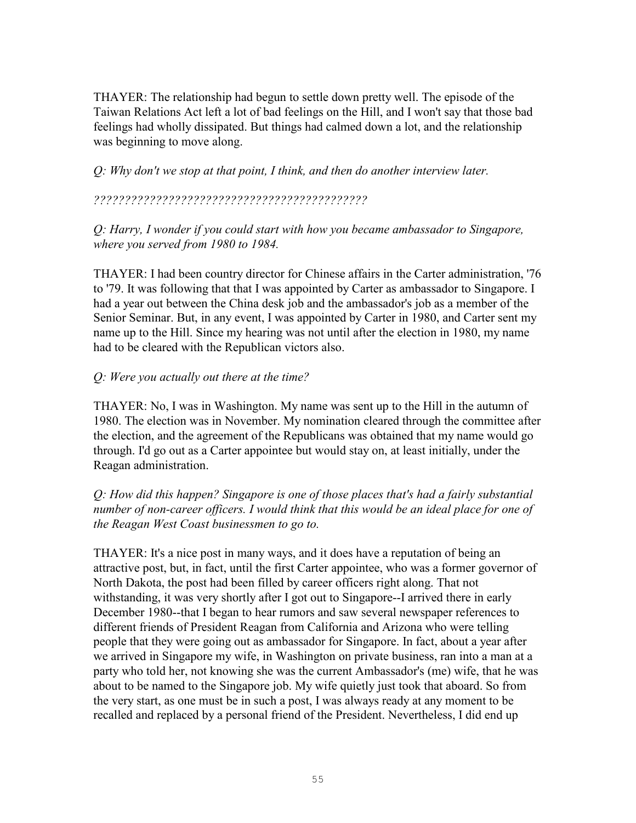THAYER: The relationship had begun to settle down pretty well. The episode of the Taiwan Relations Act left a lot of bad feelings on the Hill, and I won't say that those bad feelings had wholly dissipated. But things had calmed down a lot, and the relationship was beginning to move along.

*Q: Why don't we stop at that point, I think, and then do another interview later.* 

*????????????????????????????????????????????* 

*Q: Harry, I wonder if you could start with how you became ambassador to Singapore, where you served from 1980 to 1984.* 

THAYER: I had been country director for Chinese affairs in the Carter administration, '76 to '79. It was following that that I was appointed by Carter as ambassador to Singapore. I had a year out between the China desk job and the ambassador's job as a member of the Senior Seminar. But, in any event, I was appointed by Carter in 1980, and Carter sent my name up to the Hill. Since my hearing was not until after the election in 1980, my name had to be cleared with the Republican victors also.

### *Q: Were you actually out there at the time?*

THAYER: No, I was in Washington. My name was sent up to the Hill in the autumn of 1980. The election was in November. My nomination cleared through the committee after the election, and the agreement of the Republicans was obtained that my name would go through. I'd go out as a Carter appointee but would stay on, at least initially, under the Reagan administration.

*Q: How did this happen? Singapore is one of those places that's had a fairly substantial number of non-career officers. I would think that this would be an ideal place for one of the Reagan West Coast businessmen to go to.* 

THAYER: It's a nice post in many ways, and it does have a reputation of being an attractive post, but, in fact, until the first Carter appointee, who was a former governor of North Dakota, the post had been filled by career officers right along. That not withstanding, it was very shortly after I got out to Singapore--I arrived there in early December 1980--that I began to hear rumors and saw several newspaper references to different friends of President Reagan from California and Arizona who were telling people that they were going out as ambassador for Singapore. In fact, about a year after we arrived in Singapore my wife, in Washington on private business, ran into a man at a party who told her, not knowing she was the current Ambassador's (me) wife, that he was about to be named to the Singapore job. My wife quietly just took that aboard. So from the very start, as one must be in such a post, I was always ready at any moment to be recalled and replaced by a personal friend of the President. Nevertheless, I did end up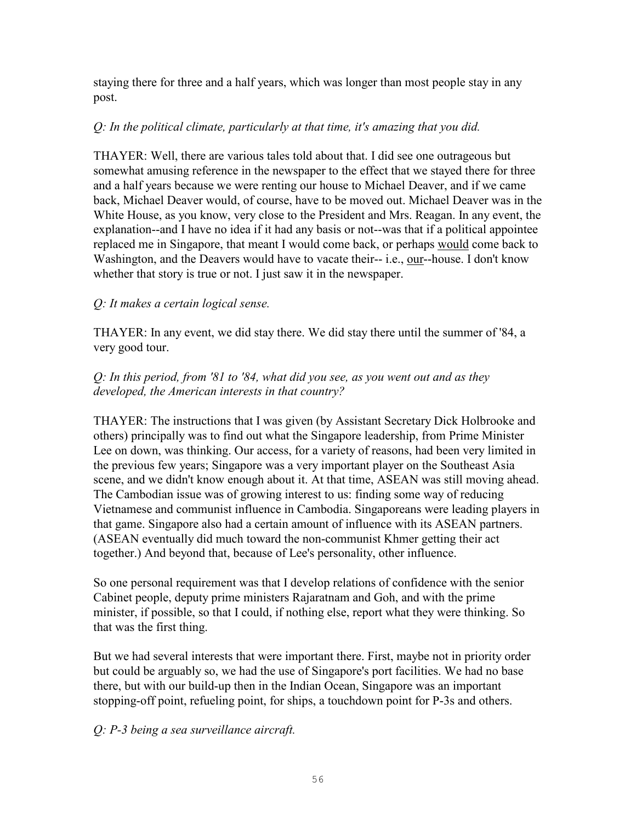staying there for three and a half years, which was longer than most people stay in any post.

### *Q: In the political climate, particularly at that time, it's amazing that you did.*

THAYER: Well, there are various tales told about that. I did see one outrageous but somewhat amusing reference in the newspaper to the effect that we stayed there for three and a half years because we were renting our house to Michael Deaver, and if we came back, Michael Deaver would, of course, have to be moved out. Michael Deaver was in the White House, as you know, very close to the President and Mrs. Reagan. In any event, the explanation--and I have no idea if it had any basis or not--was that if a political appointee replaced me in Singapore, that meant I would come back, or perhaps would come back to Washington, and the Deavers would have to vacate their-- *i.e.*, our--house. I don't know whether that story is true or not. I just saw it in the newspaper.

# *Q: It makes a certain logical sense.*

THAYER: In any event, we did stay there. We did stay there until the summer of '84, a very good tour.

## *Q: In this period, from '81 to '84, what did you see, as you went out and as they developed, the American interests in that country?*

THAYER: The instructions that I was given (by Assistant Secretary Dick Holbrooke and others) principally was to find out what the Singapore leadership, from Prime Minister Lee on down, was thinking. Our access, for a variety of reasons, had been very limited in the previous few years; Singapore was a very important player on the Southeast Asia scene, and we didn't know enough about it. At that time, ASEAN was still moving ahead. The Cambodian issue was of growing interest to us: finding some way of reducing Vietnamese and communist influence in Cambodia. Singaporeans were leading players in that game. Singapore also had a certain amount of influence with its ASEAN partners. (ASEAN eventually did much toward the non-communist Khmer getting their act together.) And beyond that, because of Lee's personality, other influence.

So one personal requirement was that I develop relations of confidence with the senior Cabinet people, deputy prime ministers Rajaratnam and Goh, and with the prime minister, if possible, so that I could, if nothing else, report what they were thinking. So that was the first thing.

But we had several interests that were important there. First, maybe not in priority order but could be arguably so, we had the use of Singapore's port facilities. We had no base there, but with our build-up then in the Indian Ocean, Singapore was an important stopping-off point, refueling point, for ships, a touchdown point for P-3s and others.

# *Q: P-3 being a sea surveillance aircraft.*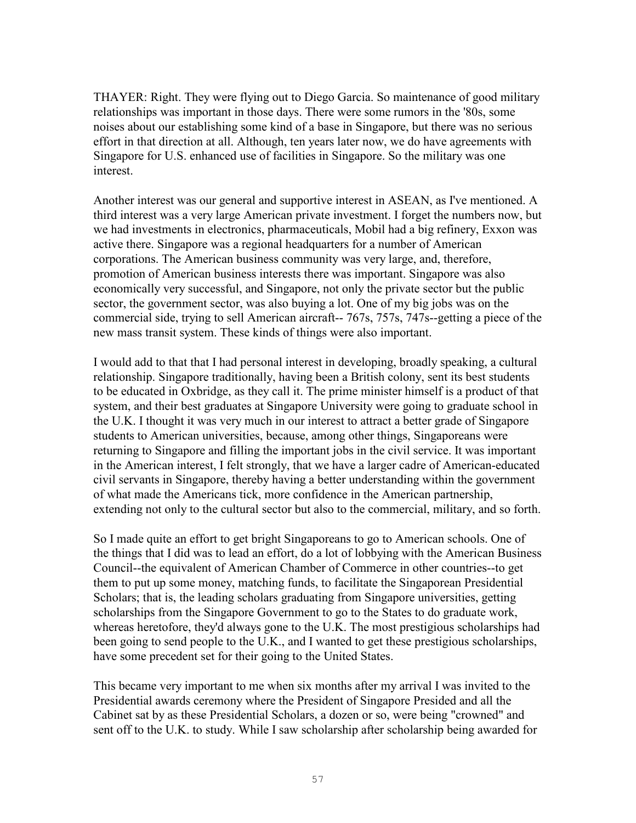THAYER: Right. They were flying out to Diego Garcia. So maintenance of good military relationships was important in those days. There were some rumors in the '80s, some noises about our establishing some kind of a base in Singapore, but there was no serious effort in that direction at all. Although, ten years later now, we do have agreements with Singapore for U.S. enhanced use of facilities in Singapore. So the military was one interest.

Another interest was our general and supportive interest in ASEAN, as I've mentioned. A third interest was a very large American private investment. I forget the numbers now, but we had investments in electronics, pharmaceuticals, Mobil had a big refinery, Exxon was active there. Singapore was a regional headquarters for a number of American corporations. The American business community was very large, and, therefore, promotion of American business interests there was important. Singapore was also economically very successful, and Singapore, not only the private sector but the public sector, the government sector, was also buying a lot. One of my big jobs was on the commercial side, trying to sell American aircraft-- 767s, 757s, 747s--getting a piece of the new mass transit system. These kinds of things were also important.

I would add to that that I had personal interest in developing, broadly speaking, a cultural relationship. Singapore traditionally, having been a British colony, sent its best students to be educated in Oxbridge, as they call it. The prime minister himself is a product of that system, and their best graduates at Singapore University were going to graduate school in the U.K. I thought it was very much in our interest to attract a better grade of Singapore students to American universities, because, among other things, Singaporeans were returning to Singapore and filling the important jobs in the civil service. It was important in the American interest, I felt strongly, that we have a larger cadre of American-educated civil servants in Singapore, thereby having a better understanding within the government of what made the Americans tick, more confidence in the American partnership, extending not only to the cultural sector but also to the commercial, military, and so forth.

So I made quite an effort to get bright Singaporeans to go to American schools. One of the things that I did was to lead an effort, do a lot of lobbying with the American Business Council--the equivalent of American Chamber of Commerce in other countries--to get them to put up some money, matching funds, to facilitate the Singaporean Presidential Scholars; that is, the leading scholars graduating from Singapore universities, getting scholarships from the Singapore Government to go to the States to do graduate work, whereas heretofore, they'd always gone to the U.K. The most prestigious scholarships had been going to send people to the U.K., and I wanted to get these prestigious scholarships, have some precedent set for their going to the United States.

This became very important to me when six months after my arrival I was invited to the Presidential awards ceremony where the President of Singapore Presided and all the Cabinet sat by as these Presidential Scholars, a dozen or so, were being "crowned" and sent off to the U.K. to study. While I saw scholarship after scholarship being awarded for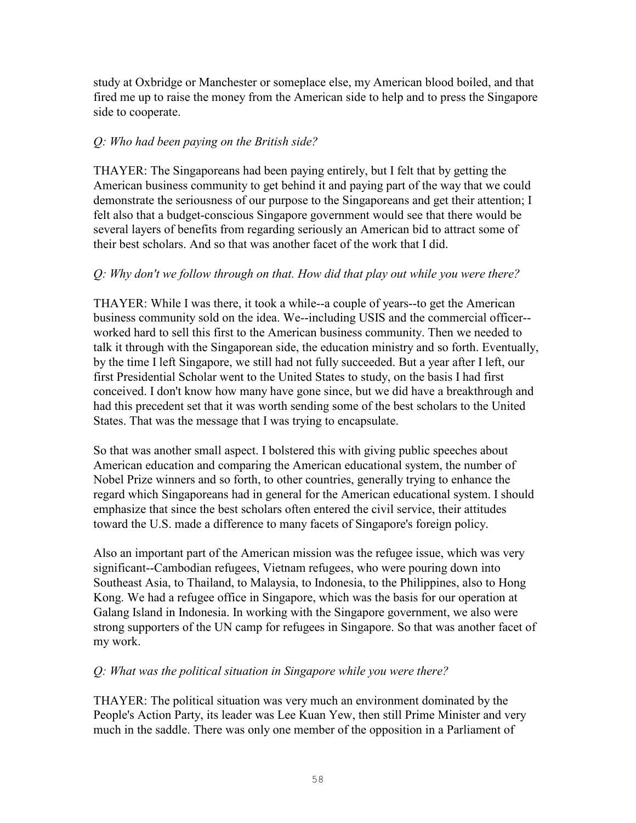study at Oxbridge or Manchester or someplace else, my American blood boiled, and that fired me up to raise the money from the American side to help and to press the Singapore side to cooperate.

## *Q: Who had been paying on the British side?*

THAYER: The Singaporeans had been paying entirely, but I felt that by getting the American business community to get behind it and paying part of the way that we could demonstrate the seriousness of our purpose to the Singaporeans and get their attention; I felt also that a budget-conscious Singapore government would see that there would be several layers of benefits from regarding seriously an American bid to attract some of their best scholars. And so that was another facet of the work that I did.

## *Q: Why don't we follow through on that. How did that play out while you were there?*

THAYER: While I was there, it took a while--a couple of years--to get the American business community sold on the idea. We--including USIS and the commercial officer- worked hard to sell this first to the American business community. Then we needed to talk it through with the Singaporean side, the education ministry and so forth. Eventually, by the time I left Singapore, we still had not fully succeeded. But a year after I left, our first Presidential Scholar went to the United States to study, on the basis I had first conceived. I don't know how many have gone since, but we did have a breakthrough and had this precedent set that it was worth sending some of the best scholars to the United States. That was the message that I was trying to encapsulate.

So that was another small aspect. I bolstered this with giving public speeches about American education and comparing the American educational system, the number of Nobel Prize winners and so forth, to other countries, generally trying to enhance the regard which Singaporeans had in general for the American educational system. I should emphasize that since the best scholars often entered the civil service, their attitudes toward the U.S. made a difference to many facets of Singapore's foreign policy.

Also an important part of the American mission was the refugee issue, which was very significant--Cambodian refugees, Vietnam refugees, who were pouring down into Southeast Asia, to Thailand, to Malaysia, to Indonesia, to the Philippines, also to Hong Kong. We had a refugee office in Singapore, which was the basis for our operation at Galang Island in Indonesia. In working with the Singapore government, we also were strong supporters of the UN camp for refugees in Singapore. So that was another facet of my work.

### *Q: What was the political situation in Singapore while you were there?*

THAYER: The political situation was very much an environment dominated by the People's Action Party, its leader was Lee Kuan Yew, then still Prime Minister and very much in the saddle. There was only one member of the opposition in a Parliament of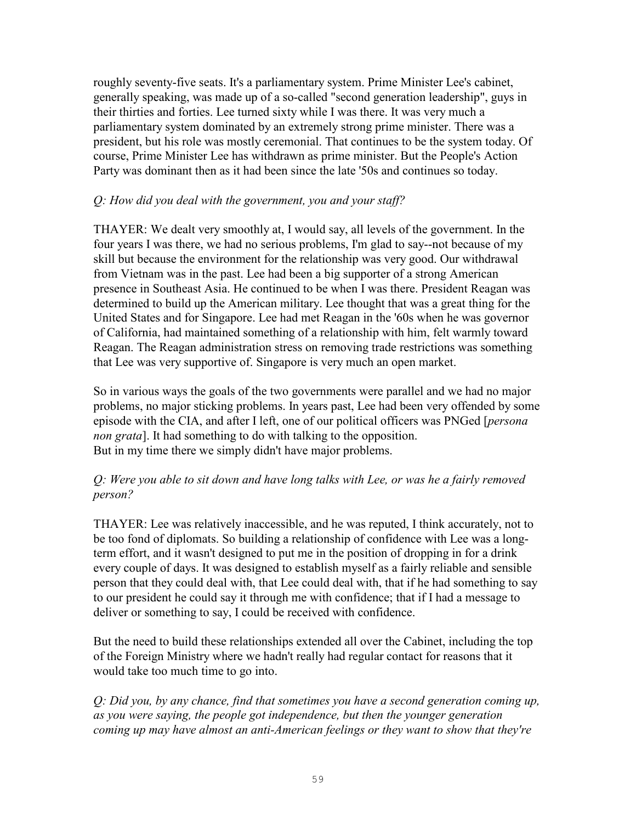roughly seventy-five seats. It's a parliamentary system. Prime Minister Lee's cabinet, generally speaking, was made up of a so-called "second generation leadership", guys in their thirties and forties. Lee turned sixty while I was there. It was very much a parliamentary system dominated by an extremely strong prime minister. There was a president, but his role was mostly ceremonial. That continues to be the system today. Of course, Prime Minister Lee has withdrawn as prime minister. But the People's Action Party was dominant then as it had been since the late '50s and continues so today.

## *Q: How did you deal with the government, you and your staff?*

THAYER: We dealt very smoothly at, I would say, all levels of the government. In the four years I was there, we had no serious problems, I'm glad to say--not because of my skill but because the environment for the relationship was very good. Our withdrawal from Vietnam was in the past. Lee had been a big supporter of a strong American presence in Southeast Asia. He continued to be when I was there. President Reagan was determined to build up the American military. Lee thought that was a great thing for the United States and for Singapore. Lee had met Reagan in the '60s when he was governor of California, had maintained something of a relationship with him, felt warmly toward Reagan. The Reagan administration stress on removing trade restrictions was something that Lee was very supportive of. Singapore is very much an open market.

So in various ways the goals of the two governments were parallel and we had no major problems, no major sticking problems. In years past, Lee had been very offended by some episode with the CIA, and after I left, one of our political officers was PNGed [*persona non grata*]. It had something to do with talking to the opposition. But in my time there we simply didn't have major problems.

### *Q: Were you able to sit down and have long talks with Lee, or was he a fairly removed person?*

THAYER: Lee was relatively inaccessible, and he was reputed, I think accurately, not to be too fond of diplomats. So building a relationship of confidence with Lee was a longterm effort, and it wasn't designed to put me in the position of dropping in for a drink every couple of days. It was designed to establish myself as a fairly reliable and sensible person that they could deal with, that Lee could deal with, that if he had something to say to our president he could say it through me with confidence; that if I had a message to deliver or something to say, I could be received with confidence.

But the need to build these relationships extended all over the Cabinet, including the top of the Foreign Ministry where we hadn't really had regular contact for reasons that it would take too much time to go into.

*Q: Did you, by any chance, find that sometimes you have a second generation coming up, as you were saying, the people got independence, but then the younger generation coming up may have almost an anti-American feelings or they want to show that they're*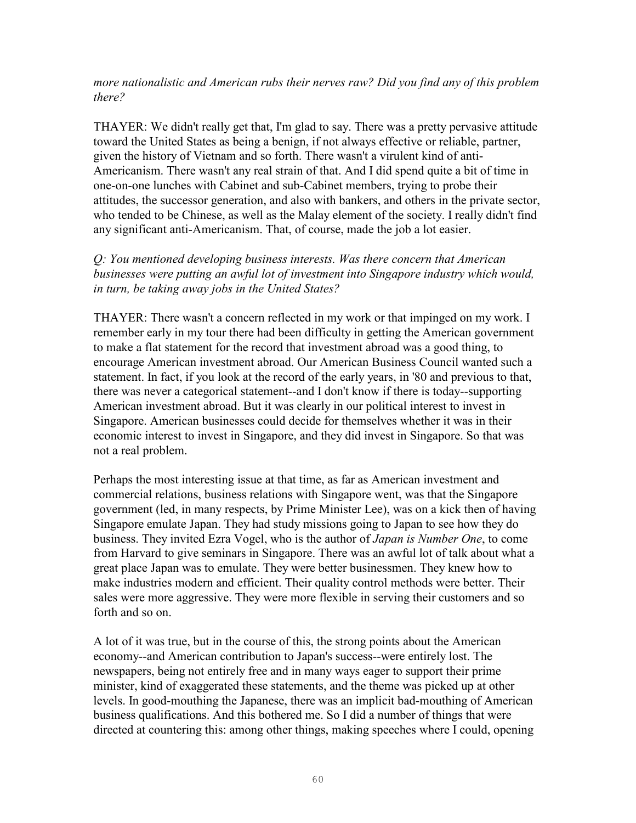#### *more nationalistic and American rubs their nerves raw? Did you find any of this problem there?*

THAYER: We didn't really get that, I'm glad to say. There was a pretty pervasive attitude toward the United States as being a benign, if not always effective or reliable, partner, given the history of Vietnam and so forth. There wasn't a virulent kind of anti-Americanism. There wasn't any real strain of that. And I did spend quite a bit of time in one-on-one lunches with Cabinet and sub-Cabinet members, trying to probe their attitudes, the successor generation, and also with bankers, and others in the private sector, who tended to be Chinese, as well as the Malay element of the society. I really didn't find any significant anti-Americanism. That, of course, made the job a lot easier.

*Q: You mentioned developing business interests. Was there concern that American businesses were putting an awful lot of investment into Singapore industry which would, in turn, be taking away jobs in the United States?* 

THAYER: There wasn't a concern reflected in my work or that impinged on my work. I remember early in my tour there had been difficulty in getting the American government to make a flat statement for the record that investment abroad was a good thing, to encourage American investment abroad. Our American Business Council wanted such a statement. In fact, if you look at the record of the early years, in '80 and previous to that, there was never a categorical statement--and I don't know if there is today--supporting American investment abroad. But it was clearly in our political interest to invest in Singapore. American businesses could decide for themselves whether it was in their economic interest to invest in Singapore, and they did invest in Singapore. So that was not a real problem.

Perhaps the most interesting issue at that time, as far as American investment and commercial relations, business relations with Singapore went, was that the Singapore government (led, in many respects, by Prime Minister Lee), was on a kick then of having Singapore emulate Japan. They had study missions going to Japan to see how they do business. They invited Ezra Vogel, who is the author of *Japan is Number One*, to come from Harvard to give seminars in Singapore. There was an awful lot of talk about what a great place Japan was to emulate. They were better businessmen. They knew how to make industries modern and efficient. Their quality control methods were better. Their sales were more aggressive. They were more flexible in serving their customers and so forth and so on.

A lot of it was true, but in the course of this, the strong points about the American economy--and American contribution to Japan's success--were entirely lost. The newspapers, being not entirely free and in many ways eager to support their prime minister, kind of exaggerated these statements, and the theme was picked up at other levels. In good-mouthing the Japanese, there was an implicit bad-mouthing of American business qualifications. And this bothered me. So I did a number of things that were directed at countering this: among other things, making speeches where I could, opening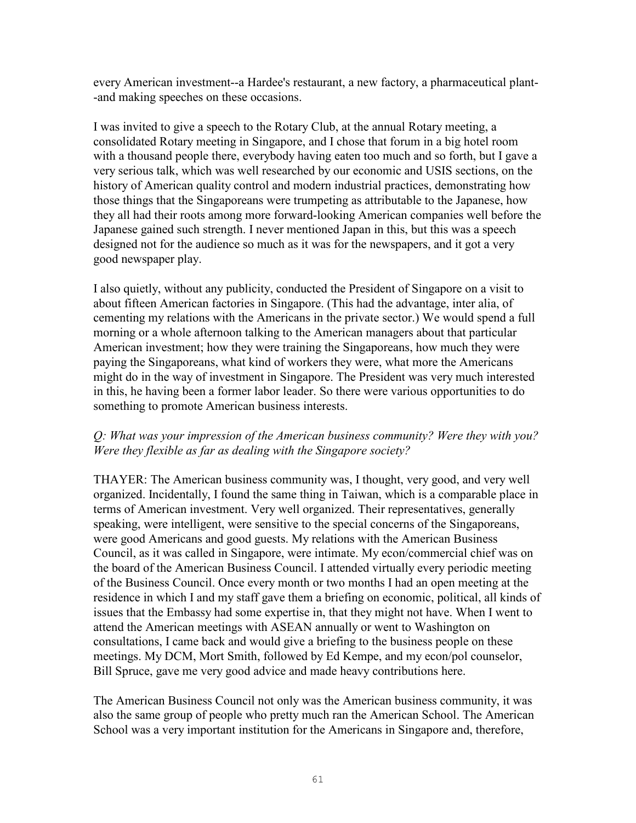every American investment--a Hardee's restaurant, a new factory, a pharmaceutical plant- -and making speeches on these occasions.

I was invited to give a speech to the Rotary Club, at the annual Rotary meeting, a consolidated Rotary meeting in Singapore, and I chose that forum in a big hotel room with a thousand people there, everybody having eaten too much and so forth, but I gave a very serious talk, which was well researched by our economic and USIS sections, on the history of American quality control and modern industrial practices, demonstrating how those things that the Singaporeans were trumpeting as attributable to the Japanese, how they all had their roots among more forward-looking American companies well before the Japanese gained such strength. I never mentioned Japan in this, but this was a speech designed not for the audience so much as it was for the newspapers, and it got a very good newspaper play.

I also quietly, without any publicity, conducted the President of Singapore on a visit to about fifteen American factories in Singapore. (This had the advantage, inter alia, of cementing my relations with the Americans in the private sector.) We would spend a full morning or a whole afternoon talking to the American managers about that particular American investment; how they were training the Singaporeans, how much they were paying the Singaporeans, what kind of workers they were, what more the Americans might do in the way of investment in Singapore. The President was very much interested in this, he having been a former labor leader. So there were various opportunities to do something to promote American business interests.

### *Q: What was your impression of the American business community? Were they with you? Were they flexible as far as dealing with the Singapore society?*

THAYER: The American business community was, I thought, very good, and very well organized. Incidentally, I found the same thing in Taiwan, which is a comparable place in terms of American investment. Very well organized. Their representatives, generally speaking, were intelligent, were sensitive to the special concerns of the Singaporeans, were good Americans and good guests. My relations with the American Business Council, as it was called in Singapore, were intimate. My econ/commercial chief was on the board of the American Business Council. I attended virtually every periodic meeting of the Business Council. Once every month or two months I had an open meeting at the residence in which I and my staff gave them a briefing on economic, political, all kinds of issues that the Embassy had some expertise in, that they might not have. When I went to attend the American meetings with ASEAN annually or went to Washington on consultations, I came back and would give a briefing to the business people on these meetings. My DCM, Mort Smith, followed by Ed Kempe, and my econ/pol counselor, Bill Spruce, gave me very good advice and made heavy contributions here.

The American Business Council not only was the American business community, it was also the same group of people who pretty much ran the American School. The American School was a very important institution for the Americans in Singapore and, therefore,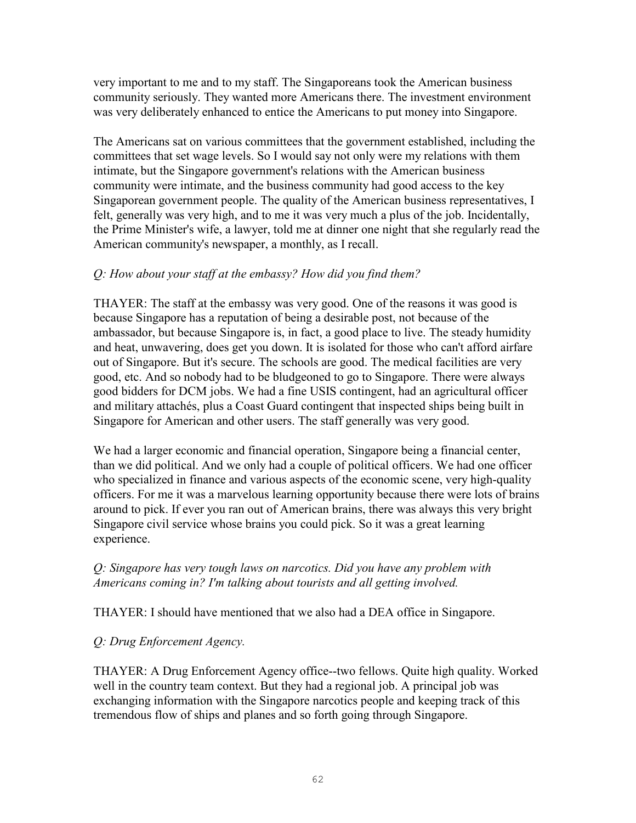very important to me and to my staff. The Singaporeans took the American business community seriously. They wanted more Americans there. The investment environment was very deliberately enhanced to entice the Americans to put money into Singapore.

The Americans sat on various committees that the government established, including the committees that set wage levels. So I would say not only were my relations with them intimate, but the Singapore government's relations with the American business community were intimate, and the business community had good access to the key Singaporean government people. The quality of the American business representatives, I felt, generally was very high, and to me it was very much a plus of the job. Incidentally, the Prime Minister's wife, a lawyer, told me at dinner one night that she regularly read the American community's newspaper, a monthly, as I recall.

## *Q: How about your staff at the embassy? How did you find them?*

THAYER: The staff at the embassy was very good. One of the reasons it was good is because Singapore has a reputation of being a desirable post, not because of the ambassador, but because Singapore is, in fact, a good place to live. The steady humidity and heat, unwavering, does get you down. It is isolated for those who can't afford airfare out of Singapore. But it's secure. The schools are good. The medical facilities are very good, etc. And so nobody had to be bludgeoned to go to Singapore. There were always good bidders for DCM jobs. We had a fine USIS contingent, had an agricultural officer and military attachés, plus a Coast Guard contingent that inspected ships being built in Singapore for American and other users. The staff generally was very good.

We had a larger economic and financial operation, Singapore being a financial center, than we did political. And we only had a couple of political officers. We had one officer who specialized in finance and various aspects of the economic scene, very high-quality officers. For me it was a marvelous learning opportunity because there were lots of brains around to pick. If ever you ran out of American brains, there was always this very bright Singapore civil service whose brains you could pick. So it was a great learning experience.

### *Q: Singapore has very tough laws on narcotics. Did you have any problem with Americans coming in? I'm talking about tourists and all getting involved.*

THAYER: I should have mentioned that we also had a DEA office in Singapore.

# *Q: Drug Enforcement Agency.*

THAYER: A Drug Enforcement Agency office--two fellows. Quite high quality. Worked well in the country team context. But they had a regional job. A principal job was exchanging information with the Singapore narcotics people and keeping track of this tremendous flow of ships and planes and so forth going through Singapore.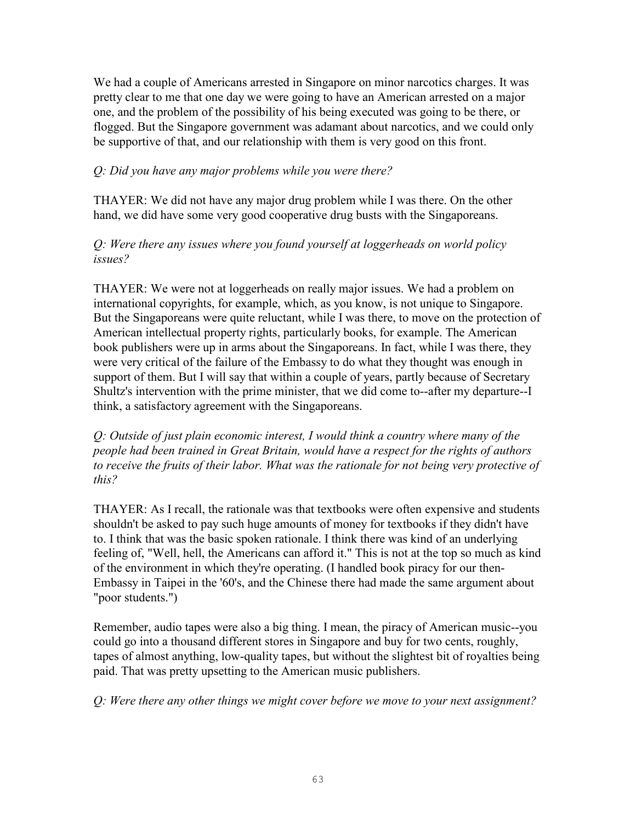We had a couple of Americans arrested in Singapore on minor narcotics charges. It was pretty clear to me that one day we were going to have an American arrested on a major one, and the problem of the possibility of his being executed was going to be there, or flogged. But the Singapore government was adamant about narcotics, and we could only be supportive of that, and our relationship with them is very good on this front.

### *Q: Did you have any major problems while you were there?*

THAYER: We did not have any major drug problem while I was there. On the other hand, we did have some very good cooperative drug busts with the Singaporeans.

### *Q: Were there any issues where you found yourself at loggerheads on world policy issues?*

THAYER: We were not at loggerheads on really major issues. We had a problem on international copyrights, for example, which, as you know, is not unique to Singapore. But the Singaporeans were quite reluctant, while I was there, to move on the protection of American intellectual property rights, particularly books, for example. The American book publishers were up in arms about the Singaporeans. In fact, while I was there, they were very critical of the failure of the Embassy to do what they thought was enough in support of them. But I will say that within a couple of years, partly because of Secretary Shultz's intervention with the prime minister, that we did come to--after my departure--I think, a satisfactory agreement with the Singaporeans.

*Q: Outside of just plain economic interest, I would think a country where many of the people had been trained in Great Britain, would have a respect for the rights of authors to receive the fruits of their labor. What was the rationale for not being very protective of this?* 

THAYER: As I recall, the rationale was that textbooks were often expensive and students shouldn't be asked to pay such huge amounts of money for textbooks if they didn't have to. I think that was the basic spoken rationale. I think there was kind of an underlying feeling of, "Well, hell, the Americans can afford it." This is not at the top so much as kind of the environment in which they're operating. (I handled book piracy for our then-Embassy in Taipei in the '60's, and the Chinese there had made the same argument about "poor students.")

Remember, audio tapes were also a big thing. I mean, the piracy of American music--you could go into a thousand different stores in Singapore and buy for two cents, roughly, tapes of almost anything, low-quality tapes, but without the slightest bit of royalties being paid. That was pretty upsetting to the American music publishers.

*Q: Were there any other things we might cover before we move to your next assignment?*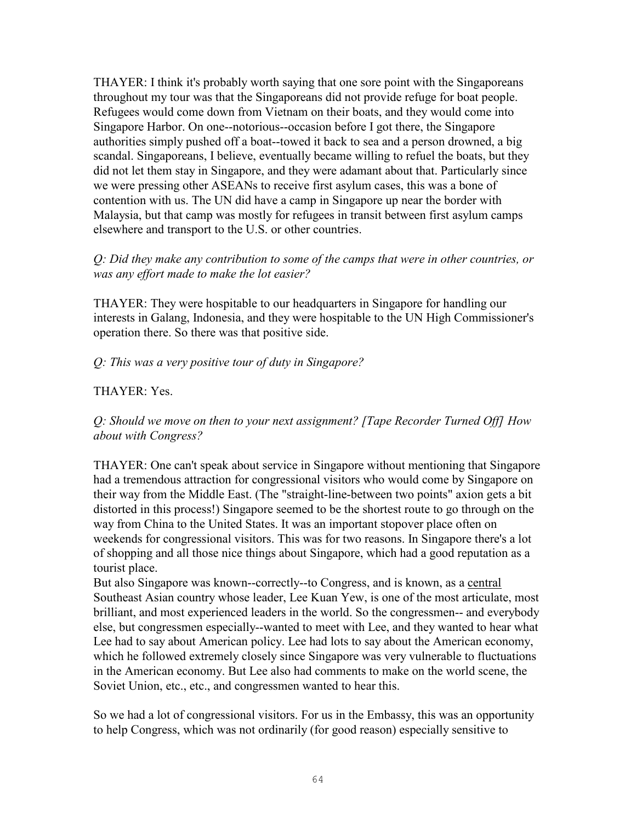THAYER: I think it's probably worth saying that one sore point with the Singaporeans throughout my tour was that the Singaporeans did not provide refuge for boat people. Refugees would come down from Vietnam on their boats, and they would come into Singapore Harbor. On one--notorious--occasion before I got there, the Singapore authorities simply pushed off a boat--towed it back to sea and a person drowned, a big scandal. Singaporeans, I believe, eventually became willing to refuel the boats, but they did not let them stay in Singapore, and they were adamant about that. Particularly since we were pressing other ASEANs to receive first asylum cases, this was a bone of contention with us. The UN did have a camp in Singapore up near the border with Malaysia, but that camp was mostly for refugees in transit between first asylum camps elsewhere and transport to the U.S. or other countries.

#### *Q: Did they make any contribution to some of the camps that were in other countries, or was any effort made to make the lot easier?*

THAYER: They were hospitable to our headquarters in Singapore for handling our interests in Galang, Indonesia, and they were hospitable to the UN High Commissioner's operation there. So there was that positive side.

### *Q: This was a very positive tour of duty in Singapore?*

## THAYER: Yes.

*Q: Should we move on then to your next assignment? [Tape Recorder Turned Off] How about with Congress?* 

THAYER: One can't speak about service in Singapore without mentioning that Singapore had a tremendous attraction for congressional visitors who would come by Singapore on their way from the Middle East. (The "straight-line-between two points" axion gets a bit distorted in this process!) Singapore seemed to be the shortest route to go through on the way from China to the United States. It was an important stopover place often on weekends for congressional visitors. This was for two reasons. In Singapore there's a lot of shopping and all those nice things about Singapore, which had a good reputation as a tourist place.

But also Singapore was known--correctly--to Congress, and is known, as a central Southeast Asian country whose leader, Lee Kuan Yew, is one of the most articulate, most brilliant, and most experienced leaders in the world. So the congressmen-- and everybody else, but congressmen especially--wanted to meet with Lee, and they wanted to hear what Lee had to say about American policy. Lee had lots to say about the American economy, which he followed extremely closely since Singapore was very vulnerable to fluctuations in the American economy. But Lee also had comments to make on the world scene, the Soviet Union, etc., etc., and congressmen wanted to hear this.

So we had a lot of congressional visitors. For us in the Embassy, this was an opportunity to help Congress, which was not ordinarily (for good reason) especially sensitive to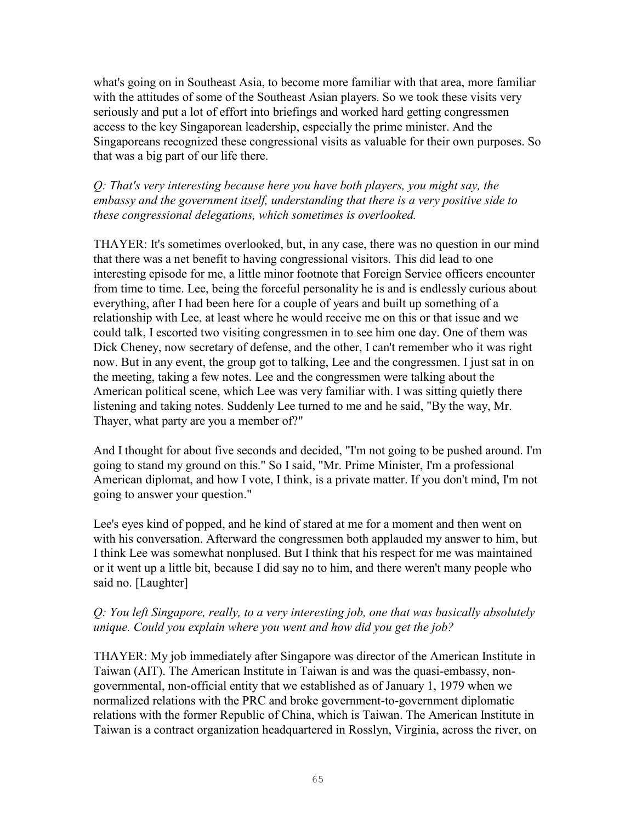what's going on in Southeast Asia, to become more familiar with that area, more familiar with the attitudes of some of the Southeast Asian players. So we took these visits very seriously and put a lot of effort into briefings and worked hard getting congressmen access to the key Singaporean leadership, especially the prime minister. And the Singaporeans recognized these congressional visits as valuable for their own purposes. So that was a big part of our life there.

*Q: That's very interesting because here you have both players, you might say, the embassy and the government itself, understanding that there is a very positive side to these congressional delegations, which sometimes is overlooked.* 

THAYER: It's sometimes overlooked, but, in any case, there was no question in our mind that there was a net benefit to having congressional visitors. This did lead to one interesting episode for me, a little minor footnote that Foreign Service officers encounter from time to time. Lee, being the forceful personality he is and is endlessly curious about everything, after I had been here for a couple of years and built up something of a relationship with Lee, at least where he would receive me on this or that issue and we could talk, I escorted two visiting congressmen in to see him one day. One of them was Dick Cheney, now secretary of defense, and the other, I can't remember who it was right now. But in any event, the group got to talking, Lee and the congressmen. I just sat in on the meeting, taking a few notes. Lee and the congressmen were talking about the American political scene, which Lee was very familiar with. I was sitting quietly there listening and taking notes. Suddenly Lee turned to me and he said, "By the way, Mr. Thayer, what party are you a member of?"

And I thought for about five seconds and decided, "I'm not going to be pushed around. I'm going to stand my ground on this." So I said, "Mr. Prime Minister, I'm a professional American diplomat, and how I vote, I think, is a private matter. If you don't mind, I'm not going to answer your question."

Lee's eyes kind of popped, and he kind of stared at me for a moment and then went on with his conversation. Afterward the congressmen both applauded my answer to him, but I think Lee was somewhat nonplused. But I think that his respect for me was maintained or it went up a little bit, because I did say no to him, and there weren't many people who said no. [Laughter]

# *Q: You left Singapore, really, to a very interesting job, one that was basically absolutely unique. Could you explain where you went and how did you get the job?*

THAYER: My job immediately after Singapore was director of the American Institute in Taiwan (AIT). The American Institute in Taiwan is and was the quasi-embassy, nongovernmental, non-official entity that we established as of January 1, 1979 when we normalized relations with the PRC and broke government-to-government diplomatic relations with the former Republic of China, which is Taiwan. The American Institute in Taiwan is a contract organization headquartered in Rosslyn, Virginia, across the river, on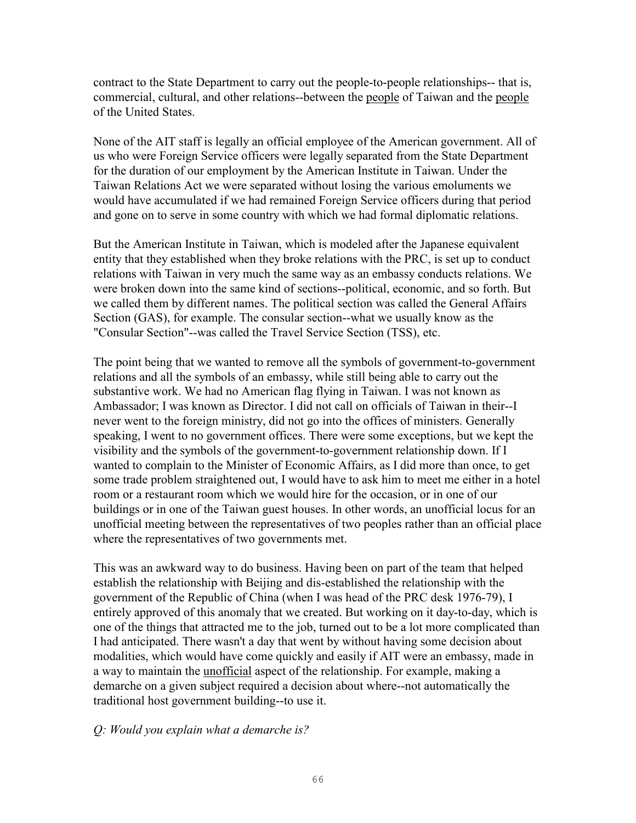contract to the State Department to carry out the people-to-people relationships-- that is, commercial, cultural, and other relations--between the people of Taiwan and the people of the United States.

None of the AIT staff is legally an official employee of the American government. All of us who were Foreign Service officers were legally separated from the State Department for the duration of our employment by the American Institute in Taiwan. Under the Taiwan Relations Act we were separated without losing the various emoluments we would have accumulated if we had remained Foreign Service officers during that period and gone on to serve in some country with which we had formal diplomatic relations.

But the American Institute in Taiwan, which is modeled after the Japanese equivalent entity that they established when they broke relations with the PRC, is set up to conduct relations with Taiwan in very much the same way as an embassy conducts relations. We were broken down into the same kind of sections--political, economic, and so forth. But we called them by different names. The political section was called the General Affairs Section (GAS), for example. The consular section--what we usually know as the "Consular Section"--was called the Travel Service Section (TSS), etc.

The point being that we wanted to remove all the symbols of government-to-government relations and all the symbols of an embassy, while still being able to carry out the substantive work. We had no American flag flying in Taiwan. I was not known as Ambassador; I was known as Director. I did not call on officials of Taiwan in their--I never went to the foreign ministry, did not go into the offices of ministers. Generally speaking, I went to no government offices. There were some exceptions, but we kept the visibility and the symbols of the government-to-government relationship down. If I wanted to complain to the Minister of Economic Affairs, as I did more than once, to get some trade problem straightened out, I would have to ask him to meet me either in a hotel room or a restaurant room which we would hire for the occasion, or in one of our buildings or in one of the Taiwan guest houses. In other words, an unofficial locus for an unofficial meeting between the representatives of two peoples rather than an official place where the representatives of two governments met.

This was an awkward way to do business. Having been on part of the team that helped establish the relationship with Beijing and dis-established the relationship with the government of the Republic of China (when I was head of the PRC desk 1976-79), I entirely approved of this anomaly that we created. But working on it day-to-day, which is one of the things that attracted me to the job, turned out to be a lot more complicated than I had anticipated. There wasn't a day that went by without having some decision about modalities, which would have come quickly and easily if AIT were an embassy, made in a way to maintain the unofficial aspect of the relationship. For example, making a demarche on a given subject required a decision about where--not automatically the traditional host government building--to use it.

#### *Q: Would you explain what a demarche is?*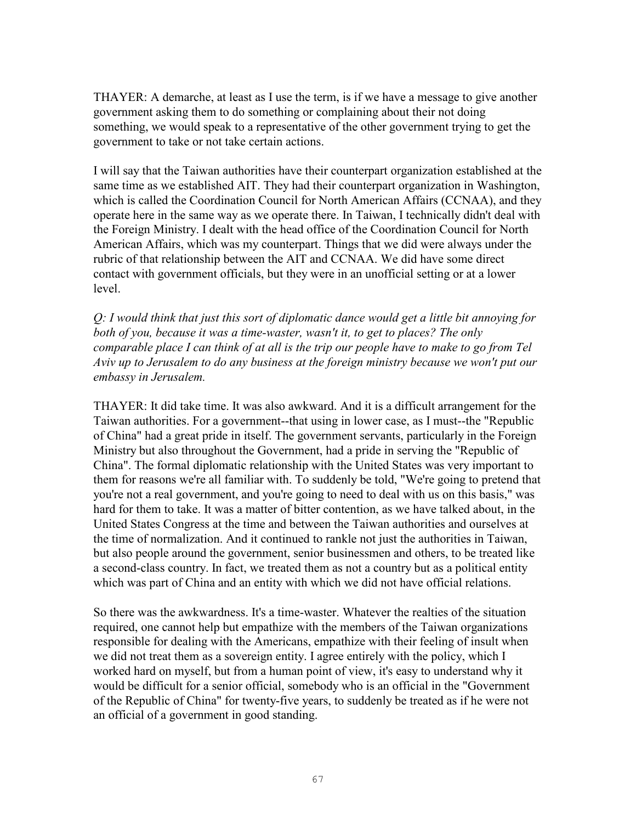THAYER: A demarche, at least as I use the term, is if we have a message to give another government asking them to do something or complaining about their not doing something, we would speak to a representative of the other government trying to get the government to take or not take certain actions.

I will say that the Taiwan authorities have their counterpart organization established at the same time as we established AIT. They had their counterpart organization in Washington, which is called the Coordination Council for North American Affairs (CCNAA), and they operate here in the same way as we operate there. In Taiwan, I technically didn't deal with the Foreign Ministry. I dealt with the head office of the Coordination Council for North American Affairs, which was my counterpart. Things that we did were always under the rubric of that relationship between the AIT and CCNAA. We did have some direct contact with government officials, but they were in an unofficial setting or at a lower level.

*Q: I would think that just this sort of diplomatic dance would get a little bit annoying for both of you, because it was a time-waster, wasn't it, to get to places? The only comparable place I can think of at all is the trip our people have to make to go from Tel Aviv up to Jerusalem to do any business at the foreign ministry because we won't put our embassy in Jerusalem.* 

THAYER: It did take time. It was also awkward. And it is a difficult arrangement for the Taiwan authorities. For a government--that using in lower case, as I must--the "Republic of China" had a great pride in itself. The government servants, particularly in the Foreign Ministry but also throughout the Government, had a pride in serving the "Republic of China". The formal diplomatic relationship with the United States was very important to them for reasons we're all familiar with. To suddenly be told, "We're going to pretend that you're not a real government, and you're going to need to deal with us on this basis," was hard for them to take. It was a matter of bitter contention, as we have talked about, in the United States Congress at the time and between the Taiwan authorities and ourselves at the time of normalization. And it continued to rankle not just the authorities in Taiwan, but also people around the government, senior businessmen and others, to be treated like a second-class country. In fact, we treated them as not a country but as a political entity which was part of China and an entity with which we did not have official relations.

So there was the awkwardness. It's a time-waster. Whatever the realties of the situation required, one cannot help but empathize with the members of the Taiwan organizations responsible for dealing with the Americans, empathize with their feeling of insult when we did not treat them as a sovereign entity. I agree entirely with the policy, which I worked hard on myself, but from a human point of view, it's easy to understand why it would be difficult for a senior official, somebody who is an official in the "Government of the Republic of China" for twenty-five years, to suddenly be treated as if he were not an official of a government in good standing.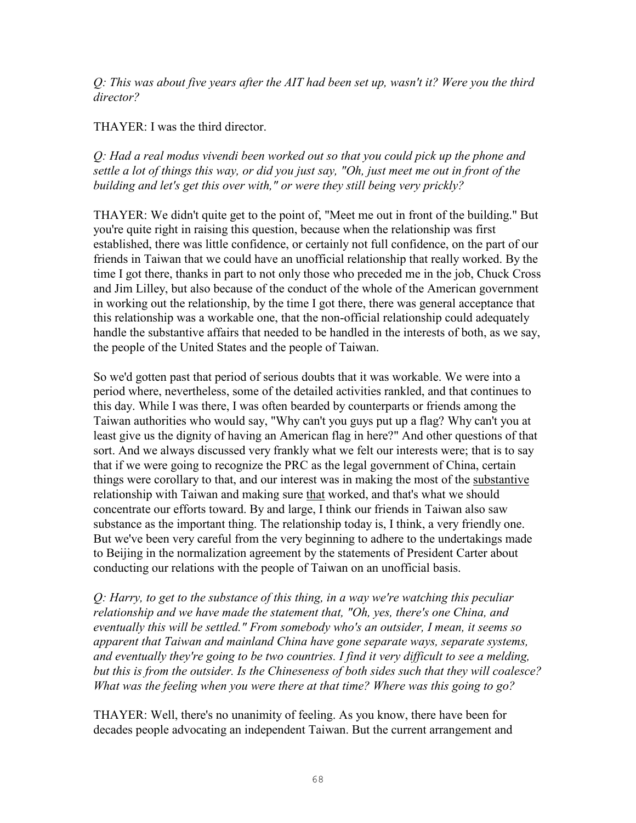*Q: This was about five years after the AIT had been set up, wasn't it? Were you the third director?* 

THAYER: I was the third director.

*Q: Had a real modus vivendi been worked out so that you could pick up the phone and settle a lot of things this way, or did you just say, "Oh, just meet me out in front of the building and let's get this over with," or were they still being very prickly?* 

THAYER: We didn't quite get to the point of, "Meet me out in front of the building." But you're quite right in raising this question, because when the relationship was first established, there was little confidence, or certainly not full confidence, on the part of our friends in Taiwan that we could have an unofficial relationship that really worked. By the time I got there, thanks in part to not only those who preceded me in the job, Chuck Cross and Jim Lilley, but also because of the conduct of the whole of the American government in working out the relationship, by the time I got there, there was general acceptance that this relationship was a workable one, that the non-official relationship could adequately handle the substantive affairs that needed to be handled in the interests of both, as we say, the people of the United States and the people of Taiwan.

So we'd gotten past that period of serious doubts that it was workable. We were into a period where, nevertheless, some of the detailed activities rankled, and that continues to this day. While I was there, I was often bearded by counterparts or friends among the Taiwan authorities who would say, "Why can't you guys put up a flag? Why can't you at least give us the dignity of having an American flag in here?" And other questions of that sort. And we always discussed very frankly what we felt our interests were; that is to say that if we were going to recognize the PRC as the legal government of China, certain things were corollary to that, and our interest was in making the most of the substantive relationship with Taiwan and making sure that worked, and that's what we should concentrate our efforts toward. By and large, I think our friends in Taiwan also saw substance as the important thing. The relationship today is, I think, a very friendly one. But we've been very careful from the very beginning to adhere to the undertakings made to Beijing in the normalization agreement by the statements of President Carter about conducting our relations with the people of Taiwan on an unofficial basis.

*Q: Harry, to get to the substance of this thing, in a way we're watching this peculiar relationship and we have made the statement that, "Oh, yes, there's one China, and eventually this will be settled." From somebody who's an outsider, I mean, it seems so apparent that Taiwan and mainland China have gone separate ways, separate systems, and eventually they're going to be two countries. I find it very difficult to see a melding, but this is from the outsider. Is the Chineseness of both sides such that they will coalesce? What was the feeling when you were there at that time? Where was this going to go?* 

THAYER: Well, there's no unanimity of feeling. As you know, there have been for decades people advocating an independent Taiwan. But the current arrangement and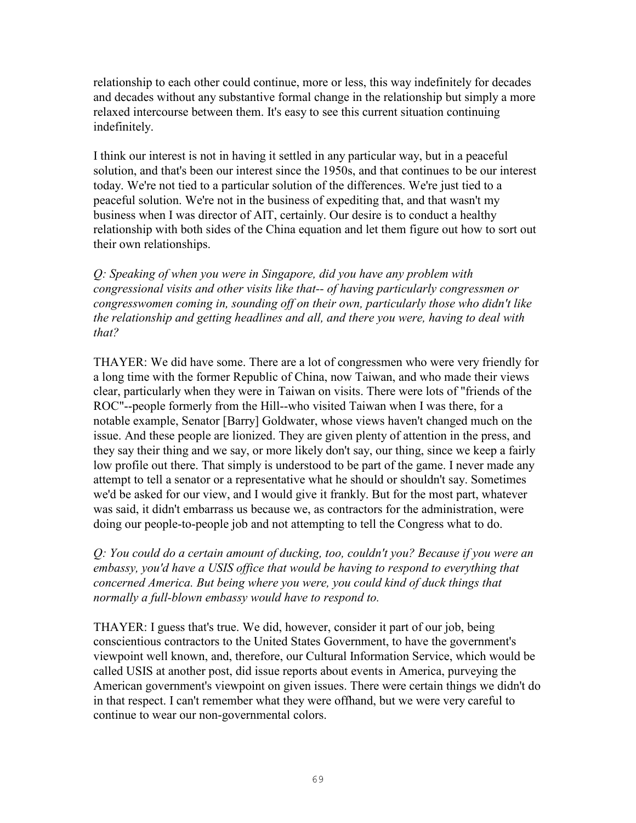relationship to each other could continue, more or less, this way indefinitely for decades and decades without any substantive formal change in the relationship but simply a more relaxed intercourse between them. It's easy to see this current situation continuing indefinitely.

I think our interest is not in having it settled in any particular way, but in a peaceful solution, and that's been our interest since the 1950s, and that continues to be our interest today. We're not tied to a particular solution of the differences. We're just tied to a peaceful solution. We're not in the business of expediting that, and that wasn't my business when I was director of AIT, certainly. Our desire is to conduct a healthy relationship with both sides of the China equation and let them figure out how to sort out their own relationships.

*Q: Speaking of when you were in Singapore, did you have any problem with congressional visits and other visits like that-- of having particularly congressmen or congresswomen coming in, sounding off on their own, particularly those who didn't like the relationship and getting headlines and all, and there you were, having to deal with that?* 

THAYER: We did have some. There are a lot of congressmen who were very friendly for a long time with the former Republic of China, now Taiwan, and who made their views clear, particularly when they were in Taiwan on visits. There were lots of "friends of the ROC"--people formerly from the Hill--who visited Taiwan when I was there, for a notable example, Senator [Barry] Goldwater, whose views haven't changed much on the issue. And these people are lionized. They are given plenty of attention in the press, and they say their thing and we say, or more likely don't say, our thing, since we keep a fairly low profile out there. That simply is understood to be part of the game. I never made any attempt to tell a senator or a representative what he should or shouldn't say. Sometimes we'd be asked for our view, and I would give it frankly. But for the most part, whatever was said, it didn't embarrass us because we, as contractors for the administration, were doing our people-to-people job and not attempting to tell the Congress what to do.

*Q: You could do a certain amount of ducking, too, couldn't you? Because if you were an embassy, you'd have a USIS office that would be having to respond to everything that concerned America. But being where you were, you could kind of duck things that normally a full-blown embassy would have to respond to.* 

THAYER: I guess that's true. We did, however, consider it part of our job, being conscientious contractors to the United States Government, to have the government's viewpoint well known, and, therefore, our Cultural Information Service, which would be called USIS at another post, did issue reports about events in America, purveying the American government's viewpoint on given issues. There were certain things we didn't do in that respect. I can't remember what they were offhand, but we were very careful to continue to wear our non-governmental colors.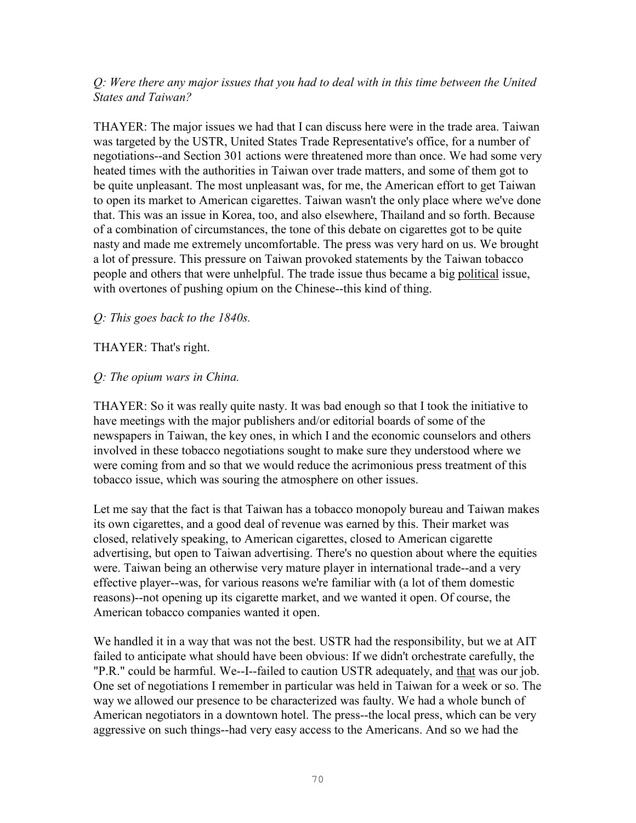### *Q: Were there any major issues that you had to deal with in this time between the United States and Taiwan?*

THAYER: The major issues we had that I can discuss here were in the trade area. Taiwan was targeted by the USTR, United States Trade Representative's office, for a number of negotiations--and Section 301 actions were threatened more than once. We had some very heated times with the authorities in Taiwan over trade matters, and some of them got to be quite unpleasant. The most unpleasant was, for me, the American effort to get Taiwan to open its market to American cigarettes. Taiwan wasn't the only place where we've done that. This was an issue in Korea, too, and also elsewhere, Thailand and so forth. Because of a combination of circumstances, the tone of this debate on cigarettes got to be quite nasty and made me extremely uncomfortable. The press was very hard on us. We brought a lot of pressure. This pressure on Taiwan provoked statements by the Taiwan tobacco people and others that were unhelpful. The trade issue thus became a big political issue, with overtones of pushing opium on the Chinese--this kind of thing.

### *Q: This goes back to the 1840s.*

### THAYER: That's right.

### *Q: The opium wars in China.*

THAYER: So it was really quite nasty. It was bad enough so that I took the initiative to have meetings with the major publishers and/or editorial boards of some of the newspapers in Taiwan, the key ones, in which I and the economic counselors and others involved in these tobacco negotiations sought to make sure they understood where we were coming from and so that we would reduce the acrimonious press treatment of this tobacco issue, which was souring the atmosphere on other issues.

Let me say that the fact is that Taiwan has a tobacco monopoly bureau and Taiwan makes its own cigarettes, and a good deal of revenue was earned by this. Their market was closed, relatively speaking, to American cigarettes, closed to American cigarette advertising, but open to Taiwan advertising. There's no question about where the equities were. Taiwan being an otherwise very mature player in international trade--and a very effective player--was, for various reasons we're familiar with (a lot of them domestic reasons)--not opening up its cigarette market, and we wanted it open. Of course, the American tobacco companies wanted it open.

We handled it in a way that was not the best. USTR had the responsibility, but we at AIT failed to anticipate what should have been obvious: If we didn't orchestrate carefully, the "P.R." could be harmful. We--I--failed to caution USTR adequately, and that was our job. One set of negotiations I remember in particular was held in Taiwan for a week or so. The way we allowed our presence to be characterized was faulty. We had a whole bunch of American negotiators in a downtown hotel. The press--the local press, which can be very aggressive on such things--had very easy access to the Americans. And so we had the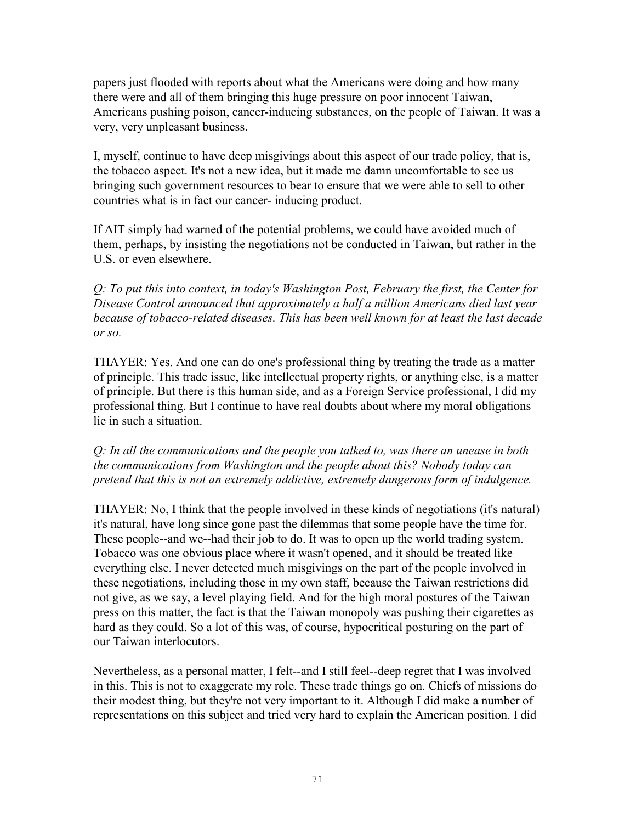papers just flooded with reports about what the Americans were doing and how many there were and all of them bringing this huge pressure on poor innocent Taiwan, Americans pushing poison, cancer-inducing substances, on the people of Taiwan. It was a very, very unpleasant business.

I, myself, continue to have deep misgivings about this aspect of our trade policy, that is, the tobacco aspect. It's not a new idea, but it made me damn uncomfortable to see us bringing such government resources to bear to ensure that we were able to sell to other countries what is in fact our cancer- inducing product.

If AIT simply had warned of the potential problems, we could have avoided much of them, perhaps, by insisting the negotiations not be conducted in Taiwan, but rather in the U.S. or even elsewhere.

*Q: To put this into context, in today's Washington Post, February the first, the Center for Disease Control announced that approximately a half a million Americans died last year because of tobacco-related diseases. This has been well known for at least the last decade or so.* 

THAYER: Yes. And one can do one's professional thing by treating the trade as a matter of principle. This trade issue, like intellectual property rights, or anything else, is a matter of principle. But there is this human side, and as a Foreign Service professional, I did my professional thing. But I continue to have real doubts about where my moral obligations lie in such a situation.

*Q: In all the communications and the people you talked to, was there an unease in both the communications from Washington and the people about this? Nobody today can pretend that this is not an extremely addictive, extremely dangerous form of indulgence.* 

THAYER: No, I think that the people involved in these kinds of negotiations (it's natural) it's natural, have long since gone past the dilemmas that some people have the time for. These people--and we--had their job to do. It was to open up the world trading system. Tobacco was one obvious place where it wasn't opened, and it should be treated like everything else. I never detected much misgivings on the part of the people involved in these negotiations, including those in my own staff, because the Taiwan restrictions did not give, as we say, a level playing field. And for the high moral postures of the Taiwan press on this matter, the fact is that the Taiwan monopoly was pushing their cigarettes as hard as they could. So a lot of this was, of course, hypocritical posturing on the part of our Taiwan interlocutors.

Nevertheless, as a personal matter, I felt--and I still feel--deep regret that I was involved in this. This is not to exaggerate my role. These trade things go on. Chiefs of missions do their modest thing, but they're not very important to it. Although I did make a number of representations on this subject and tried very hard to explain the American position. I did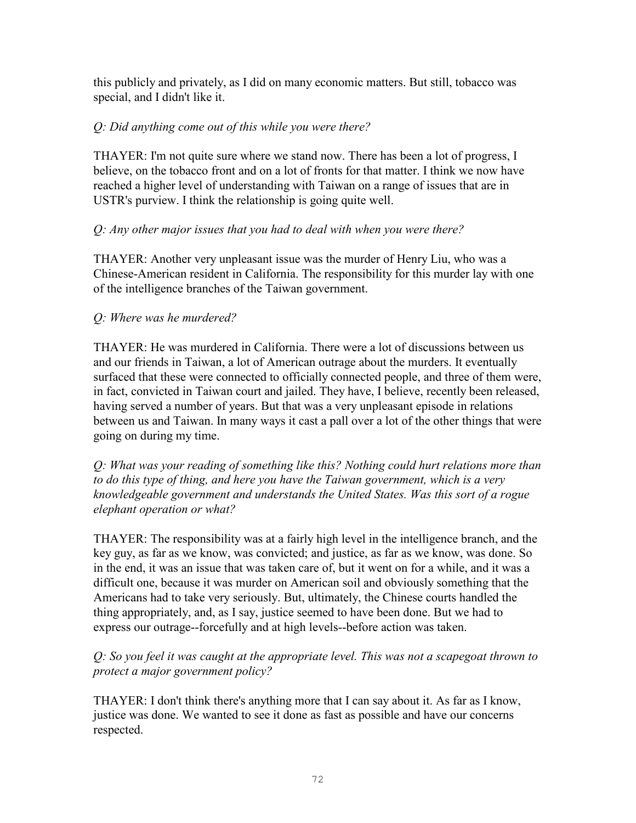this publicly and privately, as I did on many economic matters. But still, tobacco was special, and I didn't like it.

## *Q: Did anything come out of this while you were there?*

THAYER: I'm not quite sure where we stand now. There has been a lot of progress, I believe, on the tobacco front and on a lot of fronts for that matter. I think we now have reached a higher level of understanding with Taiwan on a range of issues that are in USTR's purview. I think the relationship is going quite well.

## *Q: Any other major issues that you had to deal with when you were there?*

THAYER: Another very unpleasant issue was the murder of Henry Liu, who was a Chinese-American resident in California. The responsibility for this murder lay with one of the intelligence branches of the Taiwan government.

## *Q: Where was he murdered?*

THAYER: He was murdered in California. There were a lot of discussions between us and our friends in Taiwan, a lot of American outrage about the murders. It eventually surfaced that these were connected to officially connected people, and three of them were, in fact, convicted in Taiwan court and jailed. They have, I believe, recently been released, having served a number of years. But that was a very unpleasant episode in relations between us and Taiwan. In many ways it cast a pall over a lot of the other things that were going on during my time.

*Q: What was your reading of something like this? Nothing could hurt relations more than to do this type of thing, and here you have the Taiwan government, which is a very knowledgeable government and understands the United States. Was this sort of a rogue elephant operation or what?* 

THAYER: The responsibility was at a fairly high level in the intelligence branch, and the key guy, as far as we know, was convicted; and justice, as far as we know, was done. So in the end, it was an issue that was taken care of, but it went on for a while, and it was a difficult one, because it was murder on American soil and obviously something that the Americans had to take very seriously. But, ultimately, the Chinese courts handled the thing appropriately, and, as I say, justice seemed to have been done. But we had to express our outrage--forcefully and at high levels--before action was taken.

## *Q: So you feel it was caught at the appropriate level. This was not a scapegoat thrown to protect a major government policy?*

THAYER: I don't think there's anything more that I can say about it. As far as I know, justice was done. We wanted to see it done as fast as possible and have our concerns respected.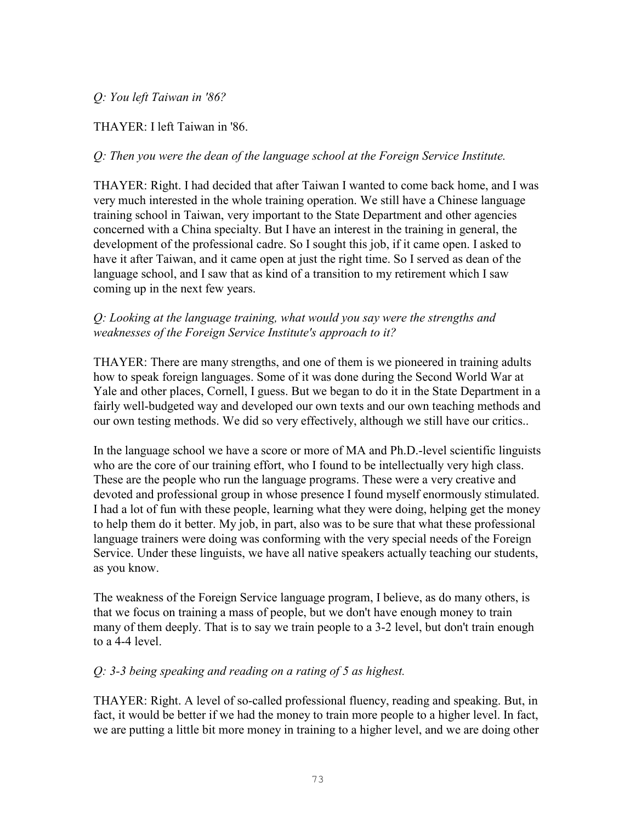### *Q: You left Taiwan in '86?*

### THAYER: I left Taiwan in '86.

#### *Q: Then you were the dean of the language school at the Foreign Service Institute.*

THAYER: Right. I had decided that after Taiwan I wanted to come back home, and I was very much interested in the whole training operation. We still have a Chinese language training school in Taiwan, very important to the State Department and other agencies concerned with a China specialty. But I have an interest in the training in general, the development of the professional cadre. So I sought this job, if it came open. I asked to have it after Taiwan, and it came open at just the right time. So I served as dean of the language school, and I saw that as kind of a transition to my retirement which I saw coming up in the next few years.

#### *Q: Looking at the language training, what would you say were the strengths and weaknesses of the Foreign Service Institute's approach to it?*

THAYER: There are many strengths, and one of them is we pioneered in training adults how to speak foreign languages. Some of it was done during the Second World War at Yale and other places, Cornell, I guess. But we began to do it in the State Department in a fairly well-budgeted way and developed our own texts and our own teaching methods and our own testing methods. We did so very effectively, although we still have our critics..

In the language school we have a score or more of MA and Ph.D.-level scientific linguists who are the core of our training effort, who I found to be intellectually very high class. These are the people who run the language programs. These were a very creative and devoted and professional group in whose presence I found myself enormously stimulated. I had a lot of fun with these people, learning what they were doing, helping get the money to help them do it better. My job, in part, also was to be sure that what these professional language trainers were doing was conforming with the very special needs of the Foreign Service. Under these linguists, we have all native speakers actually teaching our students, as you know.

The weakness of the Foreign Service language program, I believe, as do many others, is that we focus on training a mass of people, but we don't have enough money to train many of them deeply. That is to say we train people to a 3-2 level, but don't train enough to a 4-4 level.

#### *Q: 3-3 being speaking and reading on a rating of 5 as highest.*

THAYER: Right. A level of so-called professional fluency, reading and speaking. But, in fact, it would be better if we had the money to train more people to a higher level. In fact, we are putting a little bit more money in training to a higher level, and we are doing other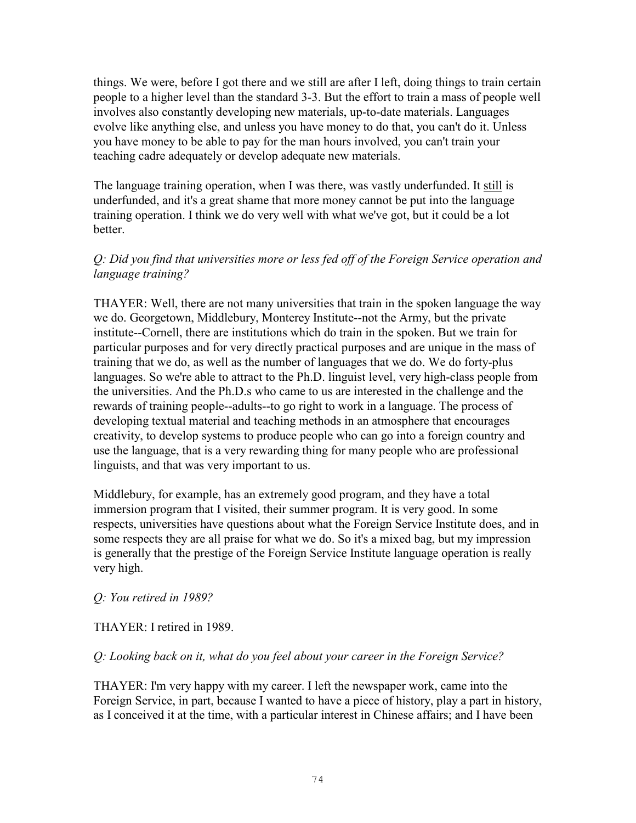things. We were, before I got there and we still are after I left, doing things to train certain people to a higher level than the standard 3-3. But the effort to train a mass of people well involves also constantly developing new materials, up-to-date materials. Languages evolve like anything else, and unless you have money to do that, you can't do it. Unless you have money to be able to pay for the man hours involved, you can't train your teaching cadre adequately or develop adequate new materials.

The language training operation, when I was there, was vastly underfunded. It still is underfunded, and it's a great shame that more money cannot be put into the language training operation. I think we do very well with what we've got, but it could be a lot better.

### *Q: Did you find that universities more or less fed off of the Foreign Service operation and language training?*

THAYER: Well, there are not many universities that train in the spoken language the way we do. Georgetown, Middlebury, Monterey Institute--not the Army, but the private institute--Cornell, there are institutions which do train in the spoken. But we train for particular purposes and for very directly practical purposes and are unique in the mass of training that we do, as well as the number of languages that we do. We do forty-plus languages. So we're able to attract to the Ph.D. linguist level, very high-class people from the universities. And the Ph.D.s who came to us are interested in the challenge and the rewards of training people--adults--to go right to work in a language. The process of developing textual material and teaching methods in an atmosphere that encourages creativity, to develop systems to produce people who can go into a foreign country and use the language, that is a very rewarding thing for many people who are professional linguists, and that was very important to us.

Middlebury, for example, has an extremely good program, and they have a total immersion program that I visited, their summer program. It is very good. In some respects, universities have questions about what the Foreign Service Institute does, and in some respects they are all praise for what we do. So it's a mixed bag, but my impression is generally that the prestige of the Foreign Service Institute language operation is really very high.

# *Q: You retired in 1989?*

# THAYER: I retired in 1989.

# *Q: Looking back on it, what do you feel about your career in the Foreign Service?*

THAYER: I'm very happy with my career. I left the newspaper work, came into the Foreign Service, in part, because I wanted to have a piece of history, play a part in history, as I conceived it at the time, with a particular interest in Chinese affairs; and I have been